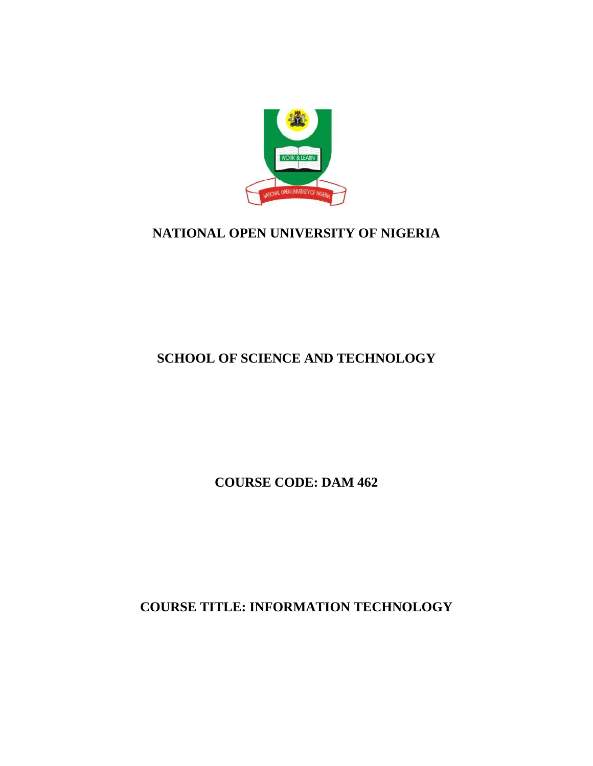

# **NATIONAL OPEN UNIVERSITY OF NIGERIA**

# **SCHOOL OF SCIENCE AND TECHNOLOGY**

**COURSE CODE: DAM 462**

**COURSE TITLE: INFORMATION TECHNOLOGY**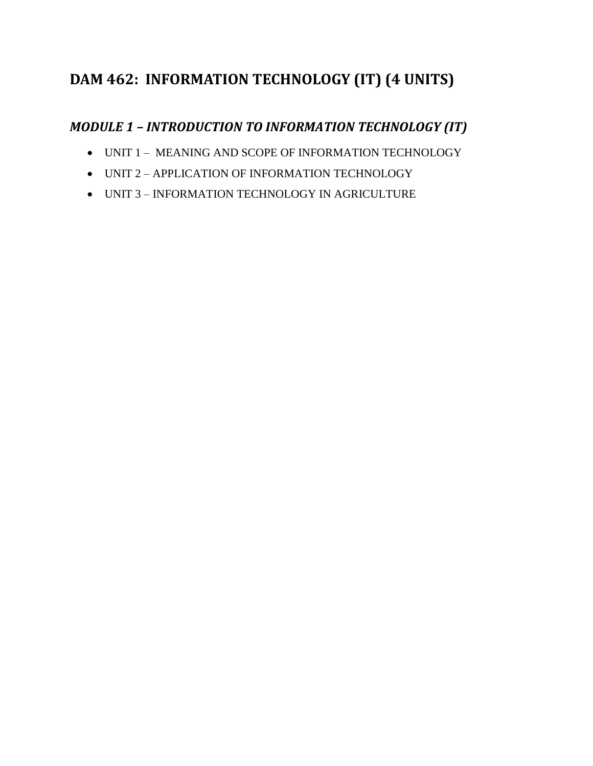# **DAM 462: INFORMATION TECHNOLOGY (IT) (4 UNITS)**

# *MODULE 1 – INTRODUCTION TO INFORMATION TECHNOLOGY (IT)*

- UNIT 1 MEANING AND SCOPE OF INFORMATION TECHNOLOGY
- UNIT 2 APPLICATION OF INFORMATION TECHNOLOGY
- UNIT 3 INFORMATION TECHNOLOGY IN AGRICULTURE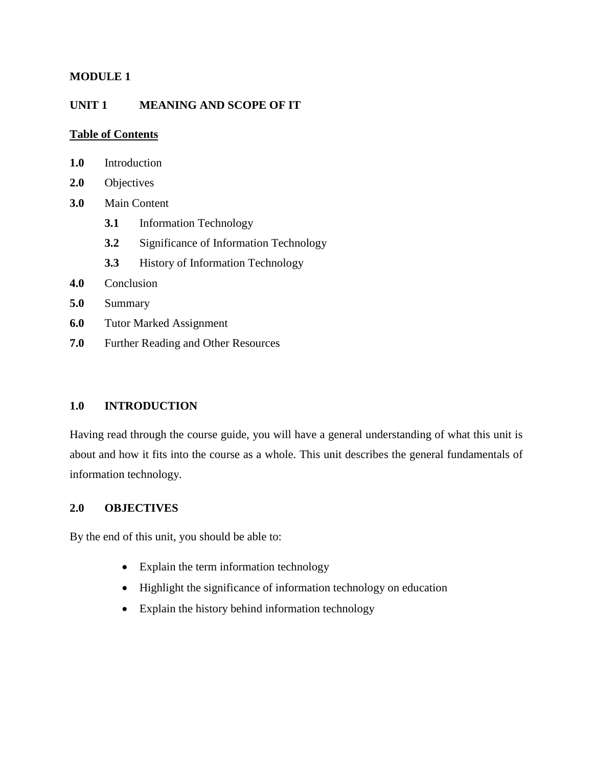# **MODULE 1**

# **UNIT 1 MEANING AND SCOPE OF IT**

# **Table of Contents**

| 1.0<br>Introduction |  |
|---------------------|--|
|---------------------|--|

- **2.0** Objectives
- **3.0** Main Content
	- **3.1** Information Technology
	- **3.2** Significance of Information Technology
	- **3.3** History of Information Technology
- **4.0** Conclusion
- **5.0** Summary
- **6.0** Tutor Marked Assignment
- **7.0** Further Reading and Other Resources

# **1.0 INTRODUCTION**

Having read through the course guide, you will have a general understanding of what this unit is about and how it fits into the course as a whole. This unit describes the general fundamentals of information technology.

# **2.0 OBJECTIVES**

By the end of this unit, you should be able to:

- Explain the term information technology
- Highlight the significance of information technology on education
- Explain the history behind information technology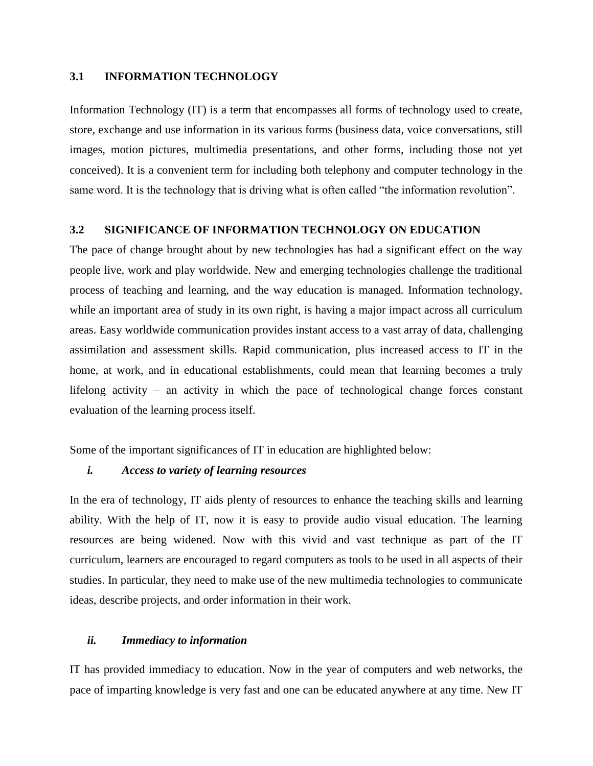#### **3.1 INFORMATION TECHNOLOGY**

Information Technology (IT) is a term that encompasses all forms of technology used to create, store, exchange and use information in its various forms (business data, voice conversations, still images, motion pictures, multimedia presentations, and other forms, including those not yet conceived). It is a convenient term for including both telephony and computer technology in the same word. It is the technology that is driving what is often called "the information revolution".

#### **3.2 SIGNIFICANCE OF INFORMATION TECHNOLOGY ON EDUCATION**

The pace of change brought about by new technologies has had a significant effect on the way people live, work and play worldwide. New and emerging technologies challenge the traditional process of teaching and learning, and the way education is managed. Information technology, while an important area of study in its own right, is having a major impact across all curriculum areas. Easy worldwide communication provides instant access to a vast array of data, challenging assimilation and assessment skills. Rapid communication, plus increased access to IT in the home, at work, and in educational establishments, could mean that learning becomes a truly lifelong activity – an activity in which the pace of technological change forces constant evaluation of the learning process itself.

Some of the important significances of IT in education are highlighted below:

# *i. Access to variety of learning resources*

In the era of technology, IT aids plenty of resources to enhance the teaching skills and learning ability. With the help of IT, now it is easy to provide audio visual education. The learning resources are being widened. Now with this vivid and vast technique as part of the IT curriculum, learners are encouraged to regard computers as tools to be used in all aspects of their studies. In particular, they need to make use of the new multimedia technologies to communicate ideas, describe projects, and order information in their work.

# *ii. Immediacy to information*

IT has provided immediacy to education. Now in the year of computers and web networks, the pace of imparting knowledge is very fast and one can be educated anywhere at any time. New IT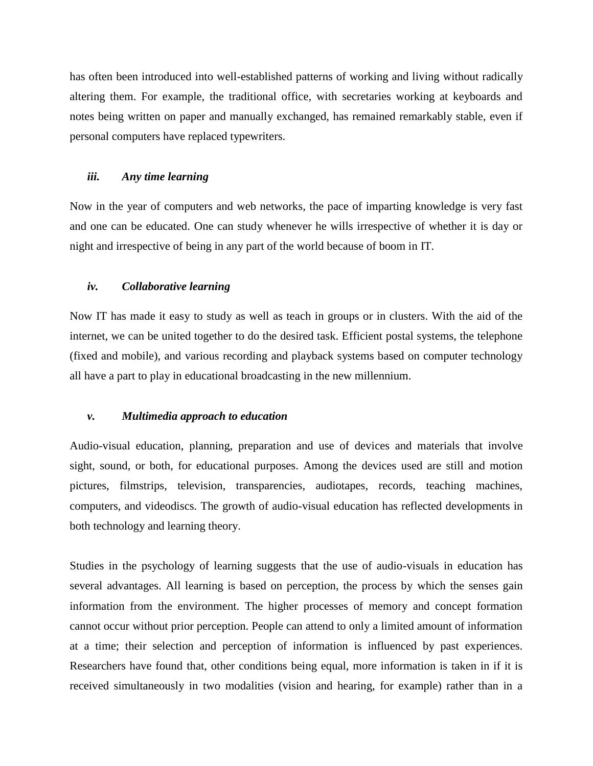has often been introduced into well-established patterns of working and living without radically altering them. For example, the traditional office, with secretaries working at keyboards and notes being written on paper and manually exchanged, has remained remarkably stable, even if personal computers have replaced typewriters.

#### *iii. Any time learning*

Now in the year of computers and web networks, the pace of imparting knowledge is very fast and one can be educated. One can study whenever he wills irrespective of whether it is day or night and irrespective of being in any part of the world because of boom in IT.

#### *iv. Collaborative learning*

Now IT has made it easy to study as well as teach in groups or in clusters. With the aid of the internet, we can be united together to do the desired task. Efficient postal systems, the telephone (fixed and mobile), and various recording and playback systems based on computer technology all have a part to play in educational broadcasting in the new millennium.

#### *v. Multimedia approach to education*

Audio-visual education, planning, preparation and use of devices and materials that involve sight, sound, or both, for educational purposes. Among the devices used are still and motion pictures, filmstrips, television, transparencies, audiotapes, records, teaching machines, computers, and videodiscs. The growth of audio-visual education has reflected developments in both technology and learning theory.

Studies in the psychology of learning suggests that the use of audio-visuals in education has several advantages. All learning is based on perception, the process by which the senses gain information from the environment. The higher processes of memory and concept formation cannot occur without prior perception. People can attend to only a limited amount of information at a time; their selection and perception of information is influenced by past experiences. Researchers have found that, other conditions being equal, more information is taken in if it is received simultaneously in two modalities (vision and hearing, for example) rather than in a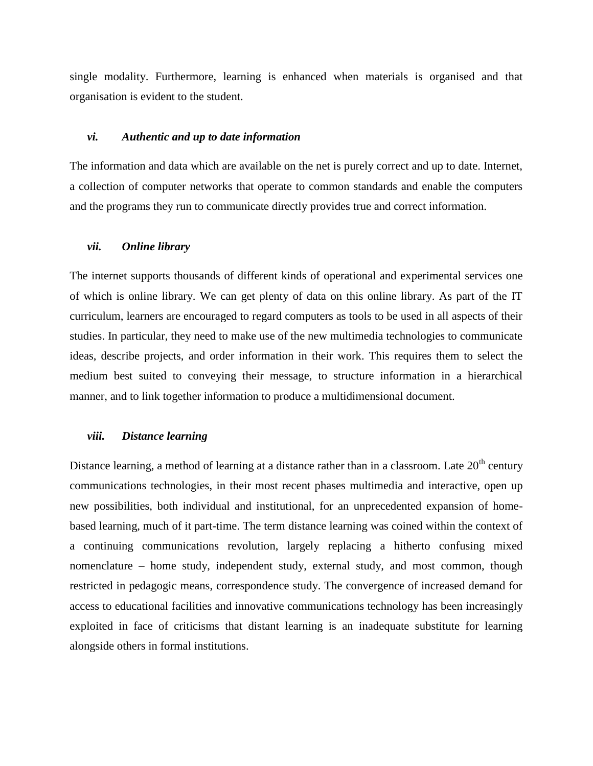single modality. Furthermore, learning is enhanced when materials is organised and that organisation is evident to the student.

#### *vi. Authentic and up to date information*

The information and data which are available on the net is purely correct and up to date. Internet, a collection of computer networks that operate to common standards and enable the computers and the programs they run to communicate directly provides true and correct information.

#### *vii. Online library*

The internet supports thousands of different kinds of operational and experimental services one of which is online library. We can get plenty of data on this online library. As part of the IT curriculum, learners are encouraged to regard computers as tools to be used in all aspects of their studies. In particular, they need to make use of the new multimedia technologies to communicate ideas, describe projects, and order information in their work. This requires them to select the medium best suited to conveying their message, to structure information in a hierarchical manner, and to link together information to produce a multidimensional document.

#### *viii. Distance learning*

Distance learning, a method of learning at a distance rather than in a classroom. Late  $20<sup>th</sup>$  century communications technologies, in their most recent phases multimedia and interactive, open up new possibilities, both individual and institutional, for an unprecedented expansion of homebased learning, much of it part-time. The term distance learning was coined within the context of a continuing communications revolution, largely replacing a hitherto confusing mixed nomenclature – home study, independent study, external study, and most common, though restricted in pedagogic means, correspondence study. The convergence of increased demand for access to educational facilities and innovative communications technology has been increasingly exploited in face of criticisms that distant learning is an inadequate substitute for learning alongside others in formal institutions.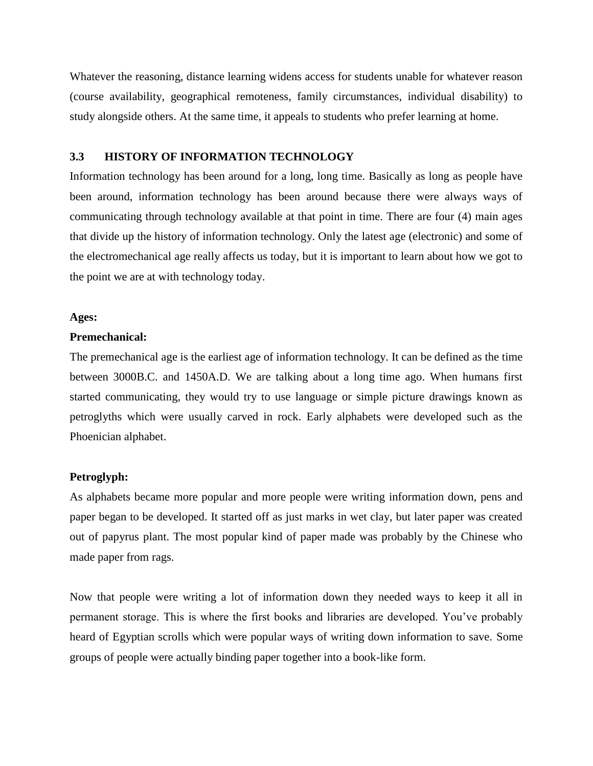Whatever the reasoning, distance learning widens access for students unable for whatever reason (course availability, geographical remoteness, family circumstances, individual disability) to study alongside others. At the same time, it appeals to students who prefer learning at home.

#### **3.3 HISTORY OF INFORMATION TECHNOLOGY**

Information technology has been around for a long, long time. Basically as long as people have been around, information technology has been around because there were always ways of communicating through technology available at that point in time. There are four (4) main ages that divide up the history of information technology. Only the latest age (electronic) and some of the electromechanical age really affects us today, but it is important to learn about how we got to the point we are at with technology today.

#### **Ages:**

#### **Premechanical:**

The premechanical age is the earliest age of information technology. It can be defined as the time between 3000B.C. and 1450A.D. We are talking about a long time ago. When humans first started communicating, they would try to use language or simple picture drawings known as petroglyths which were usually carved in rock. Early alphabets were developed such as the Phoenician alphabet.

#### **Petroglyph:**

As alphabets became more popular and more people were writing information down, pens and paper began to be developed. It started off as just marks in wet clay, but later paper was created out of papyrus plant. The most popular kind of paper made was probably by the Chinese who made paper from rags.

Now that people were writing a lot of information down they needed ways to keep it all in permanent storage. This is where the first books and libraries are developed. You've probably heard of Egyptian scrolls which were popular ways of writing down information to save. Some groups of people were actually binding paper together into a book-like form.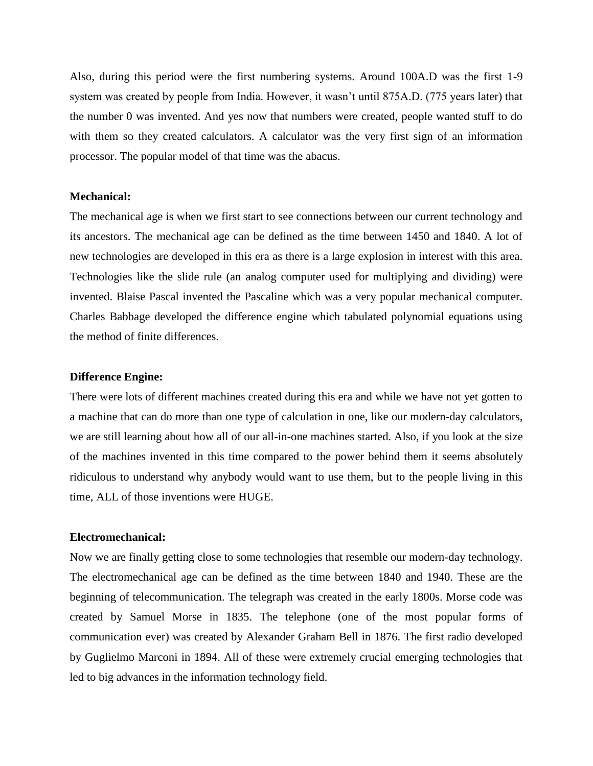Also, during this period were the first numbering systems. Around 100A.D was the first 1-9 system was created by people from India. However, it wasn't until 875A.D. (775 years later) that the number 0 was invented. And yes now that numbers were created, people wanted stuff to do with them so they created calculators. A calculator was the very first sign of an information processor. The popular model of that time was the abacus.

#### **Mechanical:**

The mechanical age is when we first start to see connections between our current technology and its ancestors. The mechanical age can be defined as the time between 1450 and 1840. A lot of new technologies are developed in this era as there is a large explosion in interest with this area. Technologies like the slide rule (an analog computer used for multiplying and dividing) were invented. Blaise Pascal invented the Pascaline which was a very popular mechanical computer. Charles Babbage developed the difference engine which tabulated polynomial equations using the method of finite differences.

#### **Difference Engine:**

There were lots of different machines created during this era and while we have not yet gotten to a machine that can do more than one type of calculation in one, like our modern-day calculators, we are still learning about how all of our all-in-one machines started. Also, if you look at the size of the machines invented in this time compared to the power behind them it seems absolutely ridiculous to understand why anybody would want to use them, but to the people living in this time, ALL of those inventions were HUGE.

#### **Electromechanical:**

Now we are finally getting close to some technologies that resemble our modern-day technology. The electromechanical age can be defined as the time between 1840 and 1940. These are the beginning of telecommunication. The telegraph was created in the early 1800s. Morse code was created by Samuel Morse in 1835. The telephone (one of the most popular forms of communication ever) was created by Alexander Graham Bell in 1876. The first radio developed by Guglielmo Marconi in 1894. All of these were extremely crucial emerging technologies that led to big advances in the information technology field.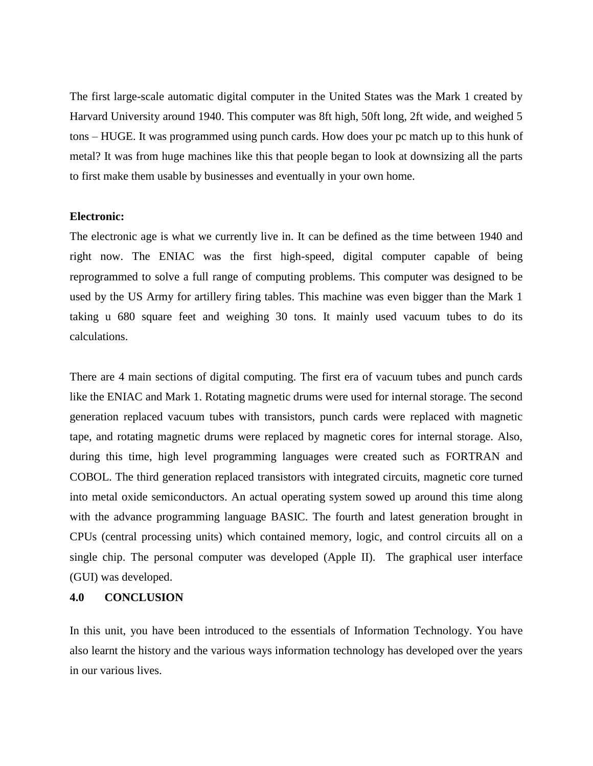The first large-scale automatic digital computer in the United States was the Mark 1 created by Harvard University around 1940. This computer was 8ft high, 50ft long, 2ft wide, and weighed 5 tons – HUGE. It was programmed using punch cards. How does your pc match up to this hunk of metal? It was from huge machines like this that people began to look at downsizing all the parts to first make them usable by businesses and eventually in your own home.

#### **Electronic:**

The electronic age is what we currently live in. It can be defined as the time between 1940 and right now. The ENIAC was the first high-speed, digital computer capable of being reprogrammed to solve a full range of computing problems. This computer was designed to be used by the US Army for artillery firing tables. This machine was even bigger than the Mark 1 taking u 680 square feet and weighing 30 tons. It mainly used vacuum tubes to do its calculations.

There are 4 main sections of digital computing. The first era of vacuum tubes and punch cards like the ENIAC and Mark 1. Rotating magnetic drums were used for internal storage. The second generation replaced vacuum tubes with transistors, punch cards were replaced with magnetic tape, and rotating magnetic drums were replaced by magnetic cores for internal storage. Also, during this time, high level programming languages were created such as FORTRAN and COBOL. The third generation replaced transistors with integrated circuits, magnetic core turned into metal oxide semiconductors. An actual operating system sowed up around this time along with the advance programming language BASIC. The fourth and latest generation brought in CPUs (central processing units) which contained memory, logic, and control circuits all on a single chip. The personal computer was developed (Apple II). The graphical user interface (GUI) was developed.

#### **4.0 CONCLUSION**

In this unit, you have been introduced to the essentials of Information Technology. You have also learnt the history and the various ways information technology has developed over the years in our various lives.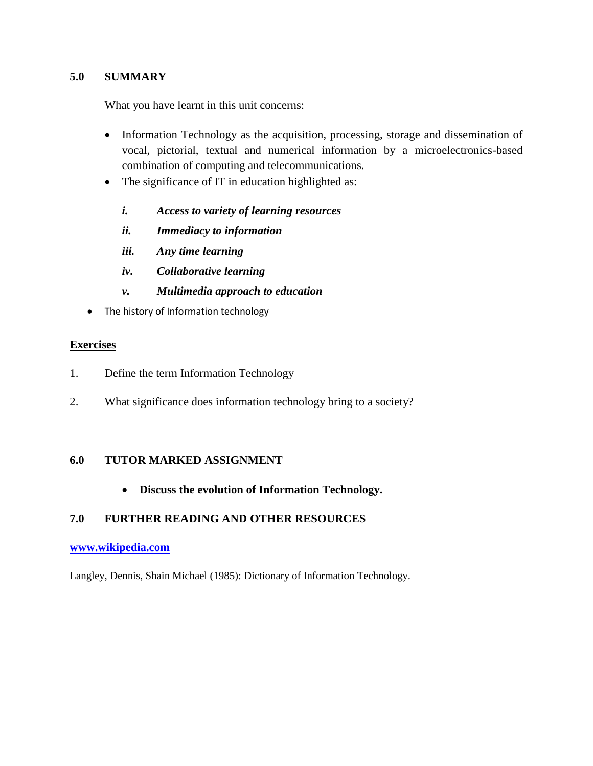# **5.0 SUMMARY**

What you have learnt in this unit concerns:

- Information Technology as the acquisition, processing, storage and dissemination of vocal, pictorial, textual and numerical information by a microelectronics-based combination of computing and telecommunications.
- The significance of IT in education highlighted as:
	- *i. Access to variety of learning resources*
	- *ii. Immediacy to information*
	- *iii. Any time learning*
	- *iv. Collaborative learning*
	- *v. Multimedia approach to education*
- The history of Information technology

# **Exercises**

- 1. Define the term Information Technology
- 2. What significance does information technology bring to a society?

# **6.0 TUTOR MARKED ASSIGNMENT**

**Discuss the evolution of Information Technology.**

# **7.0 FURTHER READING AND OTHER RESOURCES**

# **[www.wikipedia.com](http://www.wikipedia.com/)**

Langley, Dennis, Shain Michael (1985): Dictionary of Information Technology.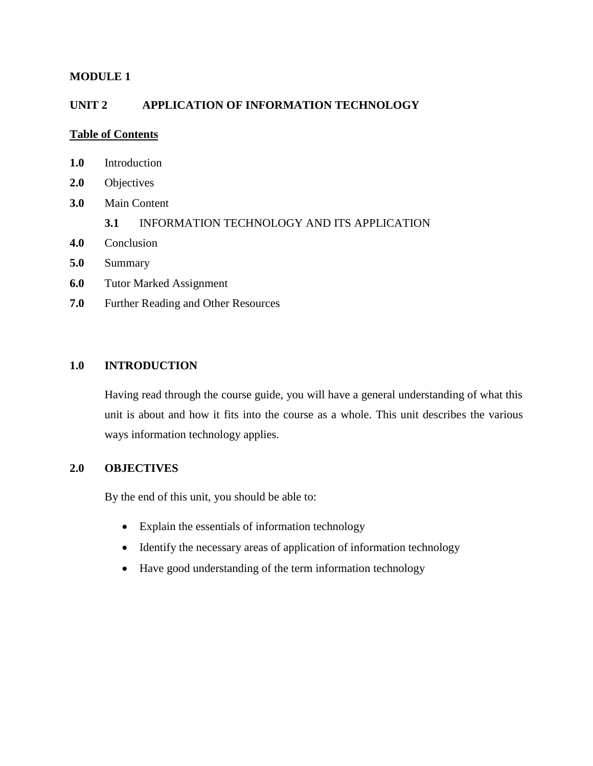# **MODULE 1**

# **UNIT 2 APPLICATION OF INFORMATION TECHNOLOGY**

### **Table of Contents**

- **1.0** Introduction
- **2.0** Objectives
- **3.0** Main Content
	- **3.1** INFORMATION TECHNOLOGY AND ITS APPLICATION
- **4.0** Conclusion
- **5.0** Summary
- **6.0** Tutor Marked Assignment
- **7.0** Further Reading and Other Resources

#### **1.0 INTRODUCTION**

Having read through the course guide, you will have a general understanding of what this unit is about and how it fits into the course as a whole. This unit describes the various ways information technology applies.

### **2.0 OBJECTIVES**

By the end of this unit, you should be able to:

- Explain the essentials of information technology
- Identify the necessary areas of application of information technology
- Have good understanding of the term information technology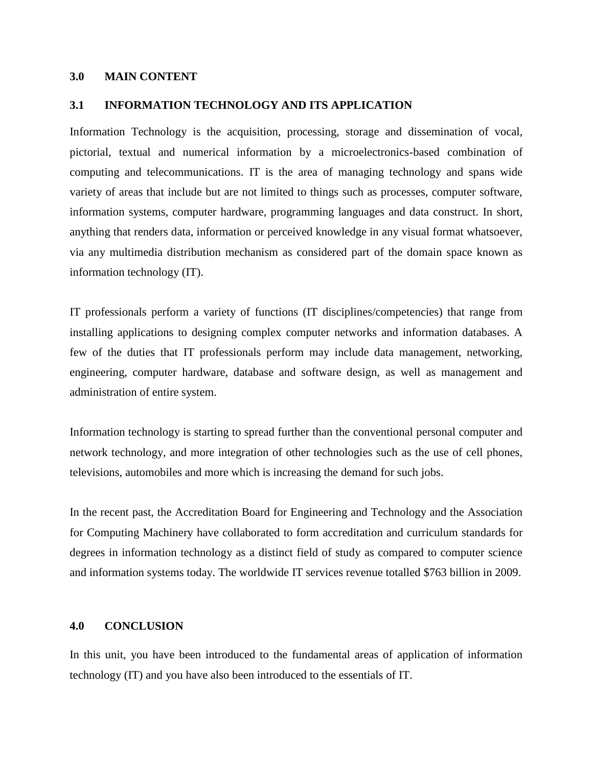#### **3.0 MAIN CONTENT**

#### **3.1 INFORMATION TECHNOLOGY AND ITS APPLICATION**

Information Technology is the acquisition, processing, storage and dissemination of vocal, pictorial, textual and numerical information by a microelectronics-based combination of computing and telecommunications. IT is the area of managing technology and spans wide variety of areas that include but are not limited to things such as processes, computer software, information systems, computer hardware, programming languages and data construct. In short, anything that renders data, information or perceived knowledge in any visual format whatsoever, via any multimedia distribution mechanism as considered part of the domain space known as information technology (IT).

IT professionals perform a variety of functions (IT disciplines/competencies) that range from installing applications to designing complex computer networks and information databases. A few of the duties that IT professionals perform may include data management, networking, engineering, computer hardware, database and software design, as well as management and administration of entire system.

Information technology is starting to spread further than the conventional personal computer and network technology, and more integration of other technologies such as the use of cell phones, televisions, automobiles and more which is increasing the demand for such jobs.

In the recent past, the Accreditation Board for Engineering and Technology and the Association for Computing Machinery have collaborated to form accreditation and curriculum standards for degrees in information technology as a distinct field of study as compared to computer science and information systems today. The worldwide IT services revenue totalled \$763 billion in 2009.

#### **4.0 CONCLUSION**

In this unit, you have been introduced to the fundamental areas of application of information technology (IT) and you have also been introduced to the essentials of IT.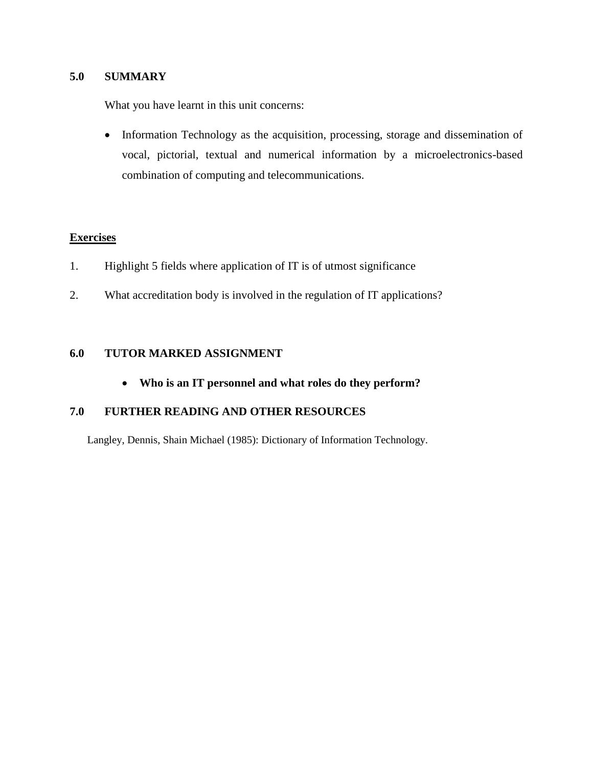# **5.0 SUMMARY**

What you have learnt in this unit concerns:

• Information Technology as the acquisition, processing, storage and dissemination of vocal, pictorial, textual and numerical information by a microelectronics-based combination of computing and telecommunications.

# **Exercises**

- 1. Highlight 5 fields where application of IT is of utmost significance
- 2. What accreditation body is involved in the regulation of IT applications?

# **6.0 TUTOR MARKED ASSIGNMENT**

**Who is an IT personnel and what roles do they perform?**

# **7.0 FURTHER READING AND OTHER RESOURCES**

Langley, Dennis, Shain Michael (1985): Dictionary of Information Technology.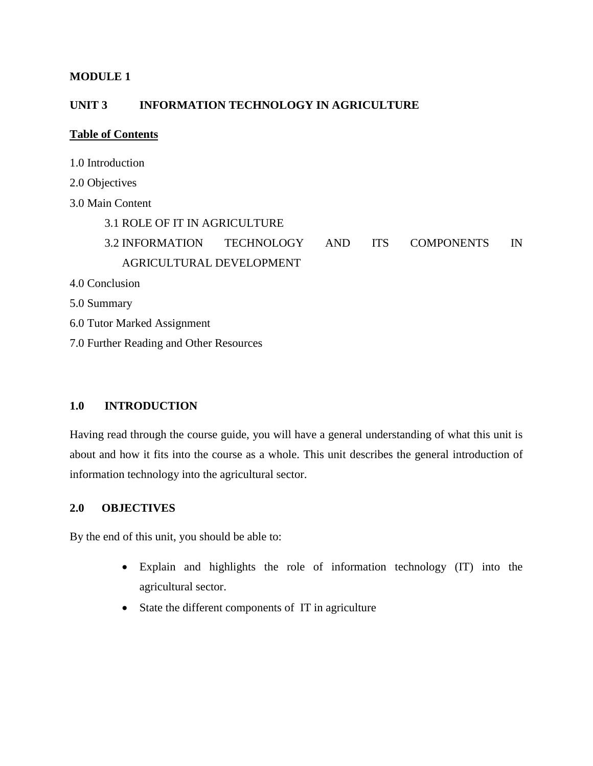# **MODULE 1**

# **UNIT 3 INFORMATION TECHNOLOGY IN AGRICULTURE**

# **Table of Contents**

1.0 Introduction 2.0 Objectives 3.0 Main Content 3.1 ROLE OF IT IN AGRICULTURE 3.2 INFORMATION TECHNOLOGY AND ITS COMPONENTS IN AGRICULTURAL DEVELOPMENT 4.0 Conclusion 5.0 Summary 6.0 Tutor Marked Assignment 7.0 Further Reading and Other Resources

# **1.0 INTRODUCTION**

Having read through the course guide, you will have a general understanding of what this unit is about and how it fits into the course as a whole. This unit describes the general introduction of information technology into the agricultural sector.

# **2.0 OBJECTIVES**

By the end of this unit, you should be able to:

- Explain and highlights the role of information technology (IT) into the agricultural sector.
- State the different components of IT in agriculture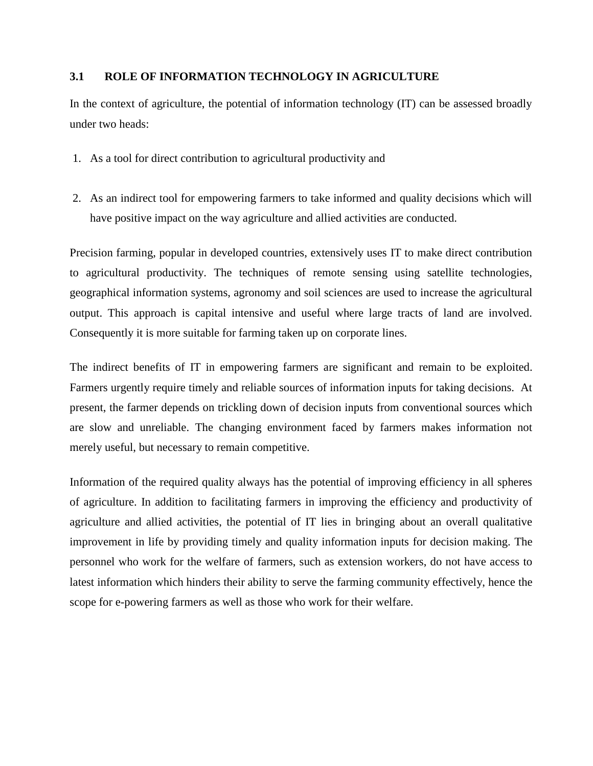# **3.1 ROLE OF INFORMATION TECHNOLOGY IN AGRICULTURE**

In the context of agriculture, the potential of information technology (IT) can be assessed broadly under two heads:

- 1. As a tool for direct contribution to agricultural productivity and
- 2. As an indirect tool for empowering farmers to take informed and quality decisions which will have positive impact on the way agriculture and allied activities are conducted.

Precision farming, popular in developed countries, extensively uses IT to make direct contribution to agricultural productivity. The techniques of remote sensing using satellite technologies, geographical information systems, agronomy and soil sciences are used to increase the agricultural output. This approach is capital intensive and useful where large tracts of land are involved. Consequently it is more suitable for farming taken up on corporate lines.

The indirect benefits of IT in empowering farmers are significant and remain to be exploited. Farmers urgently require timely and reliable sources of information inputs for taking decisions. At present, the farmer depends on trickling down of decision inputs from conventional sources which are slow and unreliable. The changing environment faced by farmers makes information not merely useful, but necessary to remain competitive.

Information of the required quality always has the potential of improving efficiency in all spheres of agriculture. In addition to facilitating farmers in improving the efficiency and productivity of agriculture and allied activities, the potential of IT lies in bringing about an overall qualitative improvement in life by providing timely and quality information inputs for decision making. The personnel who work for the welfare of farmers, such as extension workers, do not have access to latest information which hinders their ability to serve the farming community effectively, hence the scope for e-powering farmers as well as those who work for their welfare.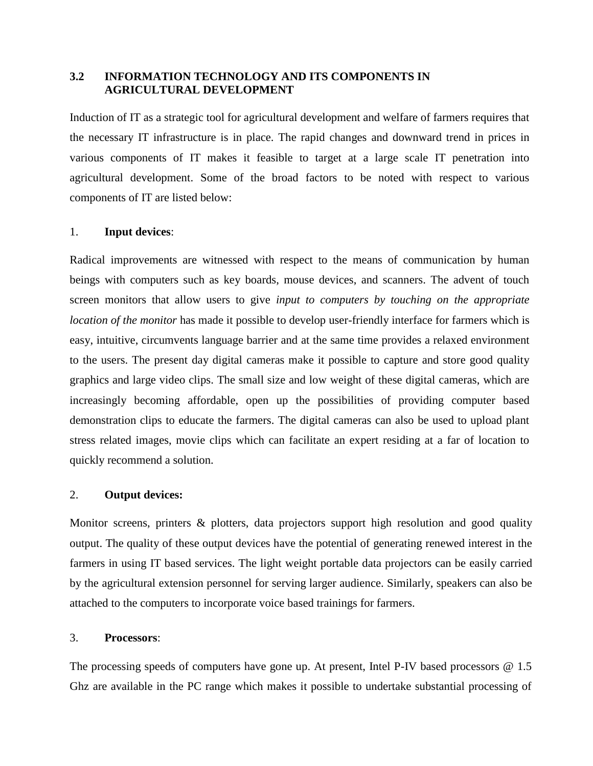# **3.2 INFORMATION TECHNOLOGY AND ITS COMPONENTS IN AGRICULTURAL DEVELOPMENT**

Induction of IT as a strategic tool for agricultural development and welfare of farmers requires that the necessary IT infrastructure is in place. The rapid changes and downward trend in prices in various components of IT makes it feasible to target at a large scale IT penetration into agricultural development. Some of the broad factors to be noted with respect to various components of IT are listed below:

#### 1. **Input devices**:

Radical improvements are witnessed with respect to the means of communication by human beings with computers such as key boards, mouse devices, and scanners. The advent of touch screen monitors that allow users to give *input to computers by touching on the appropriate location of the monitor* has made it possible to develop user-friendly interface for farmers which is easy, intuitive, circumvents language barrier and at the same time provides a relaxed environment to the users. The present day digital cameras make it possible to capture and store good quality graphics and large video clips. The small size and low weight of these digital cameras, which are increasingly becoming affordable, open up the possibilities of providing computer based demonstration clips to educate the farmers. The digital cameras can also be used to upload plant stress related images, movie clips which can facilitate an expert residing at a far of location to quickly recommend a solution.

# 2. **Output devices:**

Monitor screens, printers & plotters, data projectors support high resolution and good quality output. The quality of these output devices have the potential of generating renewed interest in the farmers in using IT based services. The light weight portable data projectors can be easily carried by the agricultural extension personnel for serving larger audience. Similarly, speakers can also be attached to the computers to incorporate voice based trainings for farmers.

#### 3. **Processors**:

The processing speeds of computers have gone up. At present, Intel P-IV based processors @ 1.5 Ghz are available in the PC range which makes it possible to undertake substantial processing of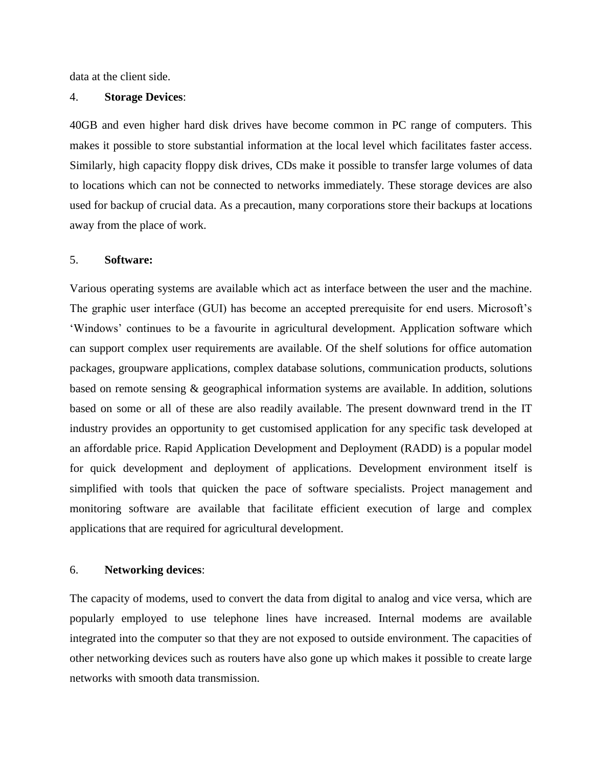data at the client side.

#### 4. **Storage Devices**:

40GB and even higher hard disk drives have become common in PC range of computers. This makes it possible to store substantial information at the local level which facilitates faster access. Similarly, high capacity floppy disk drives, CDs make it possible to transfer large volumes of data to locations which can not be connected to networks immediately. These storage devices are also used for backup of crucial data. As a precaution, many corporations store their backups at locations away from the place of work.

#### 5. **Software:**

Various operating systems are available which act as interface between the user and the machine. The graphic user interface (GUI) has become an accepted prerequisite for end users. Microsoft's ‗Windows' continues to be a favourite in agricultural development. Application software which can support complex user requirements are available. Of the shelf solutions for office automation packages, groupware applications, complex database solutions, communication products, solutions based on remote sensing & geographical information systems are available. In addition, solutions based on some or all of these are also readily available. The present downward trend in the IT industry provides an opportunity to get customised application for any specific task developed at an affordable price. Rapid Application Development and Deployment (RADD) is a popular model for quick development and deployment of applications. Development environment itself is simplified with tools that quicken the pace of software specialists. Project management and monitoring software are available that facilitate efficient execution of large and complex applications that are required for agricultural development.

#### 6. **Networking devices**:

The capacity of modems, used to convert the data from digital to analog and vice versa, which are popularly employed to use telephone lines have increased. Internal modems are available integrated into the computer so that they are not exposed to outside environment. The capacities of other networking devices such as routers have also gone up which makes it possible to create large networks with smooth data transmission.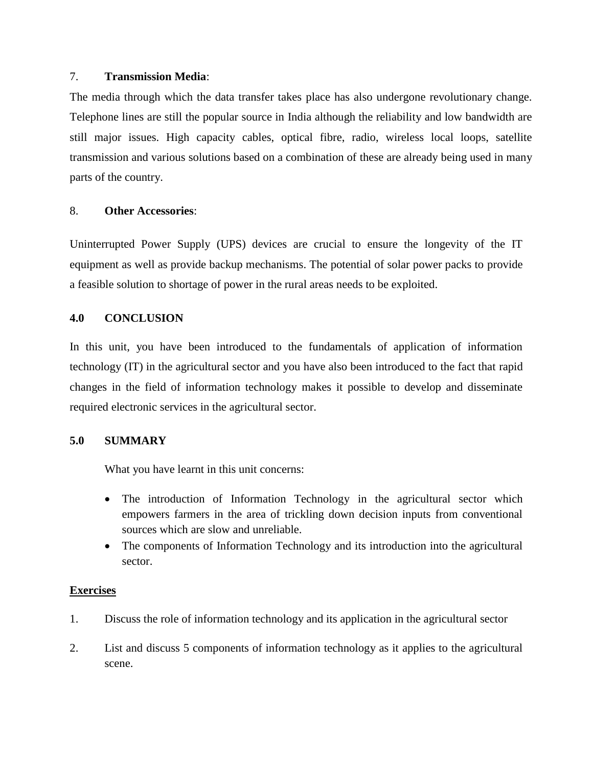# 7. **Transmission Media**:

The media through which the data transfer takes place has also undergone revolutionary change. Telephone lines are still the popular source in India although the reliability and low bandwidth are still major issues. High capacity cables, optical fibre, radio, wireless local loops, satellite transmission and various solutions based on a combination of these are already being used in many parts of the country.

# 8. **Other Accessories**:

Uninterrupted Power Supply (UPS) devices are crucial to ensure the longevity of the IT equipment as well as provide backup mechanisms. The potential of solar power packs to provide a feasible solution to shortage of power in the rural areas needs to be exploited.

# **4.0 CONCLUSION**

In this unit, you have been introduced to the fundamentals of application of information technology (IT) in the agricultural sector and you have also been introduced to the fact that rapid changes in the field of information technology makes it possible to develop and disseminate required electronic services in the agricultural sector.

# **5.0 SUMMARY**

What you have learnt in this unit concerns:

- The introduction of Information Technology in the agricultural sector which empowers farmers in the area of trickling down decision inputs from conventional sources which are slow and unreliable.
- The components of Information Technology and its introduction into the agricultural sector.

#### **Exercises**

- 1. Discuss the role of information technology and its application in the agricultural sector
- 2. List and discuss 5 components of information technology as it applies to the agricultural scene.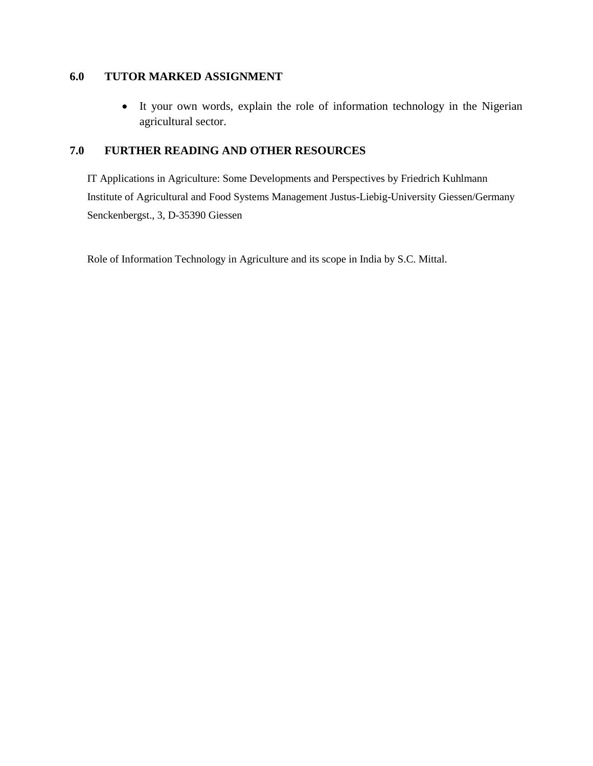# **6.0 TUTOR MARKED ASSIGNMENT**

 It your own words, explain the role of information technology in the Nigerian agricultural sector.

# **7.0 FURTHER READING AND OTHER RESOURCES**

IT Applications in Agriculture: Some Developments and Perspectives by Friedrich Kuhlmann Institute of Agricultural and Food Systems Management Justus-Liebig-University Giessen/Germany Senckenbergst., 3, D-35390 Giessen

Role of Information Technology in Agriculture and its scope in India by S.C. Mittal.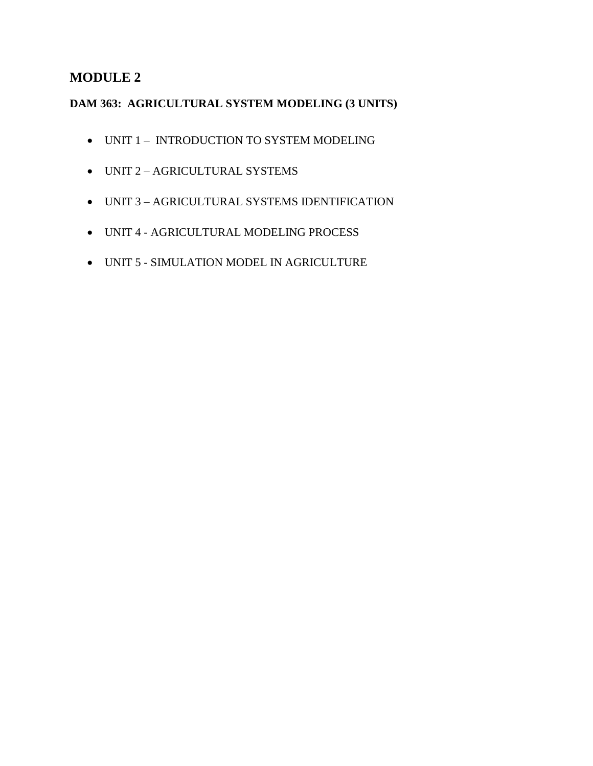# **MODULE 2**

# **DAM 363: AGRICULTURAL SYSTEM MODELING (3 UNITS)**

- UNIT 1 INTRODUCTION TO SYSTEM MODELING
- UNIT 2 AGRICULTURAL SYSTEMS
- UNIT 3 AGRICULTURAL SYSTEMS IDENTIFICATION
- UNIT 4 AGRICULTURAL MODELING PROCESS
- UNIT 5 SIMULATION MODEL IN AGRICULTURE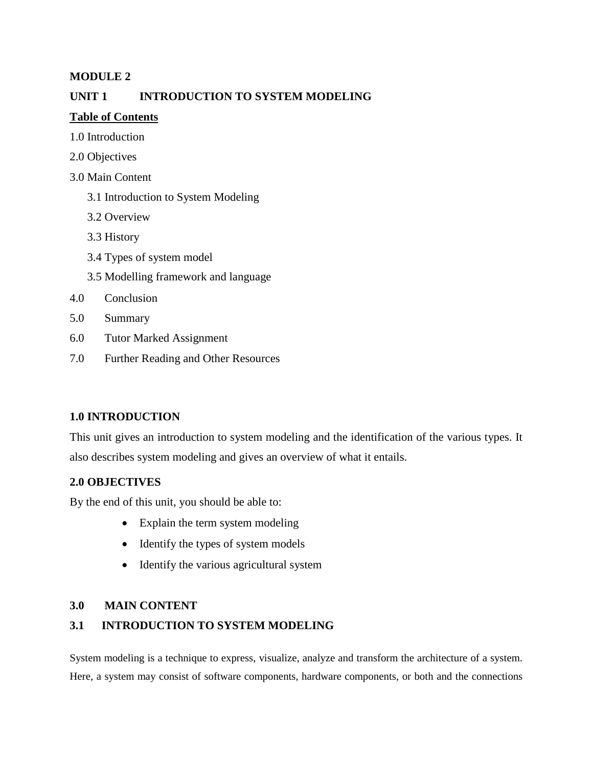# **MODULE 2**

# **UNIT 1 INTRODUCTION TO SYSTEM MODELING**

# **Table of Contents**

- 1.0 Introduction
- 2.0 Objectives
- 3.0 Main Content
	- 3.1 Introduction to System Modeling
	- 3.2 Overview
	- 3.3 History
	- 3.4 Types of system model
	- 3.5 Modelling framework and language
- 4.0 Conclusion
- 5.0 Summary
- 6.0 Tutor Marked Assignment
- 7.0 Further Reading and Other Resources

# **1.0 INTRODUCTION**

This unit gives an introduction to system modeling and the identification of the various types. It also describes system modeling and gives an overview of what it entails.

# **2.0 OBJECTIVES**

By the end of this unit, you should be able to:

- Explain the term system modeling
- Identify the types of system models
- Identify the various agricultural system

# **3.0 MAIN CONTENT**

# **3.1 INTRODUCTION TO SYSTEM MODELING**

System modeling is a technique to express, visualize, analyze and transform the architecture of a system. Here, a system may consist of software components, hardware components, or both and the connections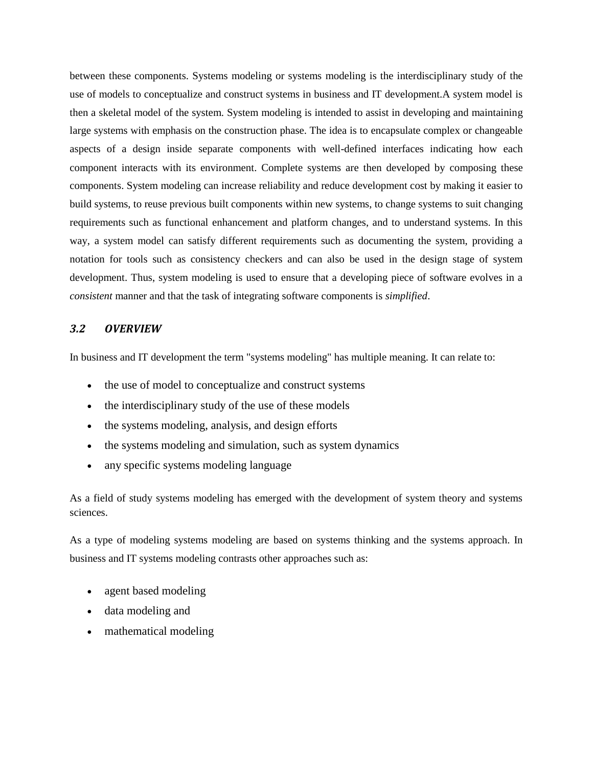between these components. Systems modeling or systems modeling is the interdisciplinary study of the use of models to conceptualize and construct systems in business and IT development.A system model is then a skeletal model of the system. System modeling is intended to assist in developing and maintaining large systems with emphasis on the construction phase. The idea is to encapsulate complex or changeable aspects of a design inside separate components with well-defined interfaces indicating how each component interacts with its environment. Complete systems are then developed by composing these components. System modeling can increase reliability and reduce development cost by making it easier to build systems, to reuse previous built components within new systems, to change systems to suit changing requirements such as functional enhancement and platform changes, and to understand systems. In this way, a system model can satisfy different requirements such as documenting the system, providing a notation for tools such as consistency checkers and can also be used in the design stage of system development. Thus, system modeling is used to ensure that a developing piece of software evolves in a *consistent* manner and that the task of integrating software components is *simplified*.

# *3.2 OVERVIEW*

In business and IT development the term "systems modeling" has multiple meaning. It can relate to:

- the use of model to conceptualize and construct systems
- the interdisciplinary study of the use of these models
- the systems modeling, analysis, and design efforts
- the systems modeling and simulation, such as system dynamics
- any specific systems modeling language

As a field of study systems modeling has emerged with the development of system theory and systems sciences.

As a type of modeling systems modeling are based on systems thinking and the systems approach. In business and IT systems modeling contrasts other approaches such as:

- agent based modeling
- data modeling and
- mathematical modeling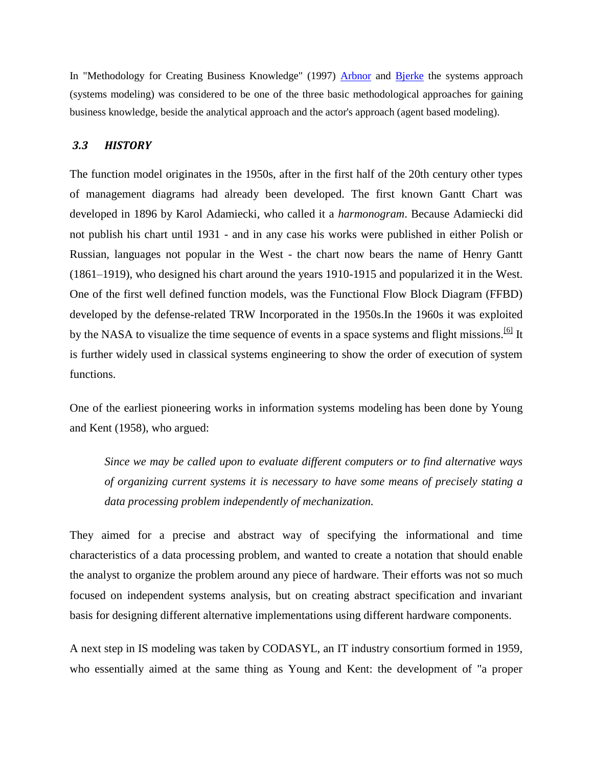In "Methodology for Creating Business Knowledge" (1997) [Arbnor](http://en.wikipedia.org/wiki/Ingeman_Arbnor) and Bierke the systems approach (systems modeling) was considered to be one of the three basic methodological approaches for gaining business knowledge, beside the analytical approach and the actor's approach (agent based modeling).

#### *3.3 HISTORY*

The function model originates in the 1950s, after in the first half of the 20th century other types of management diagrams had already been developed. The first known Gantt Chart was developed in 1896 by Karol Adamiecki, who called it a *harmonogram*. Because Adamiecki did not publish his chart until 1931 - and in any case his works were published in either Polish or Russian, languages not popular in the West - the chart now bears the name of Henry Gantt (1861–1919), who designed his chart around the years 1910-1915 and popularized it in the West. One of the first well defined function models, was the Functional Flow Block Diagram (FFBD) developed by the defense-related TRW Incorporated in the 1950s.In the 1960s it was exploited by the NASA to visualize the time sequence of events in a space systems and flight missions.<sup>[\[6\]](../../USer/Desktop/emmao/Systems_modeling.htm#cite_note-5#cite_note-5)</sup> It is further widely used in classical systems engineering to show the order of execution of system functions.

One of the earliest pioneering works in information systems modeling has been done by Young and Kent (1958), who argued:

*Since we may be called upon to evaluate different computers or to find alternative ways of organizing current systems it is necessary to have some means of precisely stating a data processing problem independently of mechanization.*

They aimed for a precise and abstract way of specifying the informational and time characteristics of a data processing problem, and wanted to create a notation that should enable the analyst to organize the problem around any piece of hardware. Their efforts was not so much focused on independent systems analysis, but on creating abstract specification and invariant basis for designing different alternative implementations using different hardware components.

A next step in IS modeling was taken by CODASYL, an IT industry consortium formed in 1959, who essentially aimed at the same thing as Young and Kent: the development of "a proper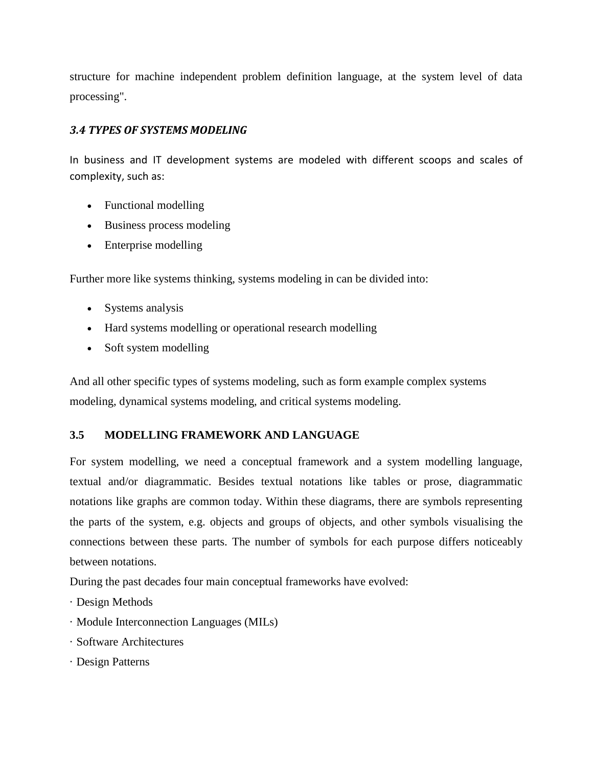structure for machine independent problem definition language, at the system level of data processing".

# *3.4 TYPES OF SYSTEMS MODELING*

In business and IT development systems are modeled with different scoops and scales of complexity, such as:

- Functional modelling
- Business process modeling
- Enterprise modelling

Further more like systems thinking, systems modeling in can be divided into:

- Systems analysis
- Hard systems modelling or operational research modelling
- Soft system modelling

And all other specific types of systems modeling, such as form example complex systems modeling, dynamical systems modeling, and critical systems modeling.

# **3.5 MODELLING FRAMEWORK AND LANGUAGE**

For system modelling, we need a conceptual framework and a system modelling language, textual and/or diagrammatic. Besides textual notations like tables or prose, diagrammatic notations like graphs are common today. Within these diagrams, there are symbols representing the parts of the system, e.g. objects and groups of objects, and other symbols visualising the connections between these parts. The number of symbols for each purpose differs noticeably between notations.

During the past decades four main conceptual frameworks have evolved:

- · Design Methods
- · Module Interconnection Languages (MILs)
- · Software Architectures
- · Design Patterns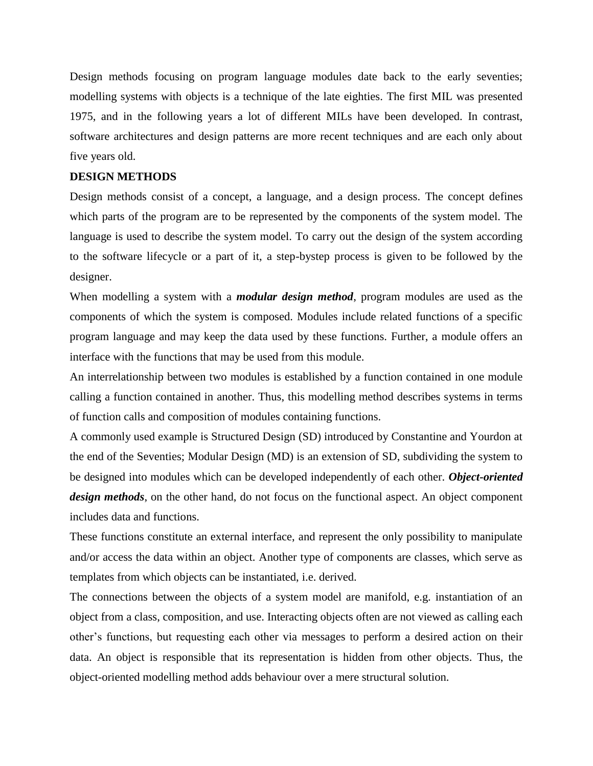Design methods focusing on program language modules date back to the early seventies; modelling systems with objects is a technique of the late eighties. The first MIL was presented 1975, and in the following years a lot of different MILs have been developed. In contrast, software architectures and design patterns are more recent techniques and are each only about five years old.

#### **DESIGN METHODS**

Design methods consist of a concept, a language, and a design process. The concept defines which parts of the program are to be represented by the components of the system model. The language is used to describe the system model. To carry out the design of the system according to the software lifecycle or a part of it, a step-bystep process is given to be followed by the designer.

When modelling a system with a *modular design method*, program modules are used as the components of which the system is composed. Modules include related functions of a specific program language and may keep the data used by these functions. Further, a module offers an interface with the functions that may be used from this module.

An interrelationship between two modules is established by a function contained in one module calling a function contained in another. Thus, this modelling method describes systems in terms of function calls and composition of modules containing functions.

A commonly used example is Structured Design (SD) introduced by Constantine and Yourdon at the end of the Seventies; Modular Design (MD) is an extension of SD, subdividing the system to be designed into modules which can be developed independently of each other. *Object-oriented design methods*, on the other hand, do not focus on the functional aspect. An object component includes data and functions.

These functions constitute an external interface, and represent the only possibility to manipulate and/or access the data within an object. Another type of components are classes, which serve as templates from which objects can be instantiated, i.e. derived.

The connections between the objects of a system model are manifold, e.g. instantiation of an object from a class, composition, and use. Interacting objects often are not viewed as calling each other's functions, but requesting each other via messages to perform a desired action on their data. An object is responsible that its representation is hidden from other objects. Thus, the object-oriented modelling method adds behaviour over a mere structural solution.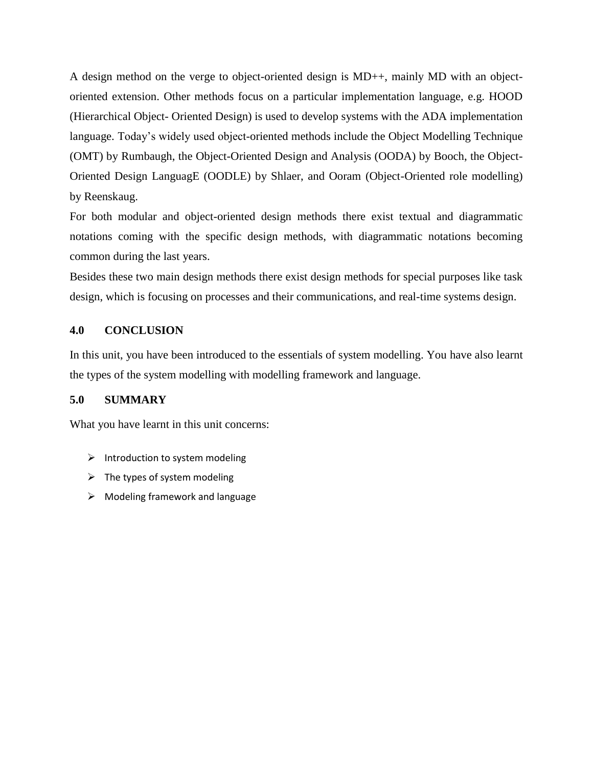A design method on the verge to object-oriented design is MD++, mainly MD with an objectoriented extension. Other methods focus on a particular implementation language, e.g. HOOD (Hierarchical Object- Oriented Design) is used to develop systems with the ADA implementation language. Today's widely used object-oriented methods include the Object Modelling Technique (OMT) by Rumbaugh, the Object-Oriented Design and Analysis (OODA) by Booch, the Object-Oriented Design LanguagE (OODLE) by Shlaer, and Ooram (Object-Oriented role modelling) by Reenskaug.

For both modular and object-oriented design methods there exist textual and diagrammatic notations coming with the specific design methods, with diagrammatic notations becoming common during the last years.

Besides these two main design methods there exist design methods for special purposes like task design, which is focusing on processes and their communications, and real-time systems design.

# **4.0 CONCLUSION**

In this unit, you have been introduced to the essentials of system modelling. You have also learnt the types of the system modelling with modelling framework and language.

# **5.0 SUMMARY**

What you have learnt in this unit concerns:

- $\triangleright$  Introduction to system modeling
- $\triangleright$  The types of system modeling
- $\triangleright$  Modeling framework and language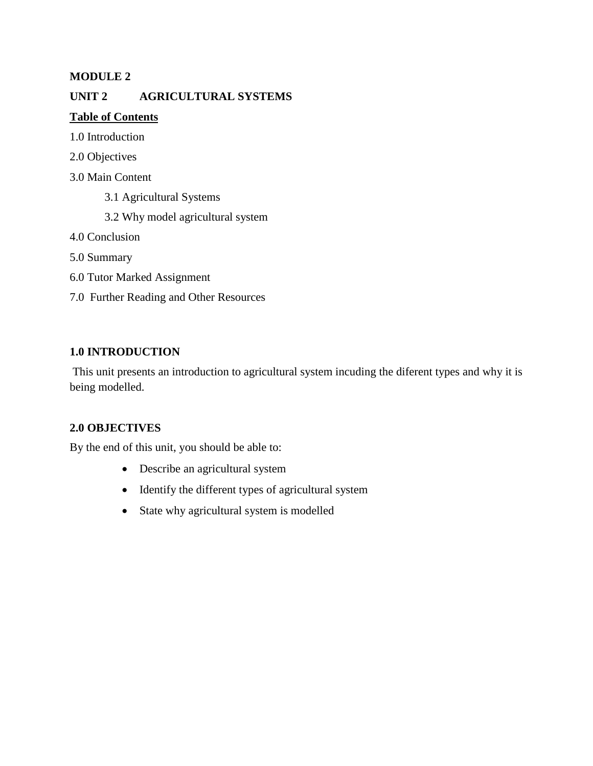# **MODULE 2**

# **UNIT 2 AGRICULTURAL SYSTEMS**

# **Table of Contents**

- 1.0 Introduction
- 2.0 Objectives
- 3.0 Main Content
	- 3.1 Agricultural Systems
	- 3.2 Why model agricultural system
- 4.0 Conclusion
- 5.0 Summary
- 6.0 Tutor Marked Assignment
- 7.0 Further Reading and Other Resources

# **1.0 INTRODUCTION**

This unit presents an introduction to agricultural system incuding the diferent types and why it is being modelled.

# **2.0 OBJECTIVES**

By the end of this unit, you should be able to:

- Describe an agricultural system
- Identify the different types of agricultural system
- State why agricultural system is modelled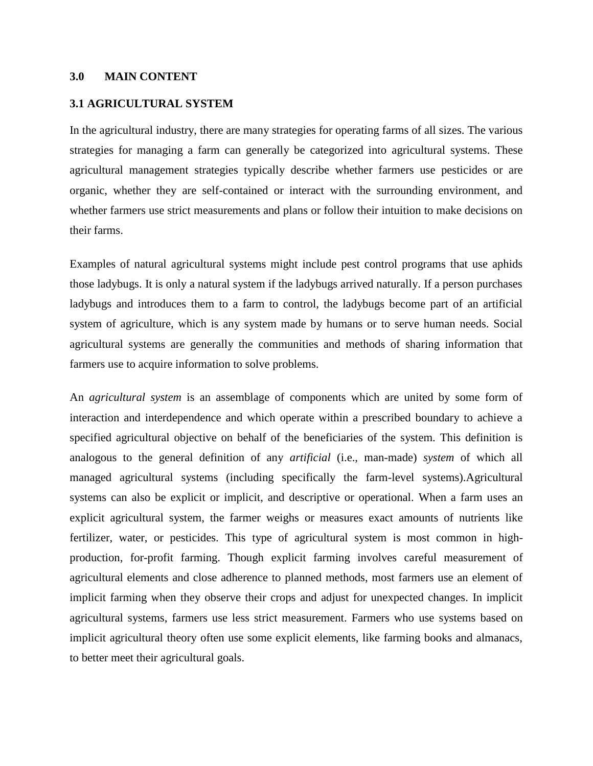#### **3.0 MAIN CONTENT**

#### **3.1 AGRICULTURAL SYSTEM**

In the agricultural industry, there are many strategies for operating farms of all sizes. The various strategies for managing a farm can generally be categorized into agricultural systems. These agricultural management strategies typically describe whether farmers use pesticides or are organic, whether they are self-contained or interact with the surrounding environment, and whether farmers use strict measurements and plans or follow their intuition to make decisions on their farms.

Examples of natural agricultural systems might include pest control programs that use aphids those ladybugs. It is only a natural system if the ladybugs arrived naturally. If a person purchases ladybugs and introduces them to a farm to control, the ladybugs become part of an artificial system of agriculture, which is any system made by humans or to serve human needs. Social agricultural systems are generally the communities and methods of sharing information that farmers use to acquire information to solve problems.

An *agricultural system* is an assemblage of components which are united by some form of interaction and interdependence and which operate within a prescribed boundary to achieve a specified agricultural objective on behalf of the beneficiaries of the system. This definition is analogous to the general definition of any *artificial* (i.e., man-made) *system* of which all managed agricultural systems (including specifically the farm-level systems).Agricultural systems can also be explicit or implicit, and descriptive or operational. When a farm uses an explicit agricultural system, the farmer weighs or measures exact amounts of nutrients like fertilizer, water, or pesticides. This type of agricultural system is most common in highproduction, for-profit farming. Though explicit farming involves careful measurement of agricultural elements and close adherence to planned methods, most farmers use an element of implicit farming when they observe their crops and adjust for unexpected changes. In implicit agricultural systems, farmers use less strict measurement. Farmers who use systems based on implicit agricultural theory often use some explicit elements, like farming books and almanacs, to better meet their agricultural goals.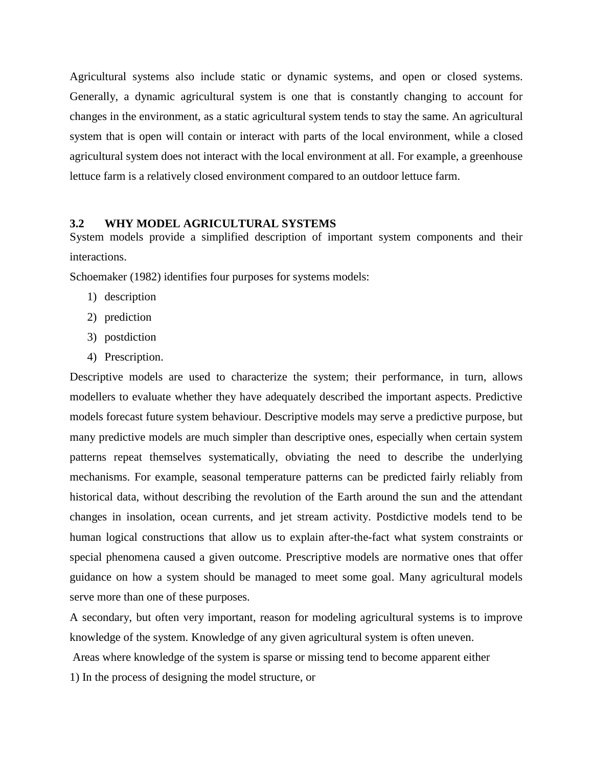Agricultural systems also include static or dynamic systems, and open or closed systems. Generally, a dynamic agricultural system is one that is constantly changing to account for changes in the environment, as a static agricultural system tends to stay the same. An agricultural system that is open will contain or interact with parts of the local environment, while a closed agricultural system does not interact with the local environment at all. For example, a greenhouse lettuce farm is a relatively closed environment compared to an outdoor lettuce farm.

# **3.2 WHY MODEL AGRICULTURAL SYSTEMS**

System models provide a simplified description of important system components and their interactions.

Schoemaker (1982) identifies four purposes for systems models:

- 1) description
- 2) prediction
- 3) postdiction
- 4) Prescription.

Descriptive models are used to characterize the system; their performance, in turn, allows modellers to evaluate whether they have adequately described the important aspects. Predictive models forecast future system behaviour. Descriptive models may serve a predictive purpose, but many predictive models are much simpler than descriptive ones, especially when certain system patterns repeat themselves systematically, obviating the need to describe the underlying mechanisms. For example, seasonal temperature patterns can be predicted fairly reliably from historical data, without describing the revolution of the Earth around the sun and the attendant changes in insolation, ocean currents, and jet stream activity. Postdictive models tend to be human logical constructions that allow us to explain after-the-fact what system constraints or special phenomena caused a given outcome. Prescriptive models are normative ones that offer guidance on how a system should be managed to meet some goal. Many agricultural models serve more than one of these purposes.

A secondary, but often very important, reason for modeling agricultural systems is to improve knowledge of the system. Knowledge of any given agricultural system is often uneven.

Areas where knowledge of the system is sparse or missing tend to become apparent either

1) In the process of designing the model structure, or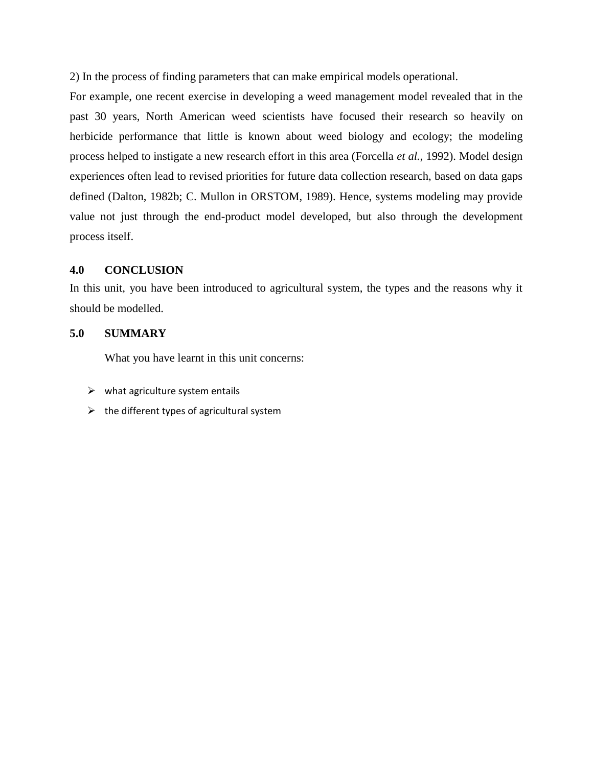2) In the process of finding parameters that can make empirical models operational.

For example, one recent exercise in developing a weed management model revealed that in the past 30 years, North American weed scientists have focused their research so heavily on herbicide performance that little is known about weed biology and ecology; the modeling process helped to instigate a new research effort in this area (Forcella *et al.*, 1992). Model design experiences often lead to revised priorities for future data collection research, based on data gaps defined (Dalton, 1982b; C. Mullon in ORSTOM, 1989). Hence, systems modeling may provide value not just through the end-product model developed, but also through the development process itself.

### **4.0 CONCLUSION**

In this unit, you have been introduced to agricultural system, the types and the reasons why it should be modelled.

# **5.0 SUMMARY**

What you have learnt in this unit concerns:

- $\triangleright$  what agriculture system entails
- $\triangleright$  the different types of agricultural system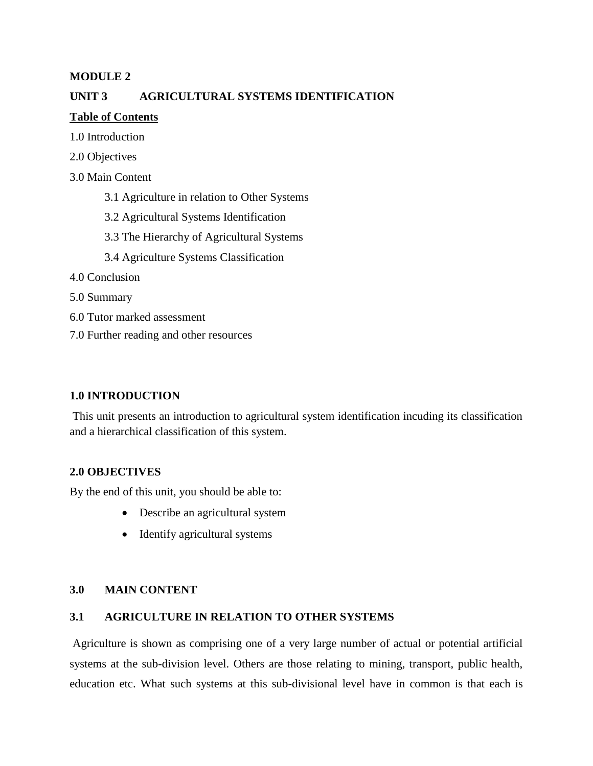# **MODULE 2**

# **UNIT 3 AGRICULTURAL SYSTEMS IDENTIFICATION**

# **Table of Contents**

- 1.0 Introduction
- 2.0 Objectives
- 3.0 Main Content
	- 3.1 Agriculture in relation to Other Systems
	- 3.2 Agricultural Systems Identification
	- 3.3 The Hierarchy of Agricultural Systems
	- 3.4 Agriculture Systems Classification
- 4.0 Conclusion
- 5.0 Summary
- 6.0 Tutor marked assessment
- 7.0 Further reading and other resources

# **1.0 INTRODUCTION**

This unit presents an introduction to agricultural system identification incuding its classification and a hierarchical classification of this system.

# **2.0 OBJECTIVES**

By the end of this unit, you should be able to:

- Describe an agricultural system
- Identify agricultural systems

# **3.0 MAIN CONTENT**

# **3.1 AGRICULTURE IN RELATION TO OTHER SYSTEMS**

Agriculture is shown as comprising one of a very large number of actual or potential artificial systems at the sub-division level. Others are those relating to mining, transport, public health, education etc. What such systems at this sub-divisional level have in common is that each is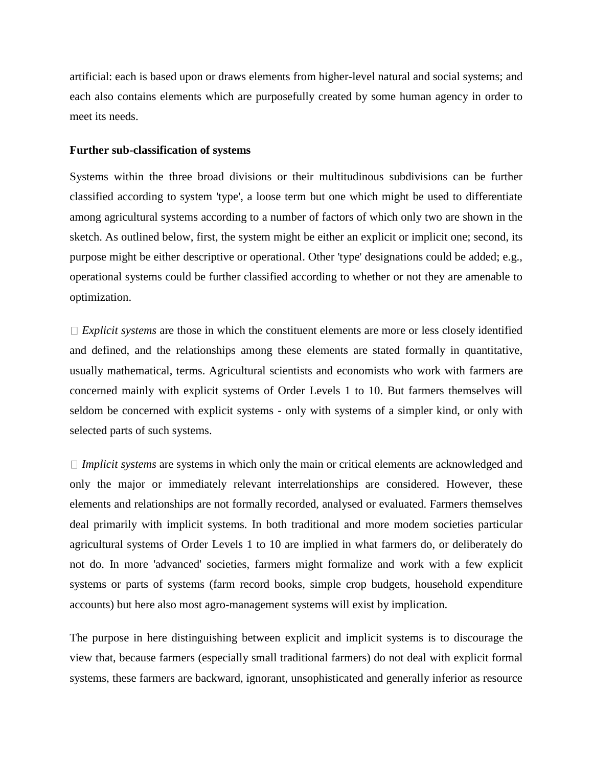artificial: each is based upon or draws elements from higher-level natural and social systems; and each also contains elements which are purposefully created by some human agency in order to meet its needs.

#### **Further sub-classification of systems**

Systems within the three broad divisions or their multitudinous subdivisions can be further classified according to system 'type', a loose term but one which might be used to differentiate among agricultural systems according to a number of factors of which only two are shown in the sketch. As outlined below, first, the system might be either an explicit or implicit one; second, its purpose might be either descriptive or operational. Other 'type' designations could be added; e.g., operational systems could be further classified according to whether or not they are amenable to optimization.

*Explicit systems* are those in which the constituent elements are more or less closely identified and defined, and the relationships among these elements are stated formally in quantitative, usually mathematical, terms. Agricultural scientists and economists who work with farmers are concerned mainly with explicit systems of Order Levels 1 to 10. But farmers themselves will seldom be concerned with explicit systems - only with systems of a simpler kind, or only with selected parts of such systems.

*Implicit systems* are systems in which only the main or critical elements are acknowledged and only the major or immediately relevant interrelationships are considered. However, these elements and relationships are not formally recorded, analysed or evaluated. Farmers themselves deal primarily with implicit systems. In both traditional and more modem societies particular agricultural systems of Order Levels 1 to 10 are implied in what farmers do, or deliberately do not do. In more 'advanced' societies, farmers might formalize and work with a few explicit systems or parts of systems (farm record books, simple crop budgets, household expenditure accounts) but here also most agro-management systems will exist by implication.

The purpose in here distinguishing between explicit and implicit systems is to discourage the view that, because farmers (especially small traditional farmers) do not deal with explicit formal systems, these farmers are backward, ignorant, unsophisticated and generally inferior as resource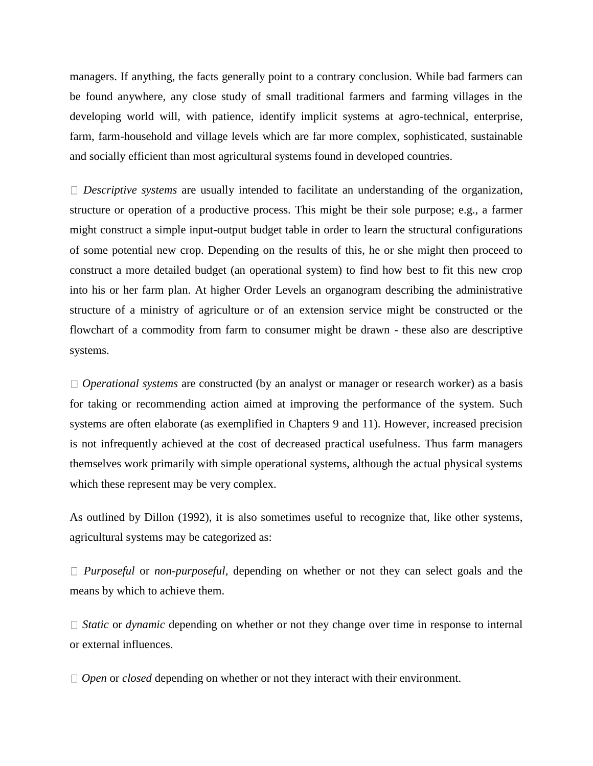managers. If anything, the facts generally point to a contrary conclusion. While bad farmers can be found anywhere, any close study of small traditional farmers and farming villages in the developing world will, with patience, identify implicit systems at agro-technical, enterprise, farm, farm-household and village levels which are far more complex, sophisticated, sustainable and socially efficient than most agricultural systems found in developed countries.

*Descriptive systems* are usually intended to facilitate an understanding of the organization, structure or operation of a productive process. This might be their sole purpose; e.g., a farmer might construct a simple input-output budget table in order to learn the structural configurations of some potential new crop. Depending on the results of this, he or she might then proceed to construct a more detailed budget (an operational system) to find how best to fit this new crop into his or her farm plan. At higher Order Levels an organogram describing the administrative structure of a ministry of agriculture or of an extension service might be constructed or the flowchart of a commodity from farm to consumer might be drawn - these also are descriptive systems.

*Operational systems* are constructed (by an analyst or manager or research worker) as a basis for taking or recommending action aimed at improving the performance of the system. Such systems are often elaborate (as exemplified in Chapters 9 and 11). However, increased precision is not infrequently achieved at the cost of decreased practical usefulness. Thus farm managers themselves work primarily with simple operational systems, although the actual physical systems which these represent may be very complex.

As outlined by Dillon (1992), it is also sometimes useful to recognize that, like other systems, agricultural systems may be categorized as:

*Purposeful* or *non-purposeful,* depending on whether or not they can select goals and the means by which to achieve them.

*Static* or *dynamic* depending on whether or not they change over time in response to internal or external influences.

*Open* or *closed* depending on whether or not they interact with their environment.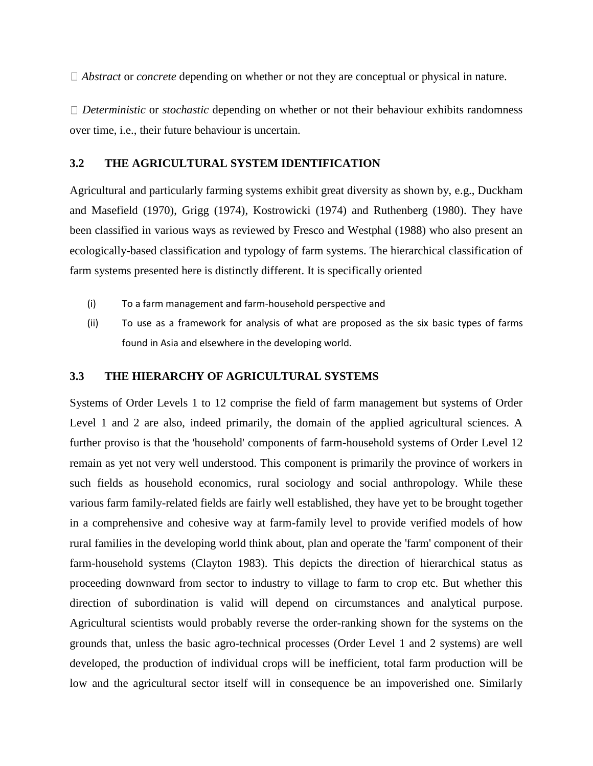*Abstract* or *concrete* depending on whether or not they are conceptual or physical in nature.

*Deterministic* or *stochastic* depending on whether or not their behaviour exhibits randomness over time, i.e., their future behaviour is uncertain.

#### **3.2 THE AGRICULTURAL SYSTEM IDENTIFICATION**

Agricultural and particularly farming systems exhibit great diversity as shown by, e.g., Duckham and Masefield (1970), Grigg (1974), Kostrowicki (1974) and Ruthenberg (1980). They have been classified in various ways as reviewed by Fresco and Westphal (1988) who also present an ecologically-based classification and typology of farm systems. The hierarchical classification of farm systems presented here is distinctly different. It is specifically oriented

- (i) To a farm management and farm-household perspective and
- (ii) To use as a framework for analysis of what are proposed as the six basic types of farms found in Asia and elsewhere in the developing world.

#### **3.3 THE HIERARCHY OF AGRICULTURAL SYSTEMS**

Systems of Order Levels 1 to 12 comprise the field of farm management but systems of Order Level 1 and 2 are also, indeed primarily, the domain of the applied agricultural sciences. A further proviso is that the 'household' components of farm-household systems of Order Level 12 remain as yet not very well understood. This component is primarily the province of workers in such fields as household economics, rural sociology and social anthropology. While these various farm family-related fields are fairly well established, they have yet to be brought together in a comprehensive and cohesive way at farm-family level to provide verified models of how rural families in the developing world think about, plan and operate the 'farm' component of their farm-household systems (Clayton 1983). This depicts the direction of hierarchical status as proceeding downward from sector to industry to village to farm to crop etc. But whether this direction of subordination is valid will depend on circumstances and analytical purpose. Agricultural scientists would probably reverse the order-ranking shown for the systems on the grounds that, unless the basic agro-technical processes (Order Level 1 and 2 systems) are well developed, the production of individual crops will be inefficient, total farm production will be low and the agricultural sector itself will in consequence be an impoverished one. Similarly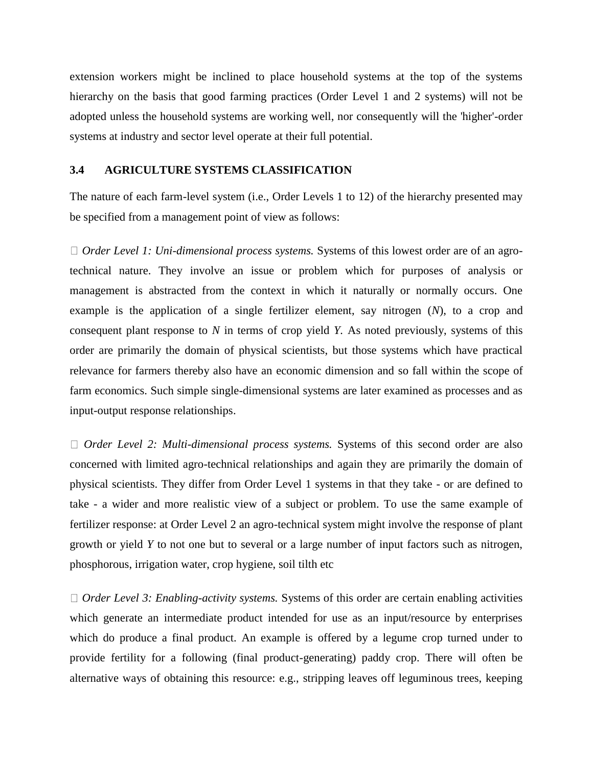extension workers might be inclined to place household systems at the top of the systems hierarchy on the basis that good farming practices (Order Level 1 and 2 systems) will not be adopted unless the household systems are working well, nor consequently will the 'higher'-order systems at industry and sector level operate at their full potential.

# **3.4 AGRICULTURE SYSTEMS CLASSIFICATION**

The nature of each farm-level system (i.e., Order Levels 1 to 12) of the hierarchy presented may be specified from a management point of view as follows:

*Order Level 1: Uni-dimensional process systems.* Systems of this lowest order are of an agrotechnical nature. They involve an issue or problem which for purposes of analysis or management is abstracted from the context in which it naturally or normally occurs. One example is the application of a single fertilizer element, say nitrogen (*N*), to a crop and consequent plant response to *N* in terms of crop yield *Y.* As noted previously, systems of this order are primarily the domain of physical scientists, but those systems which have practical relevance for farmers thereby also have an economic dimension and so fall within the scope of farm economics. Such simple single-dimensional systems are later examined as processes and as input-output response relationships.

*Order Level 2: Multi-dimensional process systems.* Systems of this second order are also concerned with limited agro-technical relationships and again they are primarily the domain of physical scientists. They differ from Order Level 1 systems in that they take - or are defined to take - a wider and more realistic view of a subject or problem. To use the same example of fertilizer response: at Order Level 2 an agro-technical system might involve the response of plant growth or yield *Y* to not one but to several or a large number of input factors such as nitrogen, phosphorous, irrigation water, crop hygiene, soil tilth etc

□ *Order Level 3: Enabling-activity systems.* Systems of this order are certain enabling activities which generate an intermediate product intended for use as an input/resource by enterprises which do produce a final product. An example is offered by a legume crop turned under to provide fertility for a following (final product-generating) paddy crop. There will often be alternative ways of obtaining this resource: e.g., stripping leaves off leguminous trees, keeping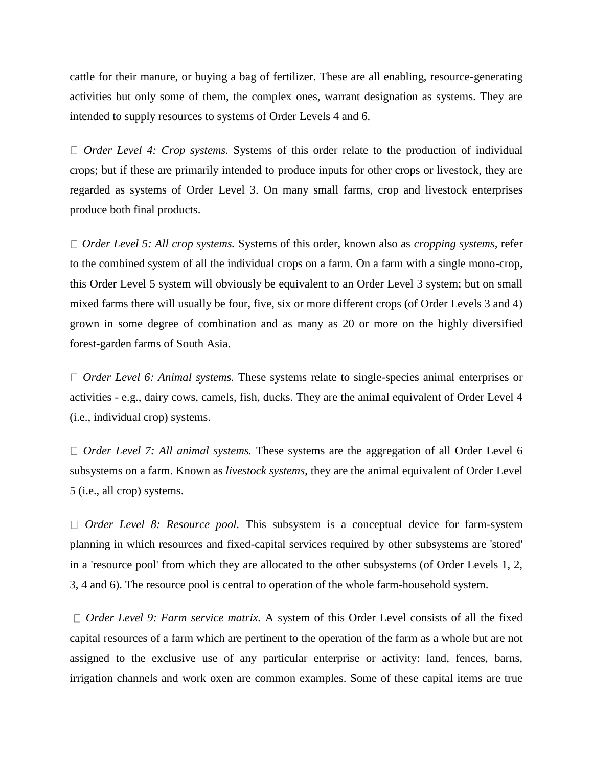cattle for their manure, or buying a bag of fertilizer. These are all enabling, resource-generating activities but only some of them, the complex ones, warrant designation as systems. They are intended to supply resources to systems of Order Levels 4 and 6.

*Order Level 4: Crop systems.* Systems of this order relate to the production of individual crops; but if these are primarily intended to produce inputs for other crops or livestock, they are regarded as systems of Order Level 3. On many small farms, crop and livestock enterprises produce both final products.

*Order Level 5: All crop systems.* Systems of this order, known also as *cropping systems,* refer to the combined system of all the individual crops on a farm. On a farm with a single mono-crop, this Order Level 5 system will obviously be equivalent to an Order Level 3 system; but on small mixed farms there will usually be four, five, six or more different crops (of Order Levels 3 and 4) grown in some degree of combination and as many as 20 or more on the highly diversified forest-garden farms of South Asia.

*Order Level 6: Animal systems.* These systems relate to single-species animal enterprises or activities - e.g., dairy cows, camels, fish, ducks. They are the animal equivalent of Order Level 4 (i.e., individual crop) systems.

*Order Level 7: All animal systems.* These systems are the aggregation of all Order Level 6 subsystems on a farm. Known as *livestock systems*, they are the animal equivalent of Order Level 5 (i.e., all crop) systems.

*Order Level 8: Resource pool.* This subsystem is a conceptual device for farm-system planning in which resources and fixed-capital services required by other subsystems are 'stored' in a 'resource pool' from which they are allocated to the other subsystems (of Order Levels 1, 2, 3, 4 and 6). The resource pool is central to operation of the whole farm-household system.

*Order Level 9: Farm service matrix.* A system of this Order Level consists of all the fixed capital resources of a farm which are pertinent to the operation of the farm as a whole but are not assigned to the exclusive use of any particular enterprise or activity: land, fences, barns, irrigation channels and work oxen are common examples. Some of these capital items are true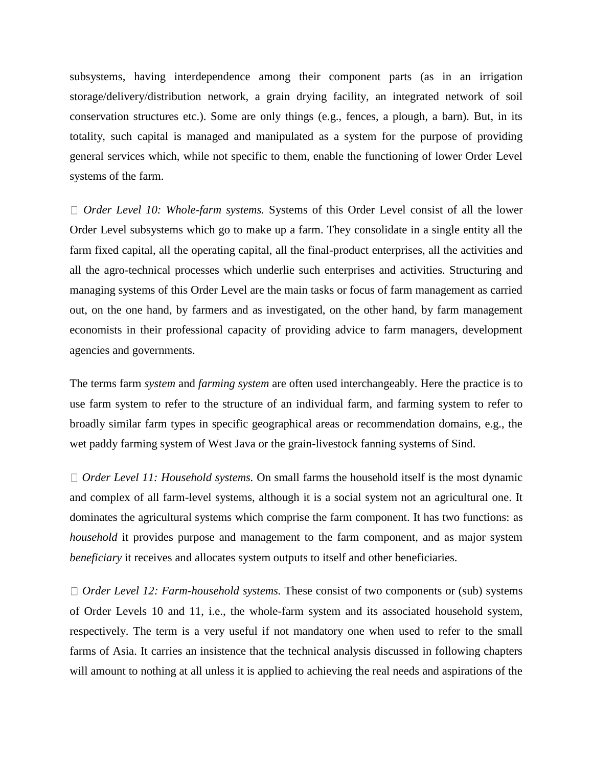subsystems, having interdependence among their component parts (as in an irrigation storage/delivery/distribution network, a grain drying facility, an integrated network of soil conservation structures etc.). Some are only things (e.g., fences, a plough, a barn). But, in its totality, such capital is managed and manipulated as a system for the purpose of providing general services which, while not specific to them, enable the functioning of lower Order Level systems of the farm.

*Order Level 10: Whole-farm systems.* Systems of this Order Level consist of all the lower Order Level subsystems which go to make up a farm. They consolidate in a single entity all the farm fixed capital, all the operating capital, all the final-product enterprises, all the activities and all the agro-technical processes which underlie such enterprises and activities. Structuring and managing systems of this Order Level are the main tasks or focus of farm management as carried out, on the one hand, by farmers and as investigated, on the other hand, by farm management economists in their professional capacity of providing advice to farm managers, development agencies and governments.

The terms farm *system* and *farming system* are often used interchangeably. Here the practice is to use farm system to refer to the structure of an individual farm, and farming system to refer to broadly similar farm types in specific geographical areas or recommendation domains, e.g., the wet paddy farming system of West Java or the grain-livestock fanning systems of Sind.

*Order Level 11: Household systems.* On small farms the household itself is the most dynamic and complex of all farm-level systems, although it is a social system not an agricultural one. It dominates the agricultural systems which comprise the farm component. It has two functions: as *household* it provides purpose and management to the farm component, and as major system *beneficiary* it receives and allocates system outputs to itself and other beneficiaries.

*Order Level 12: Farm-household systems.* These consist of two components or (sub) systems of Order Levels 10 and 11, i.e., the whole-farm system and its associated household system, respectively. The term is a very useful if not mandatory one when used to refer to the small farms of Asia. It carries an insistence that the technical analysis discussed in following chapters will amount to nothing at all unless it is applied to achieving the real needs and aspirations of the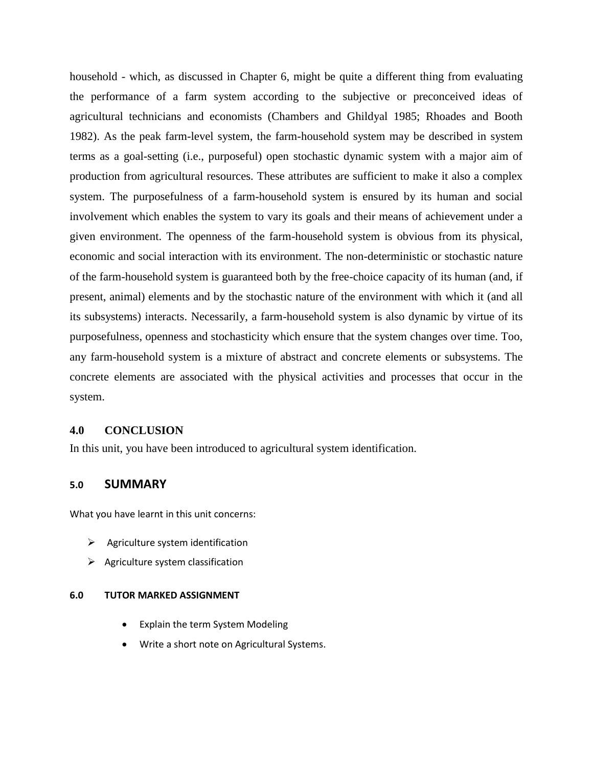household - which, as discussed in Chapter 6, might be quite a different thing from evaluating the performance of a farm system according to the subjective or preconceived ideas of agricultural technicians and economists (Chambers and Ghildyal 1985; Rhoades and Booth 1982). As the peak farm-level system, the farm-household system may be described in system terms as a goal-setting (i.e., purposeful) open stochastic dynamic system with a major aim of production from agricultural resources. These attributes are sufficient to make it also a complex system. The purposefulness of a farm-household system is ensured by its human and social involvement which enables the system to vary its goals and their means of achievement under a given environment. The openness of the farm-household system is obvious from its physical, economic and social interaction with its environment. The non-deterministic or stochastic nature of the farm-household system is guaranteed both by the free-choice capacity of its human (and, if present, animal) elements and by the stochastic nature of the environment with which it (and all its subsystems) interacts. Necessarily, a farm-household system is also dynamic by virtue of its purposefulness, openness and stochasticity which ensure that the system changes over time. Too, any farm-household system is a mixture of abstract and concrete elements or subsystems. The concrete elements are associated with the physical activities and processes that occur in the system.

### **4.0 CONCLUSION**

In this unit, you have been introduced to agricultural system identification.

### **5.0 SUMMARY**

What you have learnt in this unit concerns:

- $\triangleright$  Agriculture system identification
- $\triangleright$  Agriculture system classification

### **6.0 TUTOR MARKED ASSIGNMENT**

- Explain the term System Modeling
- Write a short note on Agricultural Systems.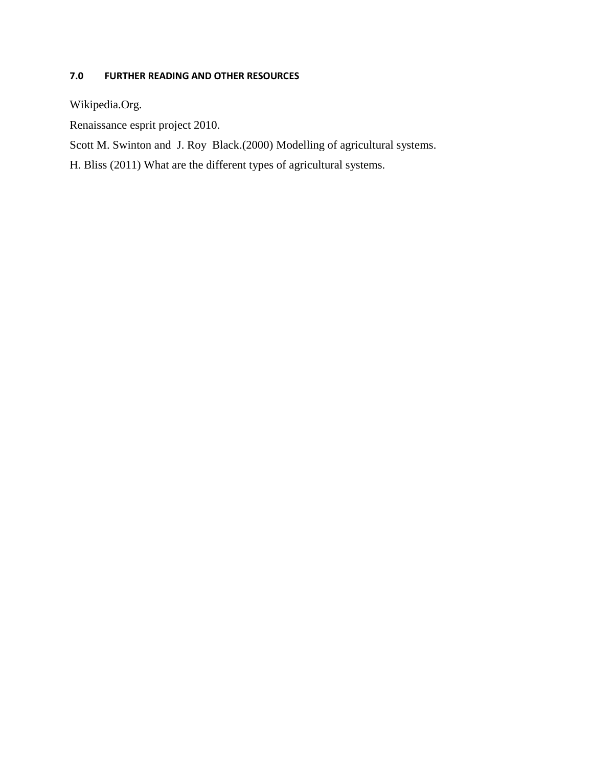## **7.0 FURTHER READING AND OTHER RESOURCES**

Wikipedia.Org.

Renaissance esprit project 2010.

Scott M. Swinton and J. Roy Black.(2000) Modelling of agricultural systems.

H. Bliss (2011) What are the different types of agricultural systems.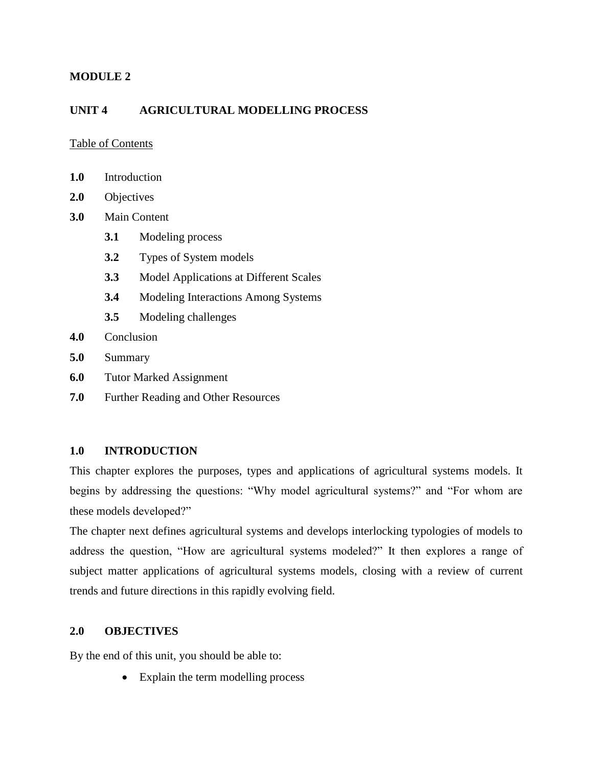## **MODULE 2**

### **UNIT 4 AGRICULTURAL MODELLING PROCESS**

### Table of Contents

| 1.0 | Introduction |
|-----|--------------|
|     |              |

- **2.0** Objectives
- **3.0** Main Content
	- **3.1** Modeling process
	- **3.2** Types of System models
	- **3.3** Model Applications at Different Scales
	- **3.4** Modeling Interactions Among Systems
	- **3.5** Modeling challenges
- **4.0** Conclusion
- **5.0** Summary
- **6.0** Tutor Marked Assignment
- **7.0** Further Reading and Other Resources

### **1.0 INTRODUCTION**

This chapter explores the purposes, types and applications of agricultural systems models. It begins by addressing the questions: "Why model agricultural systems?" and "For whom are these models developed?"

The chapter next defines agricultural systems and develops interlocking typologies of models to address the question, "How are agricultural systems modeled?" It then explores a range of subject matter applications of agricultural systems models, closing with a review of current trends and future directions in this rapidly evolving field.

### **2.0 OBJECTIVES**

By the end of this unit, you should be able to:

• Explain the term modelling process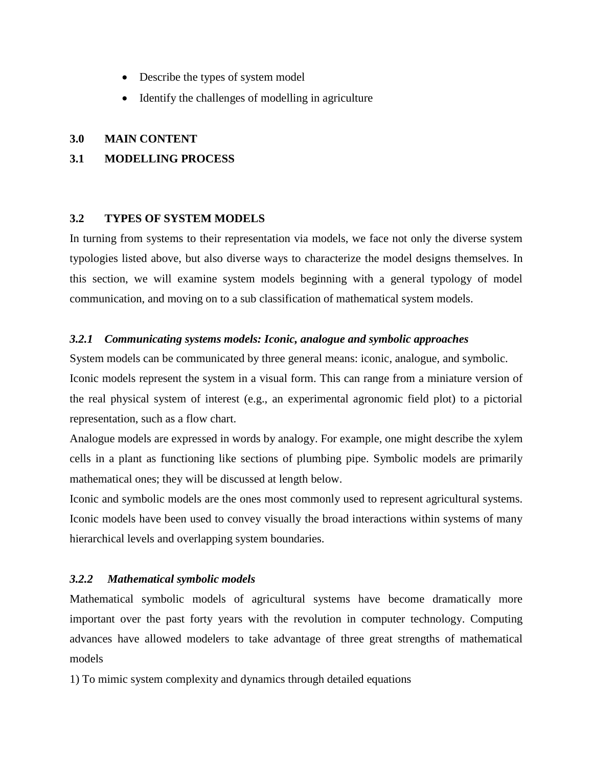- Describe the types of system model
- Identify the challenges of modelling in agriculture

### **3.0 MAIN CONTENT**

### **3.1 MODELLING PROCESS**

### **3.2 TYPES OF SYSTEM MODELS**

In turning from systems to their representation via models, we face not only the diverse system typologies listed above, but also diverse ways to characterize the model designs themselves. In this section, we will examine system models beginning with a general typology of model communication, and moving on to a sub classification of mathematical system models.

#### *3.2.1 Communicating systems models: Iconic, analogue and symbolic approaches*

System models can be communicated by three general means: iconic, analogue, and symbolic. Iconic models represent the system in a visual form. This can range from a miniature version of the real physical system of interest (e.g., an experimental agronomic field plot) to a pictorial representation, such as a flow chart.

Analogue models are expressed in words by analogy. For example, one might describe the xylem cells in a plant as functioning like sections of plumbing pipe. Symbolic models are primarily mathematical ones; they will be discussed at length below.

Iconic and symbolic models are the ones most commonly used to represent agricultural systems. Iconic models have been used to convey visually the broad interactions within systems of many hierarchical levels and overlapping system boundaries.

### *3.2.2 Mathematical symbolic models*

Mathematical symbolic models of agricultural systems have become dramatically more important over the past forty years with the revolution in computer technology. Computing advances have allowed modelers to take advantage of three great strengths of mathematical models

1) To mimic system complexity and dynamics through detailed equations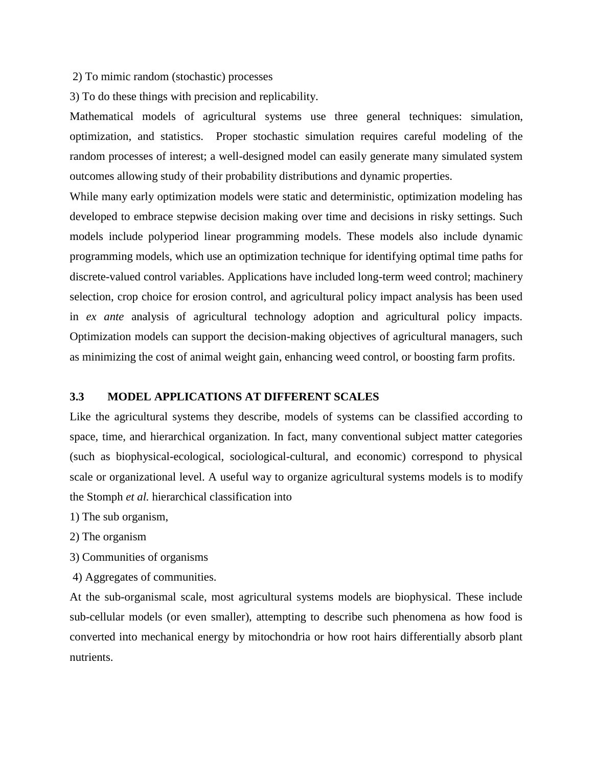2) To mimic random (stochastic) processes

3) To do these things with precision and replicability.

Mathematical models of agricultural systems use three general techniques: simulation, optimization, and statistics. Proper stochastic simulation requires careful modeling of the random processes of interest; a well-designed model can easily generate many simulated system outcomes allowing study of their probability distributions and dynamic properties.

While many early optimization models were static and deterministic, optimization modeling has developed to embrace stepwise decision making over time and decisions in risky settings. Such models include polyperiod linear programming models. These models also include dynamic programming models, which use an optimization technique for identifying optimal time paths for discrete-valued control variables. Applications have included long-term weed control; machinery selection, crop choice for erosion control, and agricultural policy impact analysis has been used in *ex ante* analysis of agricultural technology adoption and agricultural policy impacts. Optimization models can support the decision-making objectives of agricultural managers, such as minimizing the cost of animal weight gain, enhancing weed control, or boosting farm profits.

### **3.3 MODEL APPLICATIONS AT DIFFERENT SCALES**

Like the agricultural systems they describe, models of systems can be classified according to space, time, and hierarchical organization. In fact, many conventional subject matter categories (such as biophysical-ecological, sociological-cultural, and economic) correspond to physical scale or organizational level. A useful way to organize agricultural systems models is to modify the Stomph *et al.* hierarchical classification into

- 1) The sub organism,
- 2) The organism
- 3) Communities of organisms
- 4) Aggregates of communities.

At the sub-organismal scale, most agricultural systems models are biophysical. These include sub-cellular models (or even smaller), attempting to describe such phenomena as how food is converted into mechanical energy by mitochondria or how root hairs differentially absorb plant nutrients.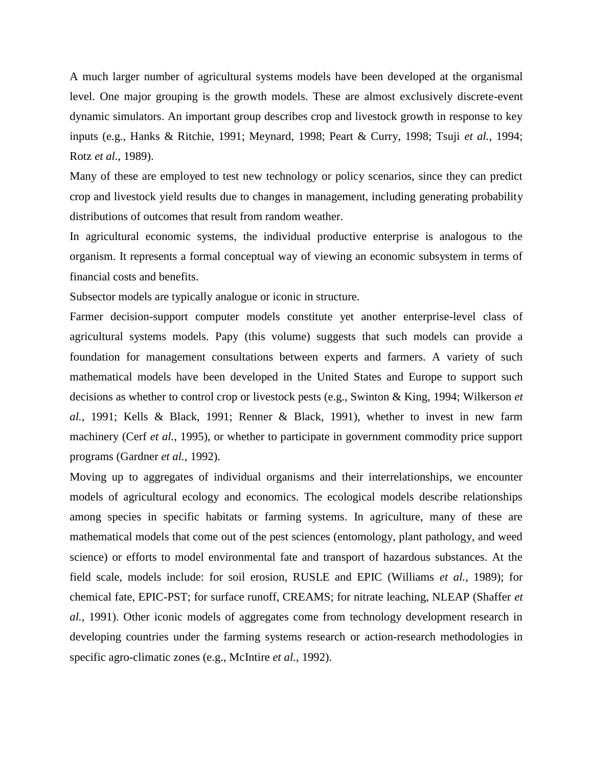A much larger number of agricultural systems models have been developed at the organismal level. One major grouping is the growth models. These are almost exclusively discrete-event dynamic simulators. An important group describes crop and livestock growth in response to key inputs (e.g., Hanks & Ritchie, 1991; Meynard, 1998; Peart & Curry, 1998; Tsuji *et al.*, 1994; Rotz *et al.*, 1989).

Many of these are employed to test new technology or policy scenarios, since they can predict crop and livestock yield results due to changes in management, including generating probability distributions of outcomes that result from random weather.

In agricultural economic systems, the individual productive enterprise is analogous to the organism. It represents a formal conceptual way of viewing an economic subsystem in terms of financial costs and benefits.

Subsector models are typically analogue or iconic in structure.

Farmer decision-support computer models constitute yet another enterprise-level class of agricultural systems models. Papy (this volume) suggests that such models can provide a foundation for management consultations between experts and farmers. A variety of such mathematical models have been developed in the United States and Europe to support such decisions as whether to control crop or livestock pests (e.g., Swinton & King, 1994; Wilkerson *et al.*, 1991; Kells & Black, 1991; Renner & Black, 1991), whether to invest in new farm machinery (Cerf *et al.*, 1995), or whether to participate in government commodity price support programs (Gardner *et al.*, 1992).

Moving up to aggregates of individual organisms and their interrelationships, we encounter models of agricultural ecology and economics. The ecological models describe relationships among species in specific habitats or farming systems. In agriculture, many of these are mathematical models that come out of the pest sciences (entomology, plant pathology, and weed science) or efforts to model environmental fate and transport of hazardous substances. At the field scale, models include: for soil erosion, RUSLE and EPIC (Williams *et al.*, 1989); for chemical fate, EPIC-PST; for surface runoff, CREAMS; for nitrate leaching, NLEAP (Shaffer *et al.*, 1991). Other iconic models of aggregates come from technology development research in developing countries under the farming systems research or action-research methodologies in specific agro-climatic zones (e.g., McIntire *et al.*, 1992).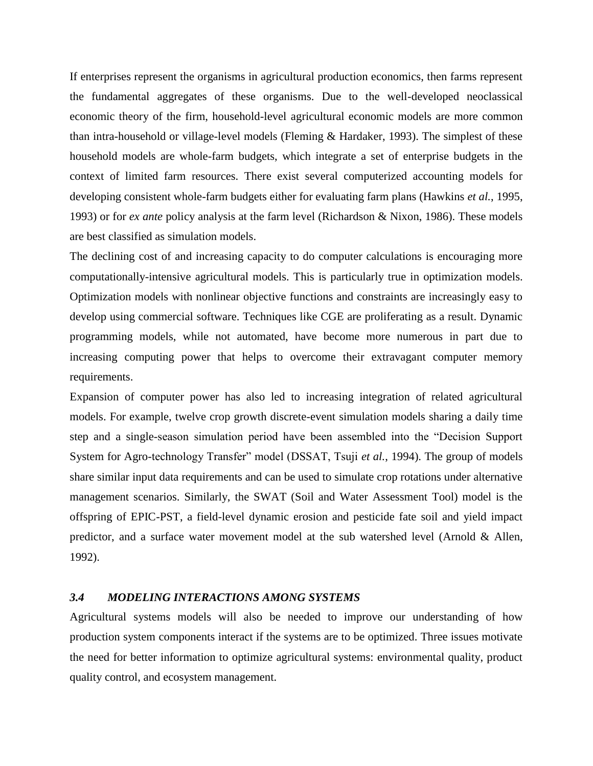If enterprises represent the organisms in agricultural production economics, then farms represent the fundamental aggregates of these organisms. Due to the well-developed neoclassical economic theory of the firm, household-level agricultural economic models are more common than intra-household or village-level models (Fleming & Hardaker, 1993). The simplest of these household models are whole-farm budgets, which integrate a set of enterprise budgets in the context of limited farm resources. There exist several computerized accounting models for developing consistent whole-farm budgets either for evaluating farm plans (Hawkins *et al.*, 1995, 1993) or for *ex ante* policy analysis at the farm level (Richardson & Nixon, 1986). These models are best classified as simulation models.

The declining cost of and increasing capacity to do computer calculations is encouraging more computationally-intensive agricultural models. This is particularly true in optimization models. Optimization models with nonlinear objective functions and constraints are increasingly easy to develop using commercial software. Techniques like CGE are proliferating as a result. Dynamic programming models, while not automated, have become more numerous in part due to increasing computing power that helps to overcome their extravagant computer memory requirements.

Expansion of computer power has also led to increasing integration of related agricultural models. For example, twelve crop growth discrete-event simulation models sharing a daily time step and a single-season simulation period have been assembled into the "Decision Support System for Agro-technology Transfer" model (DSSAT, Tsuji *et al.*, 1994). The group of models share similar input data requirements and can be used to simulate crop rotations under alternative management scenarios. Similarly, the SWAT (Soil and Water Assessment Tool) model is the offspring of EPIC-PST, a field-level dynamic erosion and pesticide fate soil and yield impact predictor, and a surface water movement model at the sub watershed level (Arnold & Allen, 1992).

### *3.4 MODELING INTERACTIONS AMONG SYSTEMS*

Agricultural systems models will also be needed to improve our understanding of how production system components interact if the systems are to be optimized. Three issues motivate the need for better information to optimize agricultural systems: environmental quality, product quality control, and ecosystem management.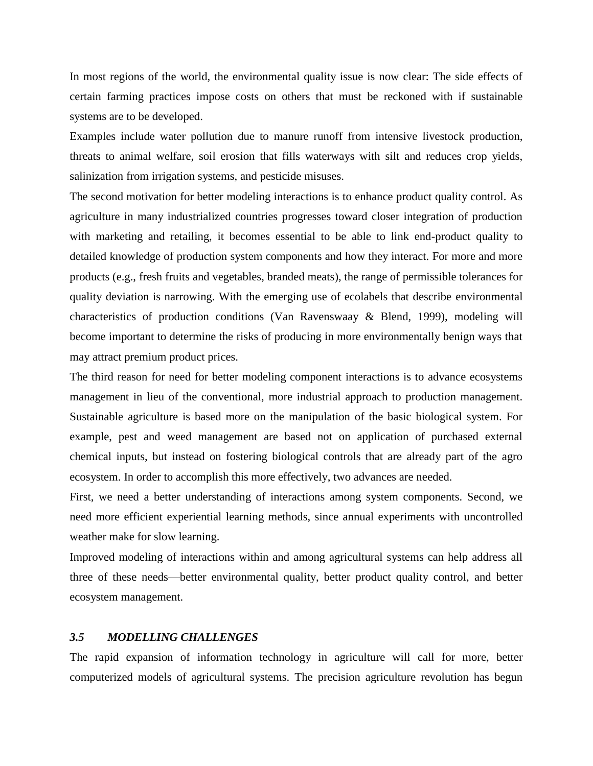In most regions of the world, the environmental quality issue is now clear: The side effects of certain farming practices impose costs on others that must be reckoned with if sustainable systems are to be developed.

Examples include water pollution due to manure runoff from intensive livestock production, threats to animal welfare, soil erosion that fills waterways with silt and reduces crop yields, salinization from irrigation systems, and pesticide misuses.

The second motivation for better modeling interactions is to enhance product quality control. As agriculture in many industrialized countries progresses toward closer integration of production with marketing and retailing, it becomes essential to be able to link end-product quality to detailed knowledge of production system components and how they interact. For more and more products (e.g., fresh fruits and vegetables, branded meats), the range of permissible tolerances for quality deviation is narrowing. With the emerging use of ecolabels that describe environmental characteristics of production conditions (Van Ravenswaay & Blend, 1999), modeling will become important to determine the risks of producing in more environmentally benign ways that may attract premium product prices.

The third reason for need for better modeling component interactions is to advance ecosystems management in lieu of the conventional, more industrial approach to production management. Sustainable agriculture is based more on the manipulation of the basic biological system. For example, pest and weed management are based not on application of purchased external chemical inputs, but instead on fostering biological controls that are already part of the agro ecosystem. In order to accomplish this more effectively, two advances are needed.

First, we need a better understanding of interactions among system components. Second, we need more efficient experiential learning methods, since annual experiments with uncontrolled weather make for slow learning.

Improved modeling of interactions within and among agricultural systems can help address all three of these needs—better environmental quality, better product quality control, and better ecosystem management.

#### *3.5 MODELLING CHALLENGES*

The rapid expansion of information technology in agriculture will call for more, better computerized models of agricultural systems. The precision agriculture revolution has begun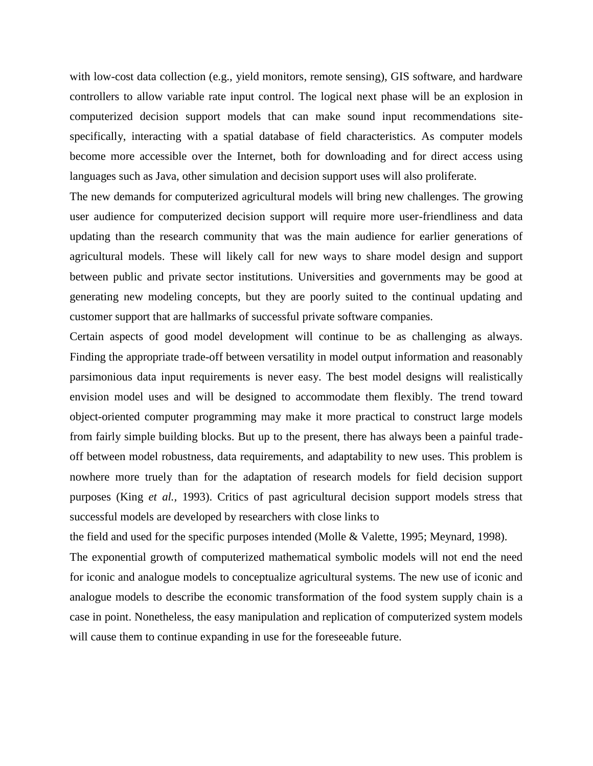with low-cost data collection (e.g., yield monitors, remote sensing), GIS software, and hardware controllers to allow variable rate input control. The logical next phase will be an explosion in computerized decision support models that can make sound input recommendations sitespecifically, interacting with a spatial database of field characteristics. As computer models become more accessible over the Internet, both for downloading and for direct access using languages such as Java, other simulation and decision support uses will also proliferate.

The new demands for computerized agricultural models will bring new challenges. The growing user audience for computerized decision support will require more user-friendliness and data updating than the research community that was the main audience for earlier generations of agricultural models. These will likely call for new ways to share model design and support between public and private sector institutions. Universities and governments may be good at generating new modeling concepts, but they are poorly suited to the continual updating and customer support that are hallmarks of successful private software companies.

Certain aspects of good model development will continue to be as challenging as always. Finding the appropriate trade-off between versatility in model output information and reasonably parsimonious data input requirements is never easy. The best model designs will realistically envision model uses and will be designed to accommodate them flexibly. The trend toward object-oriented computer programming may make it more practical to construct large models from fairly simple building blocks. But up to the present, there has always been a painful tradeoff between model robustness, data requirements, and adaptability to new uses. This problem is nowhere more truely than for the adaptation of research models for field decision support purposes (King *et al.,* 1993). Critics of past agricultural decision support models stress that successful models are developed by researchers with close links to

the field and used for the specific purposes intended (Molle & Valette, 1995; Meynard, 1998).

The exponential growth of computerized mathematical symbolic models will not end the need for iconic and analogue models to conceptualize agricultural systems. The new use of iconic and analogue models to describe the economic transformation of the food system supply chain is a case in point. Nonetheless, the easy manipulation and replication of computerized system models will cause them to continue expanding in use for the foreseeable future.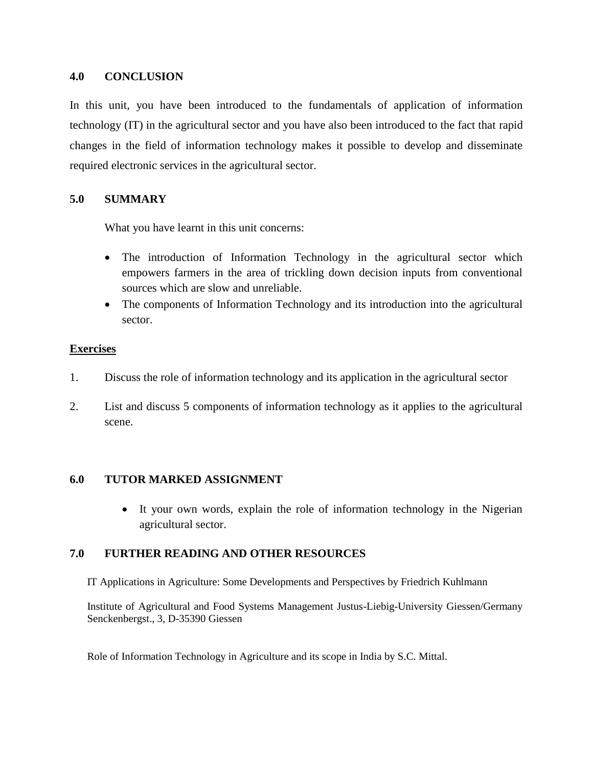### **4.0 CONCLUSION**

In this unit, you have been introduced to the fundamentals of application of information technology (IT) in the agricultural sector and you have also been introduced to the fact that rapid changes in the field of information technology makes it possible to develop and disseminate required electronic services in the agricultural sector.

### **5.0 SUMMARY**

What you have learnt in this unit concerns:

- The introduction of Information Technology in the agricultural sector which empowers farmers in the area of trickling down decision inputs from conventional sources which are slow and unreliable.
- The components of Information Technology and its introduction into the agricultural sector.

### **Exercises**

- 1. Discuss the role of information technology and its application in the agricultural sector
- 2. List and discuss 5 components of information technology as it applies to the agricultural scene.

## **6.0 TUTOR MARKED ASSIGNMENT**

 It your own words, explain the role of information technology in the Nigerian agricultural sector.

## **7.0 FURTHER READING AND OTHER RESOURCES**

IT Applications in Agriculture: Some Developments and Perspectives by Friedrich Kuhlmann

Institute of Agricultural and Food Systems Management Justus-Liebig-University Giessen/Germany Senckenbergst., 3, D-35390 Giessen

Role of Information Technology in Agriculture and its scope in India by S.C. Mittal.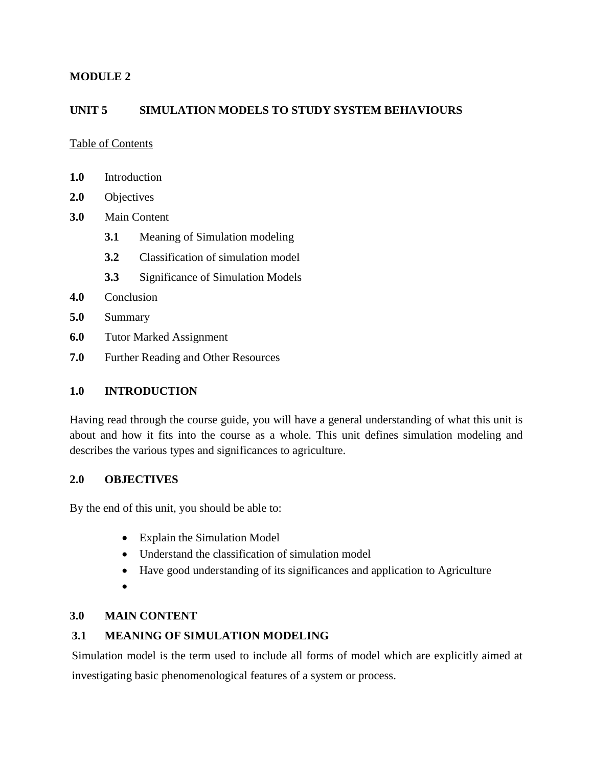## **MODULE 2**

## **UNIT 5 SIMULATION MODELS TO STUDY SYSTEM BEHAVIOURS**

### Table of Contents

- **1.0** Introduction
- **2.0** Objectives
- **3.0** Main Content
	- **3.1** Meaning of Simulation modeling
	- **3.2** Classification of simulation model
	- **3.3** Significance of Simulation Models
- **4.0** Conclusion
- **5.0** Summary
- **6.0** Tutor Marked Assignment
- **7.0** Further Reading and Other Resources

## **1.0 INTRODUCTION**

Having read through the course guide, you will have a general understanding of what this unit is about and how it fits into the course as a whole. This unit defines simulation modeling and describes the various types and significances to agriculture.

## **2.0 OBJECTIVES**

By the end of this unit, you should be able to:

- Explain the Simulation Model
- Understand the classification of simulation model
- Have good understanding of its significances and application to Agriculture
- $\bullet$

## **3.0 MAIN CONTENT**

## **3.1 MEANING OF SIMULATION MODELING**

Simulation model is the term used to include all forms of model which are explicitly aimed at investigating basic phenomenological features of a system or process.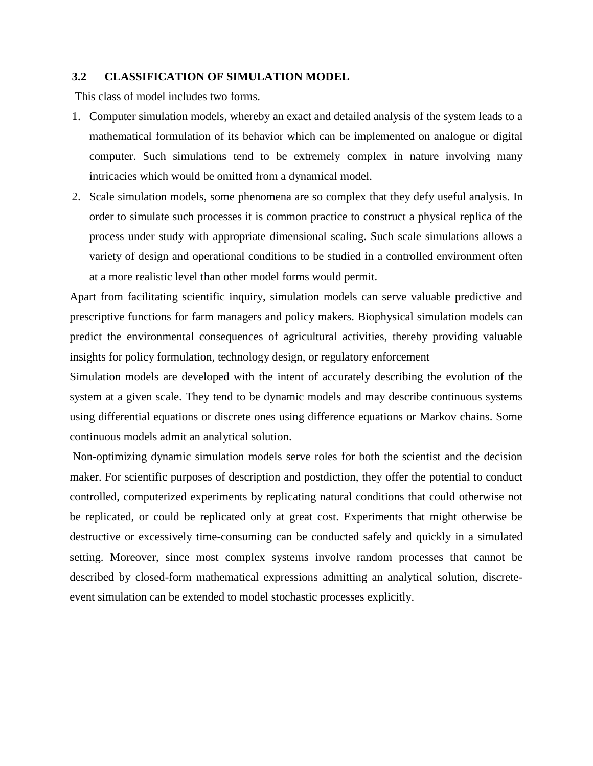### **3.2 CLASSIFICATION OF SIMULATION MODEL**

This class of model includes two forms.

- 1. Computer simulation models, whereby an exact and detailed analysis of the system leads to a mathematical formulation of its behavior which can be implemented on analogue or digital computer. Such simulations tend to be extremely complex in nature involving many intricacies which would be omitted from a dynamical model.
- 2. Scale simulation models, some phenomena are so complex that they defy useful analysis. In order to simulate such processes it is common practice to construct a physical replica of the process under study with appropriate dimensional scaling. Such scale simulations allows a variety of design and operational conditions to be studied in a controlled environment often at a more realistic level than other model forms would permit.

Apart from facilitating scientific inquiry, simulation models can serve valuable predictive and prescriptive functions for farm managers and policy makers. Biophysical simulation models can predict the environmental consequences of agricultural activities, thereby providing valuable insights for policy formulation, technology design, or regulatory enforcement

Simulation models are developed with the intent of accurately describing the evolution of the system at a given scale. They tend to be dynamic models and may describe continuous systems using differential equations or discrete ones using difference equations or Markov chains. Some continuous models admit an analytical solution.

Non-optimizing dynamic simulation models serve roles for both the scientist and the decision maker. For scientific purposes of description and postdiction, they offer the potential to conduct controlled, computerized experiments by replicating natural conditions that could otherwise not be replicated, or could be replicated only at great cost. Experiments that might otherwise be destructive or excessively time-consuming can be conducted safely and quickly in a simulated setting. Moreover, since most complex systems involve random processes that cannot be described by closed-form mathematical expressions admitting an analytical solution, discreteevent simulation can be extended to model stochastic processes explicitly.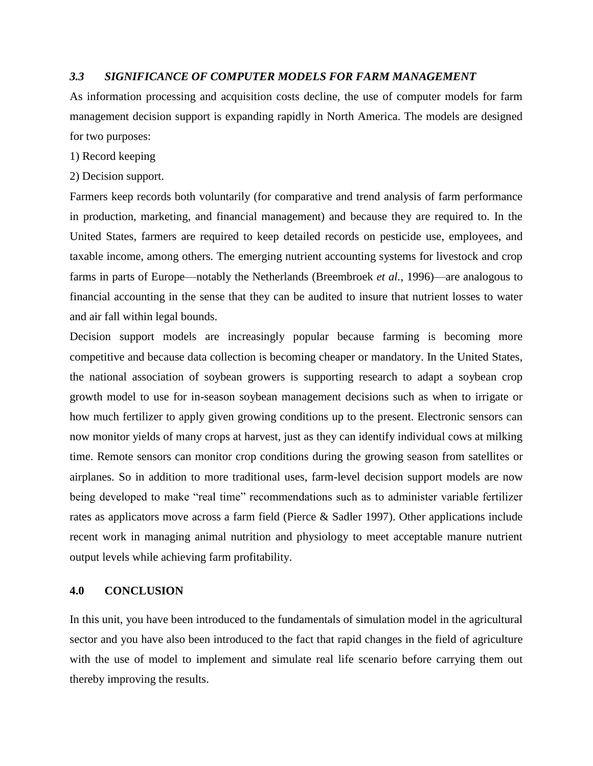### *3.3 SIGNIFICANCE OF COMPUTER MODELS FOR FARM MANAGEMENT*

As information processing and acquisition costs decline, the use of computer models for farm management decision support is expanding rapidly in North America. The models are designed for two purposes:

- 1) Record keeping
- 2) Decision support.

Farmers keep records both voluntarily (for comparative and trend analysis of farm performance in production, marketing, and financial management) and because they are required to. In the United States, farmers are required to keep detailed records on pesticide use, employees, and taxable income, among others. The emerging nutrient accounting systems for livestock and crop farms in parts of Europe—notably the Netherlands (Breembroek *et al.*, 1996)—are analogous to financial accounting in the sense that they can be audited to insure that nutrient losses to water and air fall within legal bounds.

Decision support models are increasingly popular because farming is becoming more competitive and because data collection is becoming cheaper or mandatory. In the United States, the national association of soybean growers is supporting research to adapt a soybean crop growth model to use for in-season soybean management decisions such as when to irrigate or how much fertilizer to apply given growing conditions up to the present. Electronic sensors can now monitor yields of many crops at harvest, just as they can identify individual cows at milking time. Remote sensors can monitor crop conditions during the growing season from satellites or airplanes. So in addition to more traditional uses, farm-level decision support models are now being developed to make "real time" recommendations such as to administer variable fertilizer rates as applicators move across a farm field (Pierce & Sadler 1997). Other applications include recent work in managing animal nutrition and physiology to meet acceptable manure nutrient output levels while achieving farm profitability.

#### **4.0 CONCLUSION**

In this unit, you have been introduced to the fundamentals of simulation model in the agricultural sector and you have also been introduced to the fact that rapid changes in the field of agriculture with the use of model to implement and simulate real life scenario before carrying them out thereby improving the results.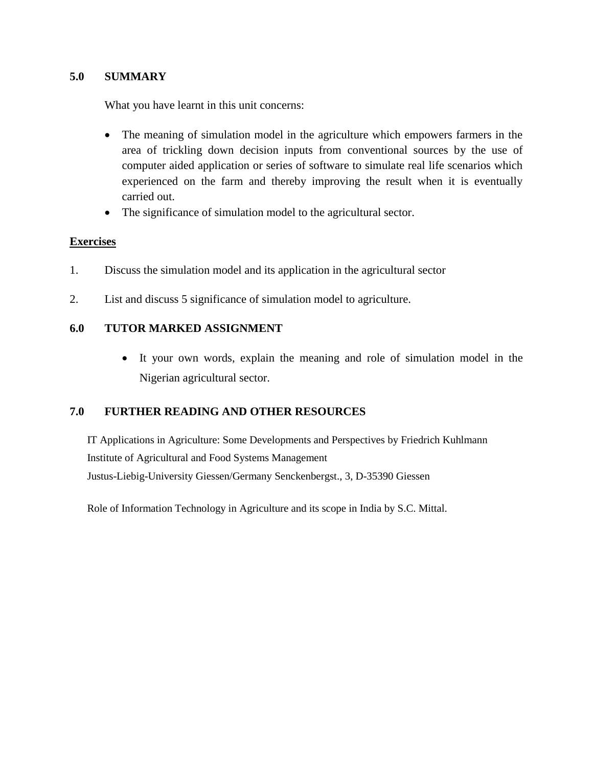## **5.0 SUMMARY**

What you have learnt in this unit concerns:

- The meaning of simulation model in the agriculture which empowers farmers in the area of trickling down decision inputs from conventional sources by the use of computer aided application or series of software to simulate real life scenarios which experienced on the farm and thereby improving the result when it is eventually carried out.
- The significance of simulation model to the agricultural sector.

### **Exercises**

- 1. Discuss the simulation model and its application in the agricultural sector
- 2. List and discuss 5 significance of simulation model to agriculture.

## **6.0 TUTOR MARKED ASSIGNMENT**

 It your own words, explain the meaning and role of simulation model in the Nigerian agricultural sector.

## **7.0 FURTHER READING AND OTHER RESOURCES**

IT Applications in Agriculture: Some Developments and Perspectives by Friedrich Kuhlmann Institute of Agricultural and Food Systems Management Justus-Liebig-University Giessen/Germany Senckenbergst., 3, D-35390 Giessen

Role of Information Technology in Agriculture and its scope in India by S.C. Mittal.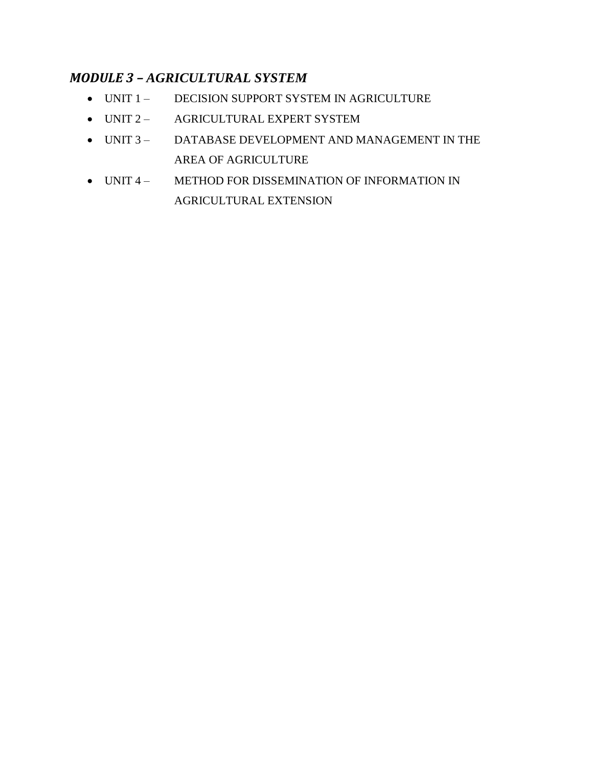# *MODULE 3 – AGRICULTURAL SYSTEM*

- UNIT 1 DECISION SUPPORT SYSTEM IN AGRICULTURE
- UNIT 2 AGRICULTURAL EXPERT SYSTEM
- UNIT 3 DATABASE DEVELOPMENT AND MANAGEMENT IN THE AREA OF AGRICULTURE
- UNIT 4 METHOD FOR DISSEMINATION OF INFORMATION IN AGRICULTURAL EXTENSION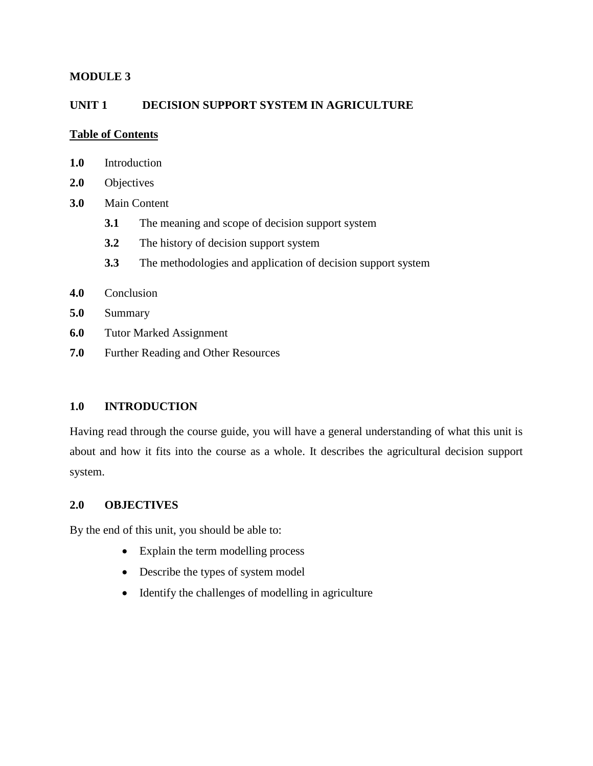## **MODULE 3**

## **UNIT 1 DECISION SUPPORT SYSTEM IN AGRICULTURE**

### **Table of Contents**

- **1.0** Introduction
- **2.0** Objectives
- **3.0** Main Content
	- **3.1** The meaning and scope of decision support system
	- **3.2** The history of decision support system
	- **3.3** The methodologies and application of decision support system
- **4.0** Conclusion
- **5.0** Summary
- **6.0** Tutor Marked Assignment
- **7.0** Further Reading and Other Resources

## **1.0 INTRODUCTION**

Having read through the course guide, you will have a general understanding of what this unit is about and how it fits into the course as a whole. It describes the agricultural decision support system.

### **2.0 OBJECTIVES**

By the end of this unit, you should be able to:

- Explain the term modelling process
- Describe the types of system model
- Identify the challenges of modelling in agriculture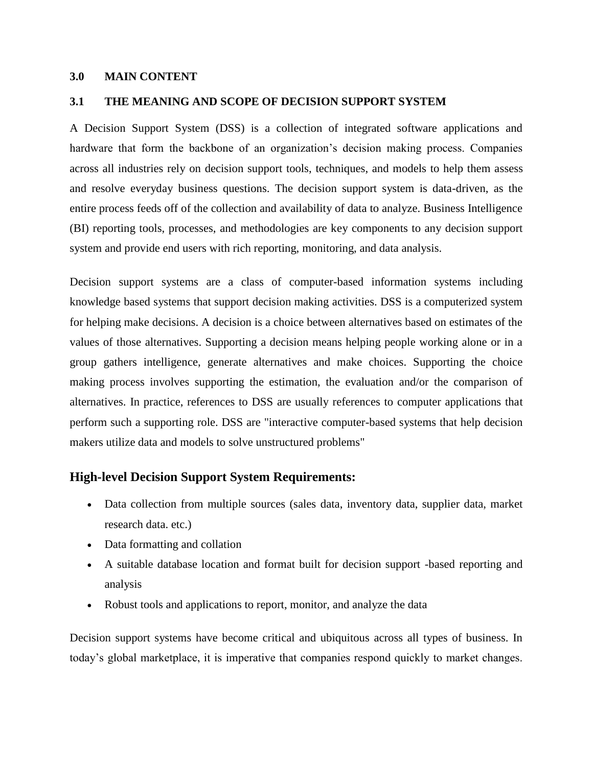#### **3.0 MAIN CONTENT**

### **3.1 THE MEANING AND SCOPE OF DECISION SUPPORT SYSTEM**

A Decision Support System (DSS) is a collection of integrated software applications and hardware that form the backbone of an organization's decision making process. Companies across all industries rely on decision support tools, techniques, and models to help them assess and resolve everyday business questions. The decision support system is data-driven, as the entire process feeds off of the collection and availability of data to analyze. Business Intelligence (BI) reporting tools, processes, and methodologies are key components to any decision support system and provide end users with rich reporting, monitoring, and data analysis.

Decision support systems are a class of computer-based information systems including knowledge based systems that support decision making activities. DSS is a computerized system for helping make decisions. A decision is a choice between alternatives based on estimates of the values of those alternatives. Supporting a decision means helping people working alone or in a group gathers intelligence, generate alternatives and make choices. Supporting the choice making process involves supporting the estimation, the evaluation and/or the comparison of alternatives. In practice, references to DSS are usually references to computer applications that perform such a supporting role. DSS are "interactive computer-based systems that help decision makers utilize data and models to solve unstructured problems"

## **High-level Decision Support System Requirements:**

- Data collection from multiple sources (sales data, inventory data, supplier data, market research data. etc.)
- Data formatting and collation
- A suitable database location and format built for decision support -based reporting and analysis
- Robust tools and applications to report, monitor, and analyze the data

Decision support systems have become critical and ubiquitous across all types of business. In today's global marketplace, it is imperative that companies respond quickly to market changes.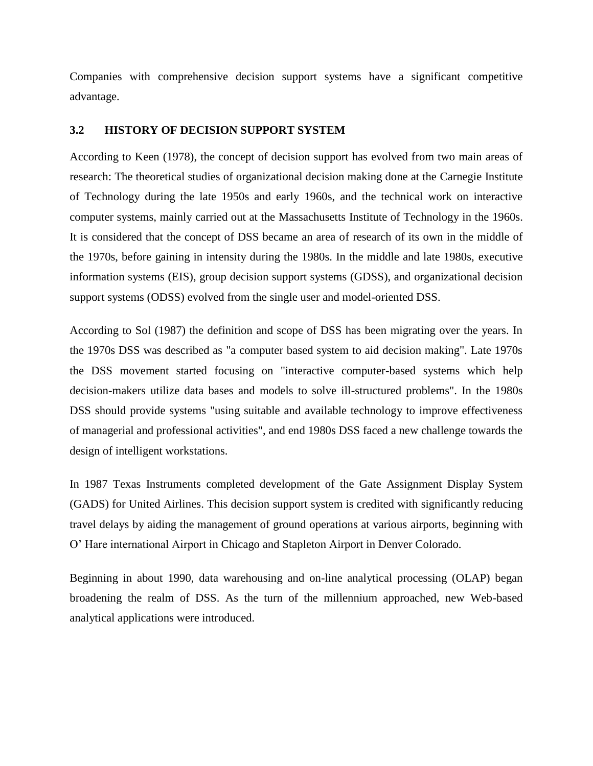Companies with comprehensive decision support systems have a significant competitive advantage.

### **3.2 HISTORY OF DECISION SUPPORT SYSTEM**

According to Keen (1978), the concept of decision support has evolved from two main areas of research: The theoretical studies of organizational decision making done at the Carnegie Institute of Technology during the late 1950s and early 1960s, and the technical work on interactive computer systems, mainly carried out at the Massachusetts Institute of Technology in the 1960s. It is considered that the concept of DSS became an area of research of its own in the middle of the 1970s, before gaining in intensity during the 1980s. In the middle and late 1980s, executive information systems (EIS), group decision support systems (GDSS), and organizational decision support systems (ODSS) evolved from the single user and model-oriented DSS.

According to Sol (1987) the definition and scope of DSS has been migrating over the years. In the 1970s DSS was described as "a computer based system to aid decision making". Late 1970s the DSS movement started focusing on "interactive computer-based systems which help decision-makers utilize data bases and models to solve ill-structured problems". In the 1980s DSS should provide systems "using suitable and available technology to improve effectiveness of managerial and professional activities", and end 1980s DSS faced a new challenge towards the design of intelligent workstations.

In 1987 Texas Instruments completed development of the Gate Assignment Display System (GADS) for United Airlines. This decision support system is credited with significantly reducing travel delays by aiding the management of ground operations at various airports, beginning with O' Hare international Airport in Chicago and Stapleton Airport in Denver Colorado.

Beginning in about 1990, data warehousing and on-line analytical processing (OLAP) began broadening the realm of DSS. As the turn of the millennium approached, new Web-based analytical applications were introduced.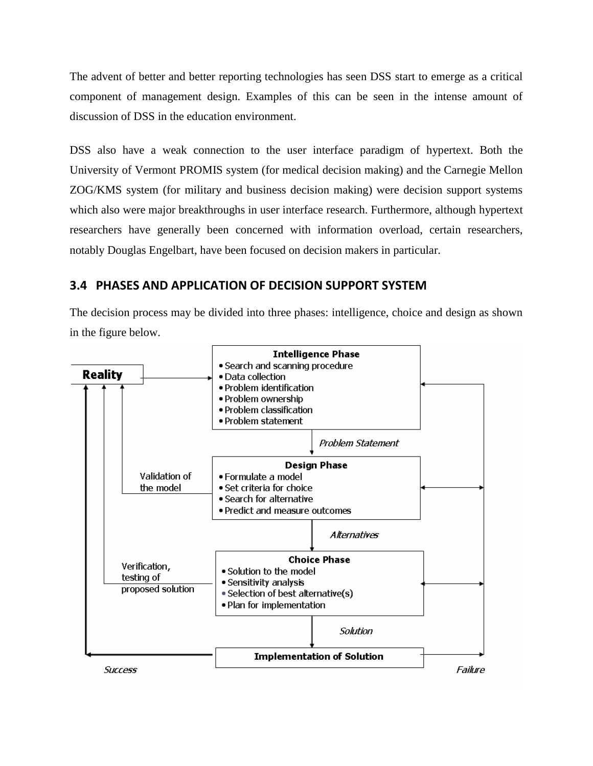The advent of better and better reporting technologies has seen DSS start to emerge as a critical component of management design. Examples of this can be seen in the intense amount of discussion of DSS in the education environment.

DSS also have a weak connection to the user interface paradigm of hypertext. Both the University of Vermont PROMIS system (for medical decision making) and the Carnegie Mellon ZOG/KMS system (for military and business decision making) were decision support systems which also were major breakthroughs in user interface research. Furthermore, although hypertext researchers have generally been concerned with information overload, certain researchers, notably Douglas Engelbart, have been focused on decision makers in particular.

## **3.4 PHASES AND APPLICATION OF DECISION SUPPORT SYSTEM**

The decision process may be divided into three phases: intelligence, choice and design as shown in the figure below.

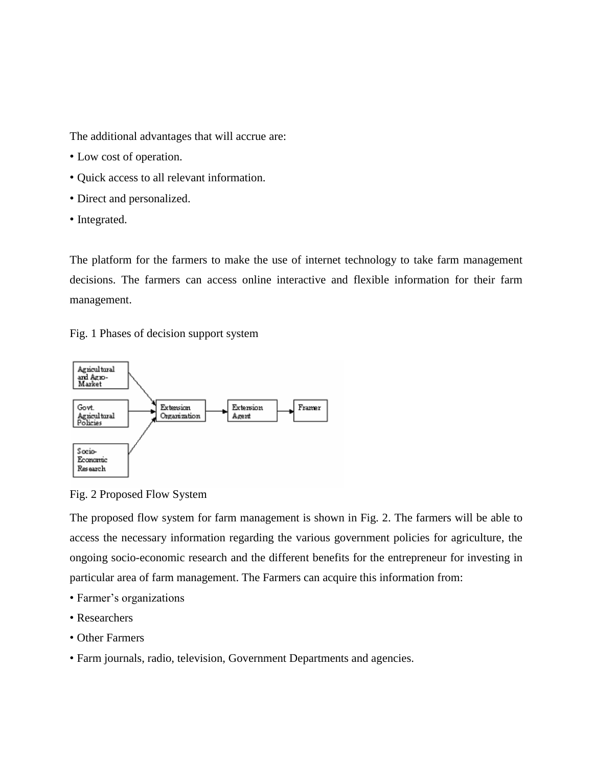The additional advantages that will accrue are:

- Low cost of operation.
- Quick access to all relevant information.
- Direct and personalized.
- Integrated.

The platform for the farmers to make the use of internet technology to take farm management decisions. The farmers can access online interactive and flexible information for their farm management.

Fig. 1 Phases of decision support system



### Fig. 2 Proposed Flow System

The proposed flow system for farm management is shown in Fig. 2. The farmers will be able to access the necessary information regarding the various government policies for agriculture, the ongoing socio-economic research and the different benefits for the entrepreneur for investing in particular area of farm management. The Farmers can acquire this information from:

- Farmer's organizations
- Researchers
- Other Farmers
- Farm journals, radio, television, Government Departments and agencies.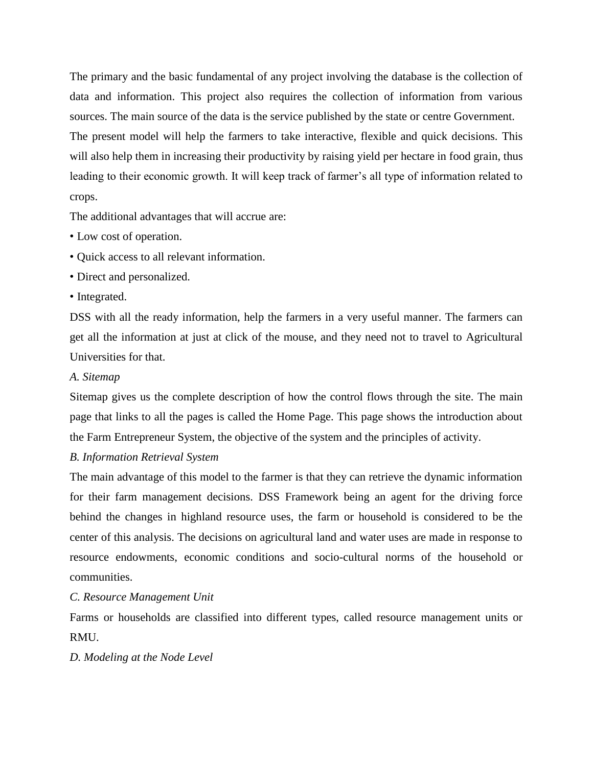The primary and the basic fundamental of any project involving the database is the collection of data and information. This project also requires the collection of information from various sources. The main source of the data is the service published by the state or centre Government. The present model will help the farmers to take interactive, flexible and quick decisions. This will also help them in increasing their productivity by raising yield per hectare in food grain, thus leading to their economic growth. It will keep track of farmer's all type of information related to crops.

The additional advantages that will accrue are:

- Low cost of operation.
- Quick access to all relevant information.
- Direct and personalized.
- Integrated.

DSS with all the ready information, help the farmers in a very useful manner. The farmers can get all the information at just at click of the mouse, and they need not to travel to Agricultural Universities for that.

### *A. Sitemap*

Sitemap gives us the complete description of how the control flows through the site. The main page that links to all the pages is called the Home Page. This page shows the introduction about the Farm Entrepreneur System, the objective of the system and the principles of activity.

## *B. Information Retrieval System*

The main advantage of this model to the farmer is that they can retrieve the dynamic information for their farm management decisions. DSS Framework being an agent for the driving force behind the changes in highland resource uses, the farm or household is considered to be the center of this analysis. The decisions on agricultural land and water uses are made in response to resource endowments, economic conditions and socio-cultural norms of the household or communities.

### *C. Resource Management Unit*

Farms or households are classified into different types, called resource management units or RMU.

### *D. Modeling at the Node Level*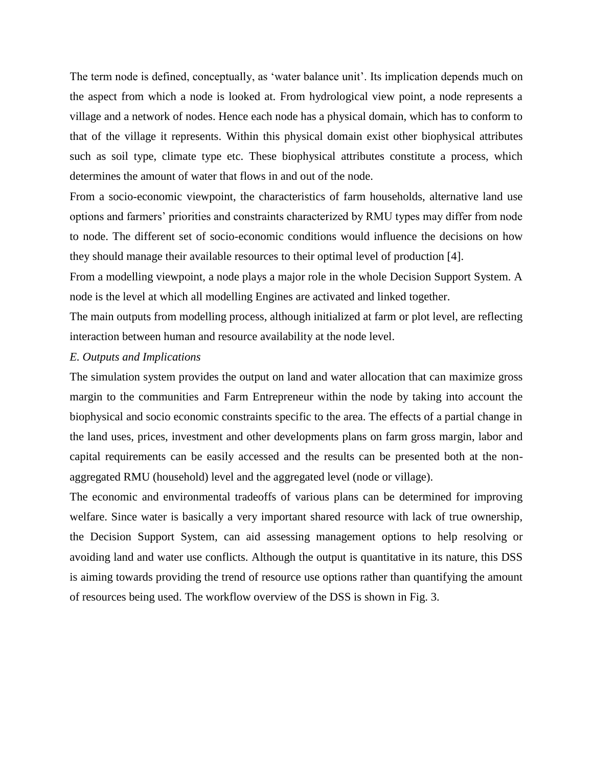The term node is defined, conceptually, as 'water balance unit'. Its implication depends much on the aspect from which a node is looked at. From hydrological view point, a node represents a village and a network of nodes. Hence each node has a physical domain, which has to conform to that of the village it represents. Within this physical domain exist other biophysical attributes such as soil type, climate type etc. These biophysical attributes constitute a process, which determines the amount of water that flows in and out of the node.

From a socio-economic viewpoint, the characteristics of farm households, alternative land use options and farmers' priorities and constraints characterized by RMU types may differ from node to node. The different set of socio-economic conditions would influence the decisions on how they should manage their available resources to their optimal level of production [4].

From a modelling viewpoint, a node plays a major role in the whole Decision Support System. A node is the level at which all modelling Engines are activated and linked together.

The main outputs from modelling process, although initialized at farm or plot level, are reflecting interaction between human and resource availability at the node level.

#### *E. Outputs and Implications*

The simulation system provides the output on land and water allocation that can maximize gross margin to the communities and Farm Entrepreneur within the node by taking into account the biophysical and socio economic constraints specific to the area. The effects of a partial change in the land uses, prices, investment and other developments plans on farm gross margin, labor and capital requirements can be easily accessed and the results can be presented both at the nonaggregated RMU (household) level and the aggregated level (node or village).

The economic and environmental tradeoffs of various plans can be determined for improving welfare. Since water is basically a very important shared resource with lack of true ownership, the Decision Support System, can aid assessing management options to help resolving or avoiding land and water use conflicts. Although the output is quantitative in its nature, this DSS is aiming towards providing the trend of resource use options rather than quantifying the amount of resources being used. The workflow overview of the DSS is shown in Fig. 3.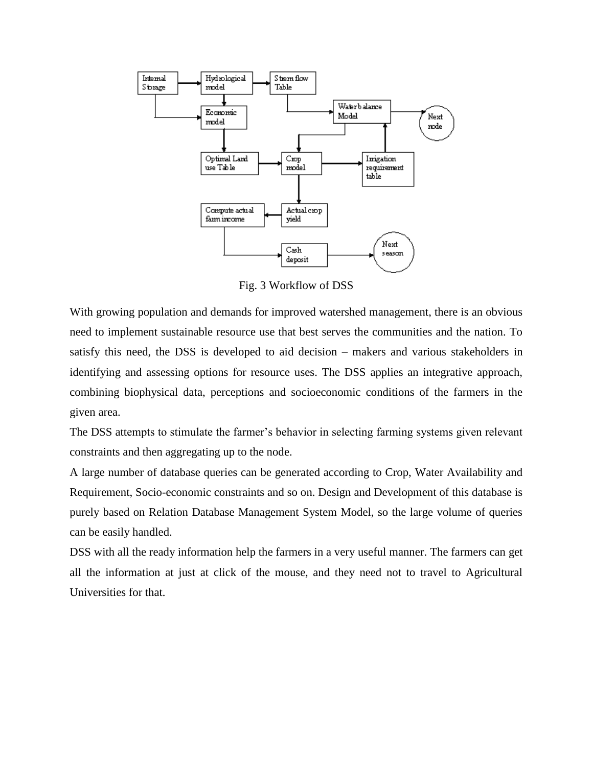

Fig. 3 Workflow of DSS

With growing population and demands for improved watershed management, there is an obvious need to implement sustainable resource use that best serves the communities and the nation. To satisfy this need, the DSS is developed to aid decision – makers and various stakeholders in identifying and assessing options for resource uses. The DSS applies an integrative approach, combining biophysical data, perceptions and socioeconomic conditions of the farmers in the given area.

The DSS attempts to stimulate the farmer's behavior in selecting farming systems given relevant constraints and then aggregating up to the node.

A large number of database queries can be generated according to Crop, Water Availability and Requirement, Socio-economic constraints and so on. Design and Development of this database is purely based on Relation Database Management System Model, so the large volume of queries can be easily handled.

DSS with all the ready information help the farmers in a very useful manner. The farmers can get all the information at just at click of the mouse, and they need not to travel to Agricultural Universities for that.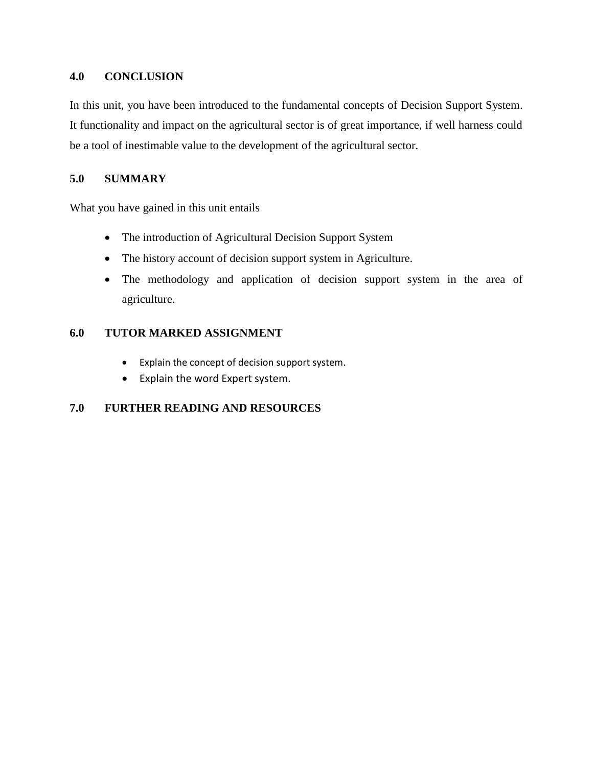## **4.0 CONCLUSION**

In this unit, you have been introduced to the fundamental concepts of Decision Support System. It functionality and impact on the agricultural sector is of great importance, if well harness could be a tool of inestimable value to the development of the agricultural sector.

## **5.0 SUMMARY**

What you have gained in this unit entails

- The introduction of Agricultural Decision Support System
- The history account of decision support system in Agriculture.
- The methodology and application of decision support system in the area of agriculture.

## **6.0 TUTOR MARKED ASSIGNMENT**

- Explain the concept of decision support system.
- Explain the word Expert system.

## **7.0 FURTHER READING AND RESOURCES**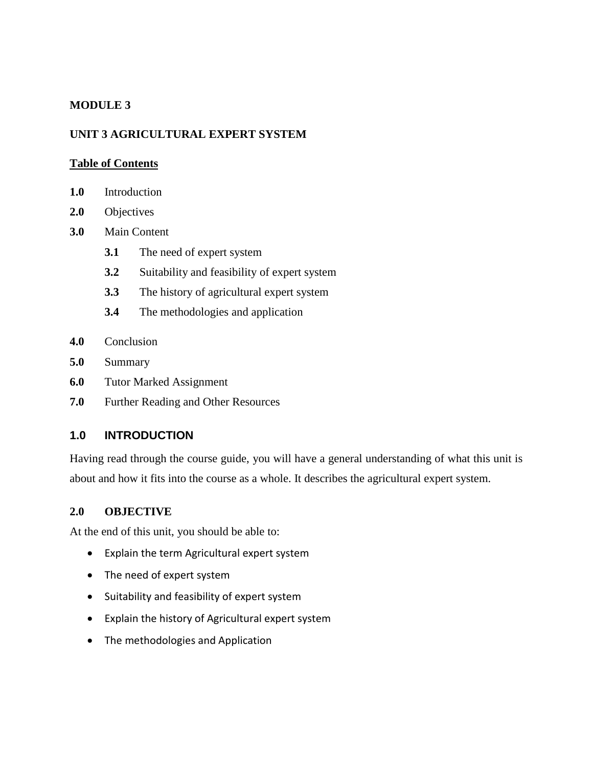## **MODULE 3**

## **UNIT 3 AGRICULTURAL EXPERT SYSTEM**

## **Table of Contents**

- **1.0** Introduction
- **2.0** Objectives
- **3.0** Main Content
	- **3.1** The need of expert system
	- **3.2** Suitability and feasibility of expert system
	- **3.3** The history of agricultural expert system
	- **3.4** The methodologies and application
- **4.0** Conclusion
- **5.0** Summary
- **6.0** Tutor Marked Assignment
- **7.0** Further Reading and Other Resources

## **1.0 INTRODUCTION**

Having read through the course guide, you will have a general understanding of what this unit is about and how it fits into the course as a whole. It describes the agricultural expert system.

## **2.0 OBJECTIVE**

At the end of this unit, you should be able to:

- Explain the term Agricultural expert system
- The need of expert system
- Suitability and feasibility of expert system
- Explain the history of Agricultural expert system
- The methodologies and Application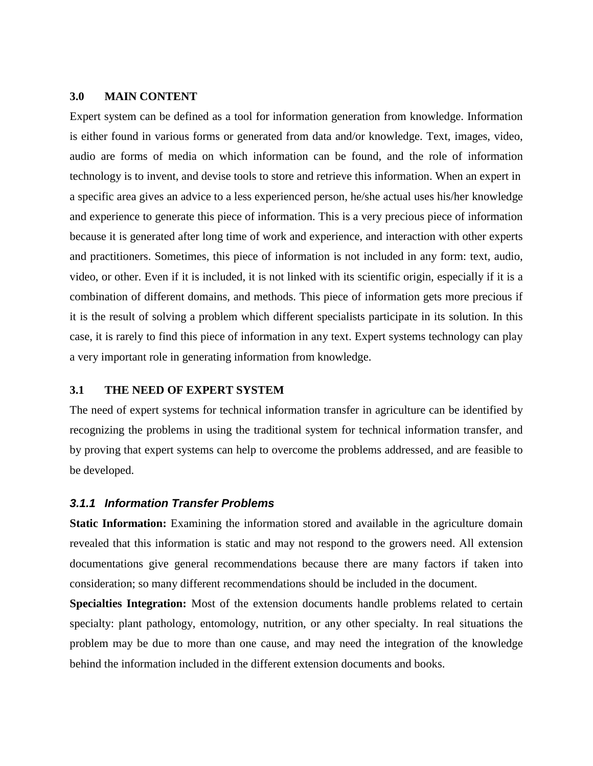### **3.0 MAIN CONTENT**

Expert system can be defined as a tool for information generation from knowledge. Information is either found in various forms or generated from data and/or knowledge. Text, images, video, audio are forms of media on which information can be found, and the role of information technology is to invent, and devise tools to store and retrieve this information. When an expert in a specific area gives an advice to a less experienced person, he/she actual uses his/her knowledge and experience to generate this piece of information. This is a very precious piece of information because it is generated after long time of work and experience, and interaction with other experts and practitioners. Sometimes, this piece of information is not included in any form: text, audio, video, or other. Even if it is included, it is not linked with its scientific origin, especially if it is a combination of different domains, and methods. This piece of information gets more precious if it is the result of solving a problem which different specialists participate in its solution. In this case, it is rarely to find this piece of information in any text. Expert systems technology can play a very important role in generating information from knowledge.

### **3.1 THE NEED OF EXPERT SYSTEM**

The need of expert systems for technical information transfer in agriculture can be identified by recognizing the problems in using the traditional system for technical information transfer, and by proving that expert systems can help to overcome the problems addressed, and are feasible to be developed.

#### *3.1.1 Information Transfer Problems*

**Static Information:** Examining the information stored and available in the agriculture domain revealed that this information is static and may not respond to the growers need. All extension documentations give general recommendations because there are many factors if taken into consideration; so many different recommendations should be included in the document.

Specialties Integration: Most of the extension documents handle problems related to certain specialty: plant pathology, entomology, nutrition, or any other specialty. In real situations the problem may be due to more than one cause, and may need the integration of the knowledge behind the information included in the different extension documents and books.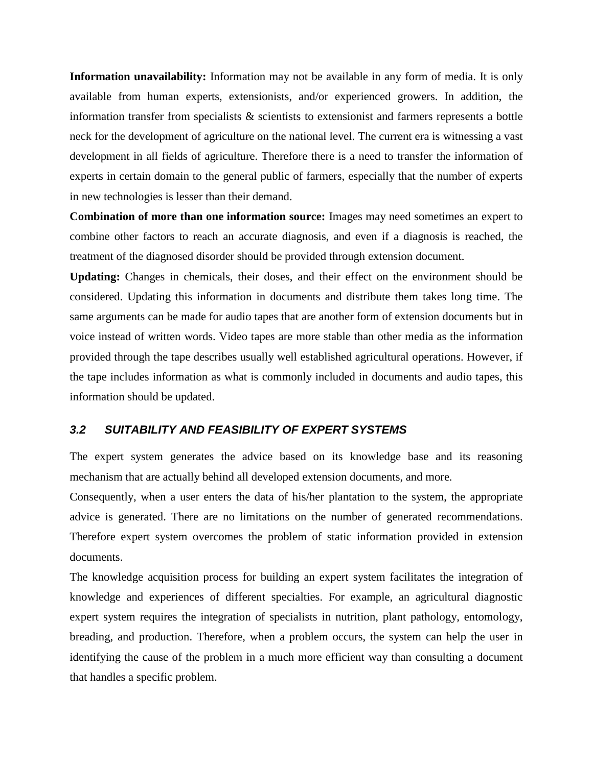**Information unavailability:** Information may not be available in any form of media. It is only available from human experts, extensionists, and/or experienced growers. In addition, the information transfer from specialists & scientists to extensionist and farmers represents a bottle neck for the development of agriculture on the national level. The current era is witnessing a vast development in all fields of agriculture. Therefore there is a need to transfer the information of experts in certain domain to the general public of farmers, especially that the number of experts in new technologies is lesser than their demand.

**Combination of more than one information source:** Images may need sometimes an expert to combine other factors to reach an accurate diagnosis, and even if a diagnosis is reached, the treatment of the diagnosed disorder should be provided through extension document.

**Updating:** Changes in chemicals, their doses, and their effect on the environment should be considered. Updating this information in documents and distribute them takes long time. The same arguments can be made for audio tapes that are another form of extension documents but in voice instead of written words. Video tapes are more stable than other media as the information provided through the tape describes usually well established agricultural operations. However, if the tape includes information as what is commonly included in documents and audio tapes, this information should be updated.

### *3.2 SUITABILITY AND FEASIBILITY OF EXPERT SYSTEMS*

The expert system generates the advice based on its knowledge base and its reasoning mechanism that are actually behind all developed extension documents, and more.

Consequently, when a user enters the data of his/her plantation to the system, the appropriate advice is generated. There are no limitations on the number of generated recommendations. Therefore expert system overcomes the problem of static information provided in extension documents.

The knowledge acquisition process for building an expert system facilitates the integration of knowledge and experiences of different specialties. For example, an agricultural diagnostic expert system requires the integration of specialists in nutrition, plant pathology, entomology, breading, and production. Therefore, when a problem occurs, the system can help the user in identifying the cause of the problem in a much more efficient way than consulting a document that handles a specific problem.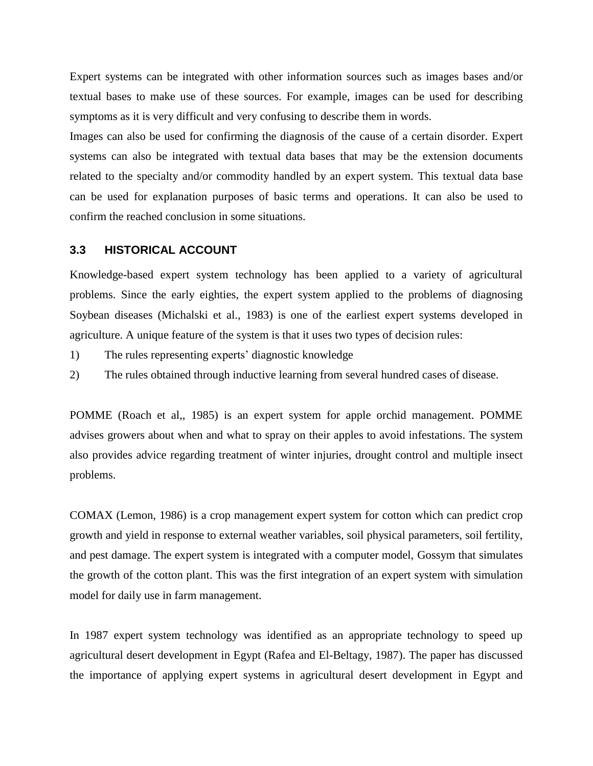Expert systems can be integrated with other information sources such as images bases and/or textual bases to make use of these sources. For example, images can be used for describing symptoms as it is very difficult and very confusing to describe them in words.

Images can also be used for confirming the diagnosis of the cause of a certain disorder. Expert systems can also be integrated with textual data bases that may be the extension documents related to the specialty and/or commodity handled by an expert system. This textual data base can be used for explanation purposes of basic terms and operations. It can also be used to confirm the reached conclusion in some situations.

### **3.3 HISTORICAL ACCOUNT**

Knowledge-based expert system technology has been applied to a variety of agricultural problems. Since the early eighties, the expert system applied to the problems of diagnosing Soybean diseases (Michalski et al., 1983) is one of the earliest expert systems developed in agriculture. A unique feature of the system is that it uses two types of decision rules:

- 1) The rules representing experts' diagnostic knowledge
- 2) The rules obtained through inductive learning from several hundred cases of disease.

POMME (Roach et al,, 1985) is an expert system for apple orchid management. POMME advises growers about when and what to spray on their apples to avoid infestations. The system also provides advice regarding treatment of winter injuries, drought control and multiple insect problems.

COMAX (Lemon, 1986) is a crop management expert system for cotton which can predict crop growth and yield in response to external weather variables, soil physical parameters, soil fertility, and pest damage. The expert system is integrated with a computer model, Gossym that simulates the growth of the cotton plant. This was the first integration of an expert system with simulation model for daily use in farm management.

In 1987 expert system technology was identified as an appropriate technology to speed up agricultural desert development in Egypt (Rafea and El-Beltagy, 1987). The paper has discussed the importance of applying expert systems in agricultural desert development in Egypt and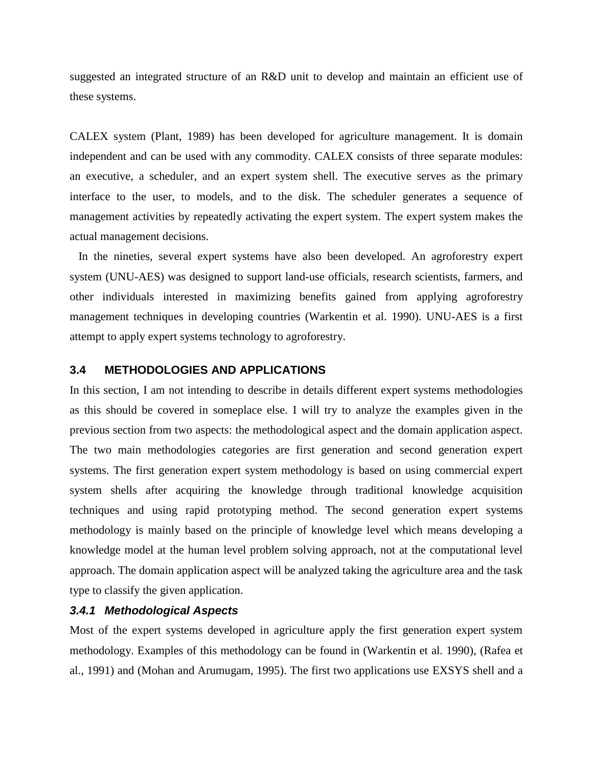suggested an integrated structure of an R&D unit to develop and maintain an efficient use of these systems.

CALEX system (Plant, 1989) has been developed for agriculture management. It is domain independent and can be used with any commodity. CALEX consists of three separate modules: an executive, a scheduler, and an expert system shell. The executive serves as the primary interface to the user, to models, and to the disk. The scheduler generates a sequence of management activities by repeatedly activating the expert system. The expert system makes the actual management decisions.

 In the nineties, several expert systems have also been developed. An agroforestry expert system (UNU-AES) was designed to support land-use officials, research scientists, farmers, and other individuals interested in maximizing benefits gained from applying agroforestry management techniques in developing countries (Warkentin et al. 1990). UNU-AES is a first attempt to apply expert systems technology to agroforestry.

### **3.4 METHODOLOGIES AND APPLICATIONS**

In this section, I am not intending to describe in details different expert systems methodologies as this should be covered in someplace else. I will try to analyze the examples given in the previous section from two aspects: the methodological aspect and the domain application aspect. The two main methodologies categories are first generation and second generation expert systems. The first generation expert system methodology is based on using commercial expert system shells after acquiring the knowledge through traditional knowledge acquisition techniques and using rapid prototyping method. The second generation expert systems methodology is mainly based on the principle of knowledge level which means developing a knowledge model at the human level problem solving approach, not at the computational level approach. The domain application aspect will be analyzed taking the agriculture area and the task type to classify the given application.

### *3.4.1 Methodological Aspects*

Most of the expert systems developed in agriculture apply the first generation expert system methodology. Examples of this methodology can be found in (Warkentin et al. 1990), (Rafea et al., 1991) and (Mohan and Arumugam, 1995). The first two applications use EXSYS shell and a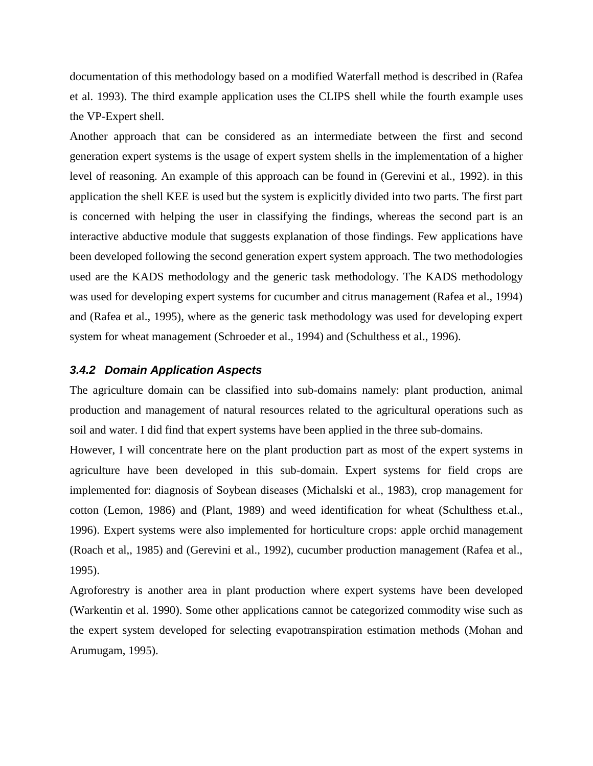documentation of this methodology based on a modified Waterfall method is described in (Rafea et al. 1993). The third example application uses the CLIPS shell while the fourth example uses the VP-Expert shell.

Another approach that can be considered as an intermediate between the first and second generation expert systems is the usage of expert system shells in the implementation of a higher level of reasoning. An example of this approach can be found in (Gerevini et al., 1992). in this application the shell KEE is used but the system is explicitly divided into two parts. The first part is concerned with helping the user in classifying the findings, whereas the second part is an interactive abductive module that suggests explanation of those findings. Few applications have been developed following the second generation expert system approach. The two methodologies used are the KADS methodology and the generic task methodology. The KADS methodology was used for developing expert systems for cucumber and citrus management (Rafea et al., 1994) and (Rafea et al., 1995), where as the generic task methodology was used for developing expert system for wheat management (Schroeder et al., 1994) and (Schulthess et al., 1996).

#### *3.4.2 Domain Application Aspects*

The agriculture domain can be classified into sub-domains namely: plant production, animal production and management of natural resources related to the agricultural operations such as soil and water. I did find that expert systems have been applied in the three sub-domains.

However, I will concentrate here on the plant production part as most of the expert systems in agriculture have been developed in this sub-domain. Expert systems for field crops are implemented for: diagnosis of Soybean diseases (Michalski et al., 1983), crop management for cotton (Lemon, 1986) and (Plant, 1989) and weed identification for wheat (Schulthess et.al., 1996). Expert systems were also implemented for horticulture crops: apple orchid management (Roach et al,, 1985) and (Gerevini et al., 1992), cucumber production management (Rafea et al., 1995).

Agroforestry is another area in plant production where expert systems have been developed (Warkentin et al. 1990). Some other applications cannot be categorized commodity wise such as the expert system developed for selecting evapotranspiration estimation methods (Mohan and Arumugam, 1995).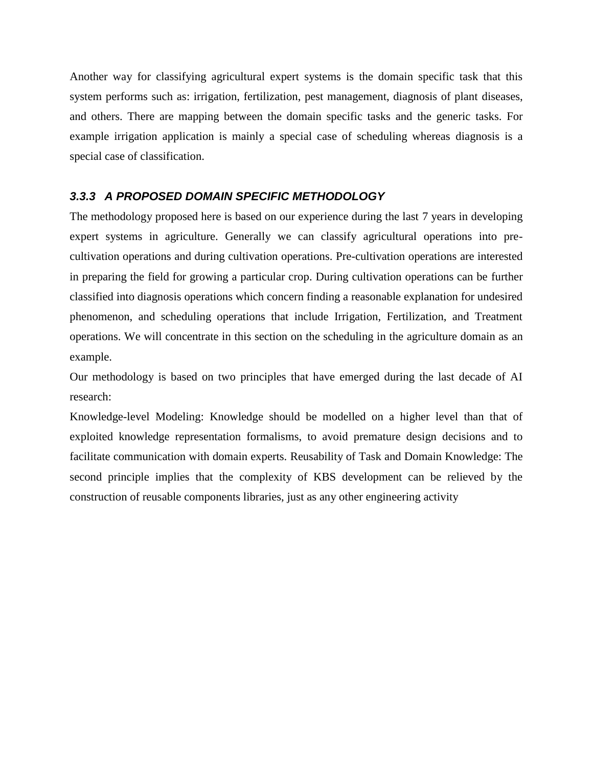Another way for classifying agricultural expert systems is the domain specific task that this system performs such as: irrigation, fertilization, pest management, diagnosis of plant diseases, and others. There are mapping between the domain specific tasks and the generic tasks. For example irrigation application is mainly a special case of scheduling whereas diagnosis is a special case of classification.

## *3.3.3 A PROPOSED DOMAIN SPECIFIC METHODOLOGY*

The methodology proposed here is based on our experience during the last 7 years in developing expert systems in agriculture. Generally we can classify agricultural operations into precultivation operations and during cultivation operations. Pre-cultivation operations are interested in preparing the field for growing a particular crop. During cultivation operations can be further classified into diagnosis operations which concern finding a reasonable explanation for undesired phenomenon, and scheduling operations that include Irrigation, Fertilization, and Treatment operations. We will concentrate in this section on the scheduling in the agriculture domain as an example.

Our methodology is based on two principles that have emerged during the last decade of AI research:

Knowledge-level Modeling: Knowledge should be modelled on a higher level than that of exploited knowledge representation formalisms, to avoid premature design decisions and to facilitate communication with domain experts. Reusability of Task and Domain Knowledge: The second principle implies that the complexity of KBS development can be relieved by the construction of reusable components libraries, just as any other engineering activity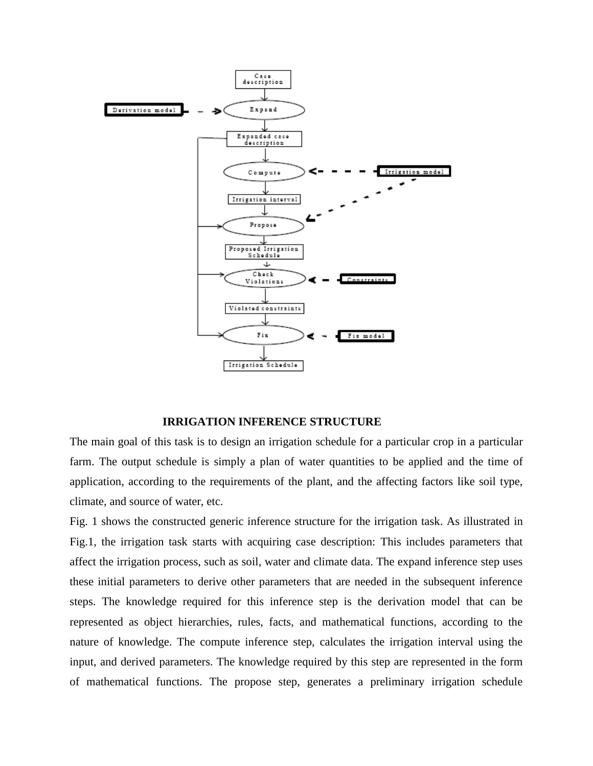

#### **IRRIGATION INFERENCE STRUCTURE**

The main goal of this task is to design an irrigation schedule for a particular crop in a particular farm. The output schedule is simply a plan of water quantities to be applied and the time of application, according to the requirements of the plant, and the affecting factors like soil type, climate, and source of water, etc.

Fig. 1 shows the constructed generic inference structure for the irrigation task. As illustrated in Fig.1, the irrigation task starts with acquiring case description: This includes parameters that affect the irrigation process, such as soil, water and climate data. The expand inference step uses these initial parameters to derive other parameters that are needed in the subsequent inference steps. The knowledge required for this inference step is the derivation model that can be represented as object hierarchies, rules, facts, and mathematical functions, according to the nature of knowledge. The compute inference step, calculates the irrigation interval using the input, and derived parameters. The knowledge required by this step are represented in the form of mathematical functions. The propose step, generates a preliminary irrigation schedule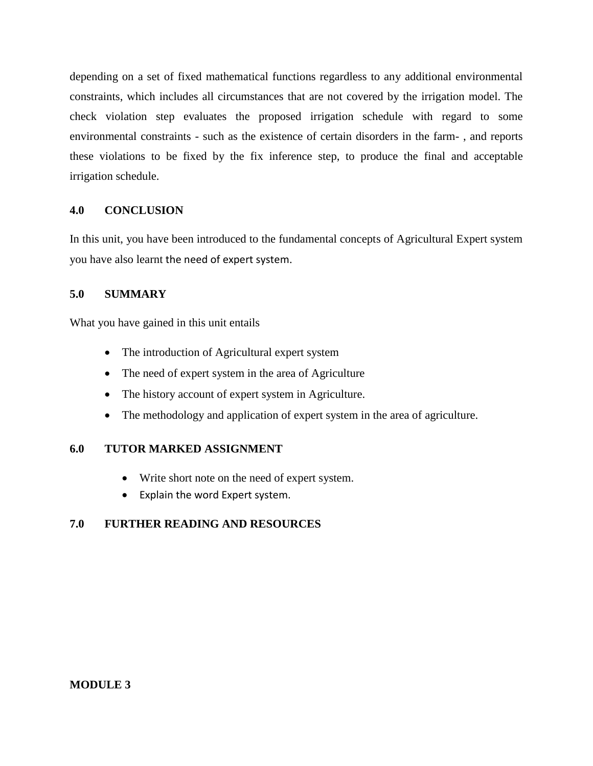depending on a set of fixed mathematical functions regardless to any additional environmental constraints, which includes all circumstances that are not covered by the irrigation model. The check violation step evaluates the proposed irrigation schedule with regard to some environmental constraints - such as the existence of certain disorders in the farm- , and reports these violations to be fixed by the fix inference step, to produce the final and acceptable irrigation schedule.

## **4.0 CONCLUSION**

In this unit, you have been introduced to the fundamental concepts of Agricultural Expert system you have also learnt the need of expert system.

## **5.0 SUMMARY**

What you have gained in this unit entails

- The introduction of Agricultural expert system
- The need of expert system in the area of Agriculture
- The history account of expert system in Agriculture.
- The methodology and application of expert system in the area of agriculture.

## **6.0 TUTOR MARKED ASSIGNMENT**

- Write short note on the need of expert system.
- Explain the word Expert system.

## **7.0 FURTHER READING AND RESOURCES**

## **MODULE 3**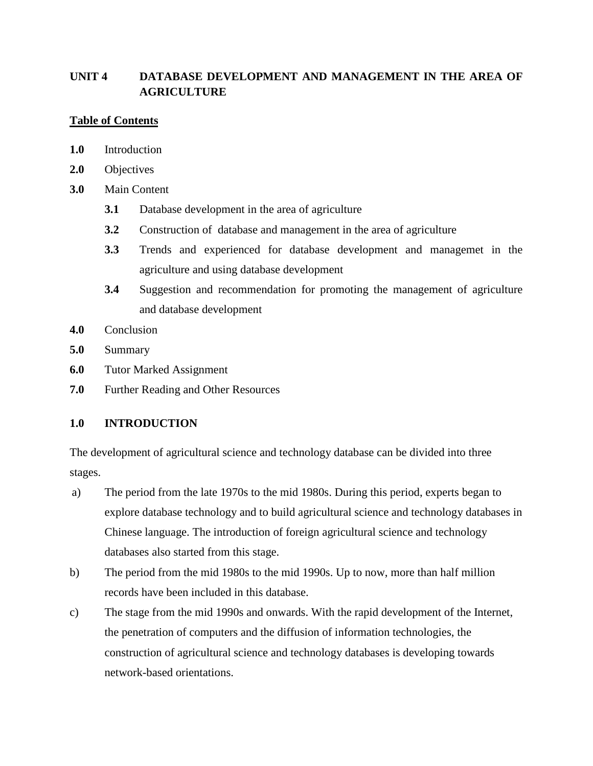## **UNIT 4 DATABASE DEVELOPMENT AND MANAGEMENT IN THE AREA OF AGRICULTURE**

### **Table of Contents**

- **1.0** Introduction
- **2.0** Objectives
- **3.0** Main Content
	- **3.1** Database development in the area of agriculture
	- **3.2** Construction of database and management in the area of agriculture
	- **3.3** Trends and experienced for database development and managemet in the agriculture and using database development
	- **3.4** Suggestion and recommendation for promoting the management of agriculture and database development
- **4.0** Conclusion
- **5.0** Summary
- **6.0** Tutor Marked Assignment
- **7.0** Further Reading and Other Resources

### **1.0 INTRODUCTION**

The development of agricultural science and technology database can be divided into three stages.

- a) The period from the late 1970s to the mid 1980s. During this period, experts began to explore database technology and to build agricultural science and technology databases in Chinese language. The introduction of foreign agricultural science and technology databases also started from this stage.
- b) The period from the mid 1980s to the mid 1990s. Up to now, more than half million records have been included in this database.
- c) The stage from the mid 1990s and onwards. With the rapid development of the Internet, the penetration of computers and the diffusion of information technologies, the construction of agricultural science and technology databases is developing towards network-based orientations.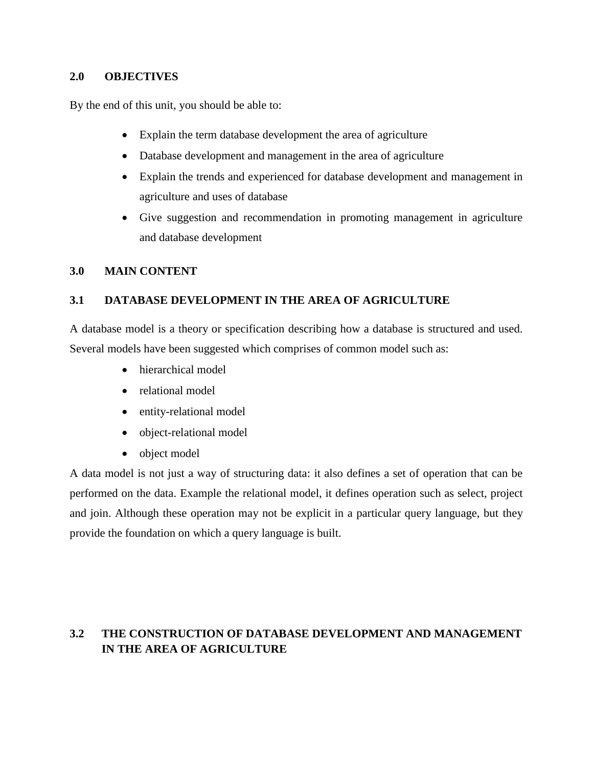### **2.0 OBJECTIVES**

By the end of this unit, you should be able to:

- Explain the term database development the area of agriculture
- Database development and management in the area of agriculture
- Explain the trends and experienced for database development and management in agriculture and uses of database
- Give suggestion and recommendation in promoting management in agriculture and database development

## **3.0 MAIN CONTENT**

## **3.1 DATABASE DEVELOPMENT IN THE AREA OF AGRICULTURE**

A database model is a theory or specification describing how a database is structured and used. Several models have been suggested which comprises of common model such as:

- hierarchical model
- relational model
- entity-relational model
- object-relational model
- object model

A data model is not just a way of structuring data: it also defines a set of operation that can be performed on the data. Example the relational model, it defines operation such as select, project and join. Although these operation may not be explicit in a particular query language, but they provide the foundation on which a query language is built.

## **3.2 THE CONSTRUCTION OF DATABASE DEVELOPMENT AND MANAGEMENT IN THE AREA OF AGRICULTURE**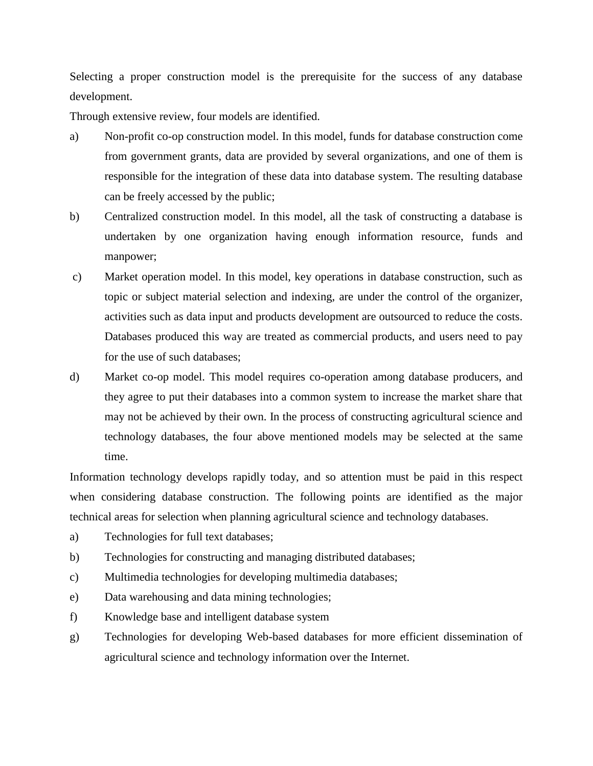Selecting a proper construction model is the prerequisite for the success of any database development.

Through extensive review, four models are identified.

- a) Non-profit co-op construction model. In this model, funds for database construction come from government grants, data are provided by several organizations, and one of them is responsible for the integration of these data into database system. The resulting database can be freely accessed by the public;
- b) Centralized construction model. In this model, all the task of constructing a database is undertaken by one organization having enough information resource, funds and manpower;
- c) Market operation model. In this model, key operations in database construction, such as topic or subject material selection and indexing, are under the control of the organizer, activities such as data input and products development are outsourced to reduce the costs. Databases produced this way are treated as commercial products, and users need to pay for the use of such databases;
- d) Market co-op model. This model requires co-operation among database producers, and they agree to put their databases into a common system to increase the market share that may not be achieved by their own. In the process of constructing agricultural science and technology databases, the four above mentioned models may be selected at the same time.

Information technology develops rapidly today, and so attention must be paid in this respect when considering database construction. The following points are identified as the major technical areas for selection when planning agricultural science and technology databases.

- a) Technologies for full text databases;
- b) Technologies for constructing and managing distributed databases;
- c) Multimedia technologies for developing multimedia databases;
- e) Data warehousing and data mining technologies;
- f) Knowledge base and intelligent database system
- g) Technologies for developing Web-based databases for more efficient dissemination of agricultural science and technology information over the Internet.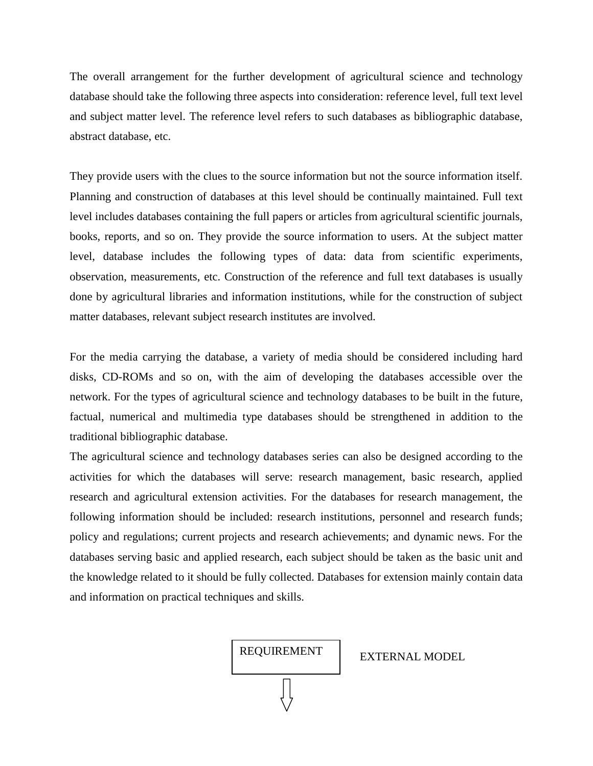The overall arrangement for the further development of agricultural science and technology database should take the following three aspects into consideration: reference level, full text level and subject matter level. The reference level refers to such databases as bibliographic database, abstract database, etc.

They provide users with the clues to the source information but not the source information itself. Planning and construction of databases at this level should be continually maintained. Full text level includes databases containing the full papers or articles from agricultural scientific journals, books, reports, and so on. They provide the source information to users. At the subject matter level, database includes the following types of data: data from scientific experiments, observation, measurements, etc. Construction of the reference and full text databases is usually done by agricultural libraries and information institutions, while for the construction of subject matter databases, relevant subject research institutes are involved.

For the media carrying the database, a variety of media should be considered including hard disks, CD-ROMs and so on, with the aim of developing the databases accessible over the network. For the types of agricultural science and technology databases to be built in the future, factual, numerical and multimedia type databases should be strengthened in addition to the traditional bibliographic database.

The agricultural science and technology databases series can also be designed according to the activities for which the databases will serve: research management, basic research, applied research and agricultural extension activities. For the databases for research management, the following information should be included: research institutions, personnel and research funds; policy and regulations; current projects and research achievements; and dynamic news. For the databases serving basic and applied research, each subject should be taken as the basic unit and the knowledge related to it should be fully collected. Databases for extension mainly contain data and information on practical techniques and skills.

REQUIREMENT | EXTERNAL MODEL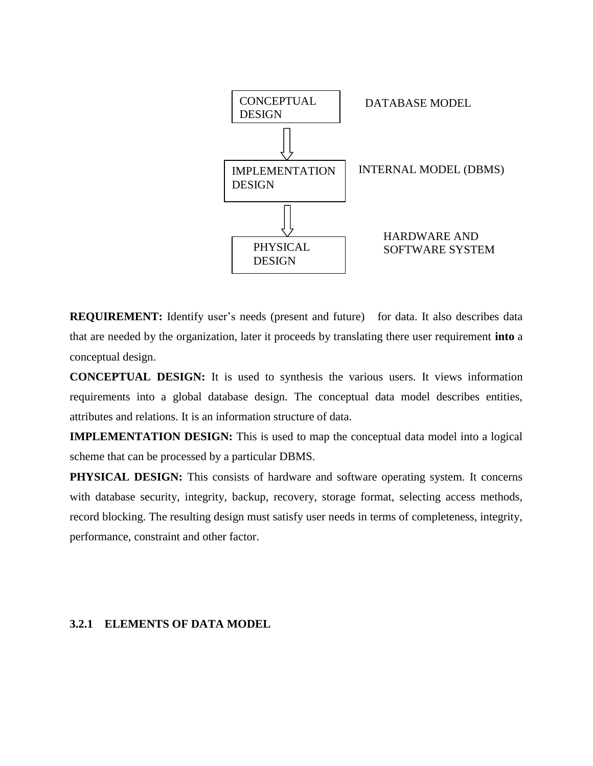

**REQUIREMENT:** Identify user's needs (present and future)for data. It also describes data that are needed by the organization, later it proceeds by translating there user requirement **into** a conceptual design.

**CONCEPTUAL DESIGN:** It is used to synthesis the various users. It views information requirements into a global database design. The conceptual data model describes entities, attributes and relations. It is an information structure of data.

**IMPLEMENTATION DESIGN:** This is used to map the conceptual data model into a logical scheme that can be processed by a particular DBMS.

**PHYSICAL DESIGN:** This consists of hardware and software operating system. It concerns with database security, integrity, backup, recovery, storage format, selecting access methods, record blocking. The resulting design must satisfy user needs in terms of completeness, integrity, performance, constraint and other factor.

#### **3.2.1 ELEMENTS OF DATA MODEL**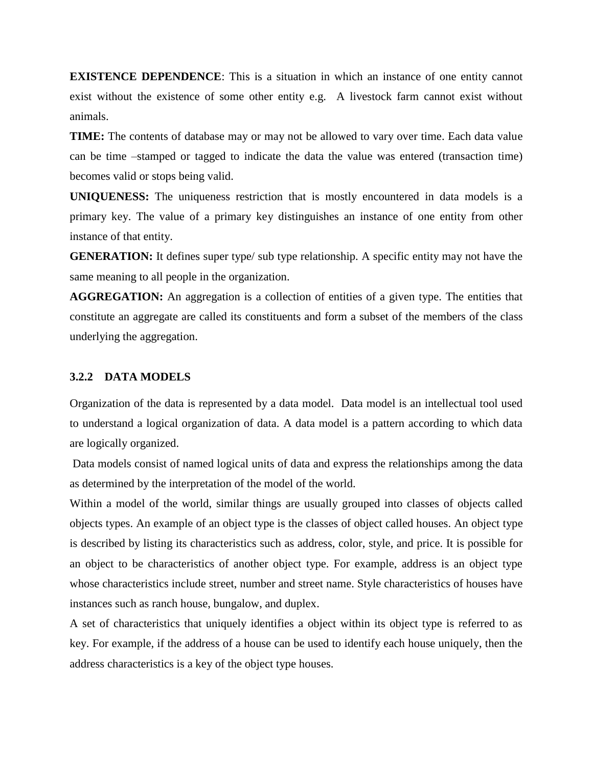**EXISTENCE DEPENDENCE:** This is a situation in which an instance of one entity cannot exist without the existence of some other entity e.g. A livestock farm cannot exist without animals.

**TIME:** The contents of database may or may not be allowed to vary over time. Each data value can be time –stamped or tagged to indicate the data the value was entered (transaction time) becomes valid or stops being valid.

**UNIQUENESS:** The uniqueness restriction that is mostly encountered in data models is a primary key. The value of a primary key distinguishes an instance of one entity from other instance of that entity.

**GENERATION:** It defines super type/ sub type relationship. A specific entity may not have the same meaning to all people in the organization.

**AGGREGATION:** An aggregation is a collection of entities of a given type. The entities that constitute an aggregate are called its constituents and form a subset of the members of the class underlying the aggregation.

#### **3.2.2 DATA MODELS**

Organization of the data is represented by a data model. Data model is an intellectual tool used to understand a logical organization of data. A data model is a pattern according to which data are logically organized.

Data models consist of named logical units of data and express the relationships among the data as determined by the interpretation of the model of the world.

Within a model of the world, similar things are usually grouped into classes of objects called objects types. An example of an object type is the classes of object called houses. An object type is described by listing its characteristics such as address, color, style, and price. It is possible for an object to be characteristics of another object type. For example, address is an object type whose characteristics include street, number and street name. Style characteristics of houses have instances such as ranch house, bungalow, and duplex.

A set of characteristics that uniquely identifies a object within its object type is referred to as key. For example, if the address of a house can be used to identify each house uniquely, then the address characteristics is a key of the object type houses.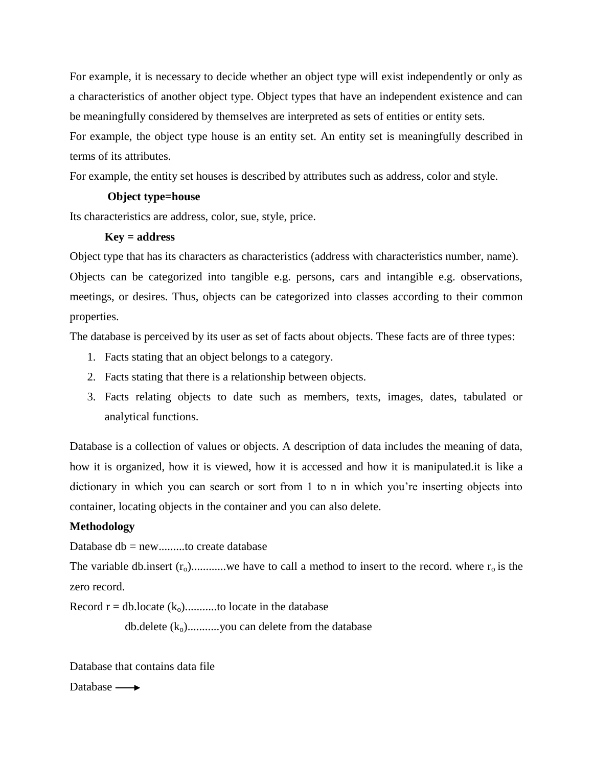For example, it is necessary to decide whether an object type will exist independently or only as a characteristics of another object type. Object types that have an independent existence and can be meaningfully considered by themselves are interpreted as sets of entities or entity sets. For example, the object type house is an entity set. An entity set is meaningfully described in

terms of its attributes.

For example, the entity set houses is described by attributes such as address, color and style.

#### **Object type=house**

Its characteristics are address, color, sue, style, price.

#### **Key = address**

Object type that has its characters as characteristics (address with characteristics number, name). Objects can be categorized into tangible e.g. persons, cars and intangible e.g. observations, meetings, or desires. Thus, objects can be categorized into classes according to their common properties.

The database is perceived by its user as set of facts about objects. These facts are of three types:

- 1. Facts stating that an object belongs to a category.
- 2. Facts stating that there is a relationship between objects.
- 3. Facts relating objects to date such as members, texts, images, dates, tabulated or analytical functions.

Database is a collection of values or objects. A description of data includes the meaning of data, how it is organized, how it is viewed, how it is accessed and how it is manipulated.it is like a dictionary in which you can search or sort from 1 to n in which you're inserting objects into container, locating objects in the container and you can also delete.

# **Methodology**

Database db = new.........to create database

The variable db.insert  $(r_0)$ .............we have to call a method to insert to the record. where  $r_0$  is the zero record.

Record  $r = db$ . locate  $(k_0)$ ...........to locate in the database

db.delete (k<sub>o</sub>)...........you can delete from the database

Database that contains data file

Database  $\longrightarrow$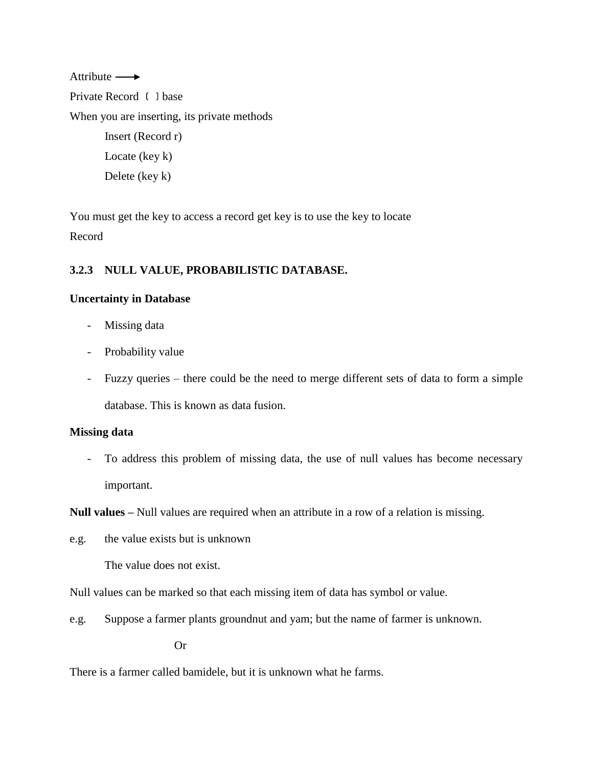Attribute  $\longrightarrow$ Private Record ( ) base When you are inserting, its private methods Insert (Record r) Locate (key k) Delete (key k)

You must get the key to access a record get key is to use the key to locate Record

# **3.2.3 NULL VALUE, PROBABILISTIC DATABASE.**

#### **Uncertainty in Database**

- Missing data
- Probability value
- Fuzzy queries there could be the need to merge different sets of data to form a simple database. This is known as data fusion.

# **Missing data**

To address this problem of missing data, the use of null values has become necessary important.

**Null values –** Null values are required when an attribute in a row of a relation is missing.

e.g. the value exists but is unknown

The value does not exist.

Null values can be marked so that each missing item of data has symbol or value.

e.g. Suppose a farmer plants groundnut and yam; but the name of farmer is unknown.

Or

There is a farmer called bamidele, but it is unknown what he farms.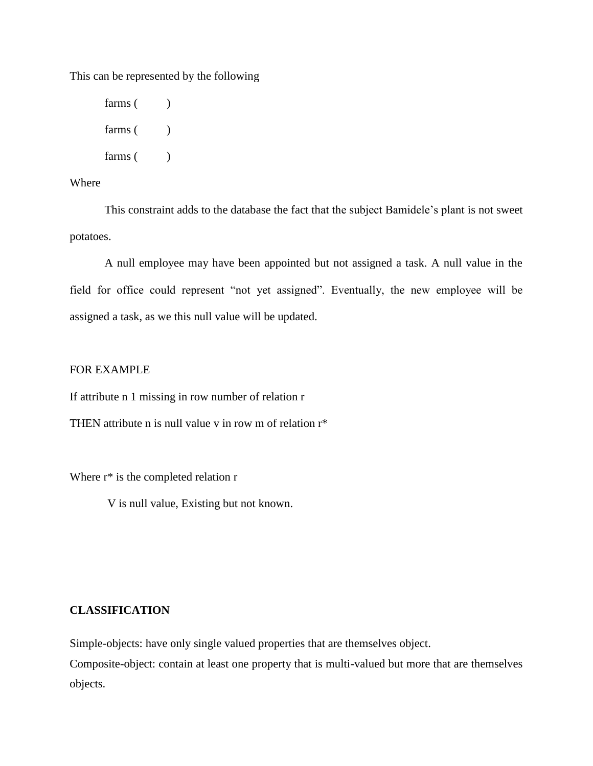This can be represented by the following

farms ()  $farms$  ( )  $farms$  ( )

# Where

This constraint adds to the database the fact that the subject Bamidele's plant is not sweet potatoes.

A null employee may have been appointed but not assigned a task. A null value in the field for office could represent "not yet assigned". Eventually, the new employee will be assigned a task, as we this null value will be updated.

# FOR EXAMPLE

If attribute n 1 missing in row number of relation r

THEN attribute n is null value v in row m of relation  $r^*$ 

Where  $r^*$  is the completed relation  $r$ 

V is null value, Existing but not known.

#### **CLASSIFICATION**

Simple-objects: have only single valued properties that are themselves object. Composite-object: contain at least one property that is multi-valued but more that are themselves objects.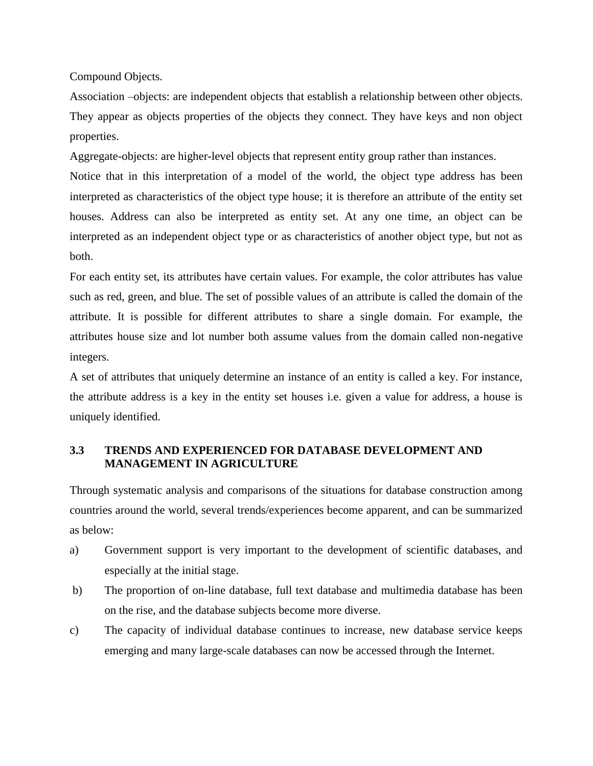Compound Objects.

Association –objects: are independent objects that establish a relationship between other objects. They appear as objects properties of the objects they connect. They have keys and non object properties.

Aggregate-objects: are higher-level objects that represent entity group rather than instances.

Notice that in this interpretation of a model of the world, the object type address has been interpreted as characteristics of the object type house; it is therefore an attribute of the entity set houses. Address can also be interpreted as entity set. At any one time, an object can be interpreted as an independent object type or as characteristics of another object type, but not as both.

For each entity set, its attributes have certain values. For example, the color attributes has value such as red, green, and blue. The set of possible values of an attribute is called the domain of the attribute. It is possible for different attributes to share a single domain. For example, the attributes house size and lot number both assume values from the domain called non-negative integers.

A set of attributes that uniquely determine an instance of an entity is called a key. For instance, the attribute address is a key in the entity set houses i.e. given a value for address, a house is uniquely identified.

# **3.3 TRENDS AND EXPERIENCED FOR DATABASE DEVELOPMENT AND MANAGEMENT IN AGRICULTURE**

Through systematic analysis and comparisons of the situations for database construction among countries around the world, several trends/experiences become apparent, and can be summarized as below:

- a) Government support is very important to the development of scientific databases, and especially at the initial stage.
- b) The proportion of on-line database, full text database and multimedia database has been on the rise, and the database subjects become more diverse.
- c) The capacity of individual database continues to increase, new database service keeps emerging and many large-scale databases can now be accessed through the Internet.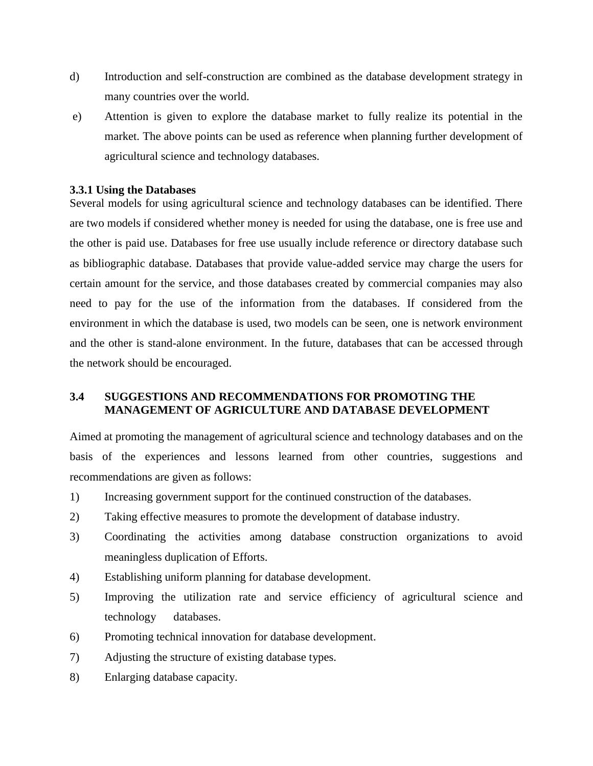- d) Introduction and self-construction are combined as the database development strategy in many countries over the world.
- e) Attention is given to explore the database market to fully realize its potential in the market. The above points can be used as reference when planning further development of agricultural science and technology databases.

#### **3.3.1 Using the Databases**

Several models for using agricultural science and technology databases can be identified. There are two models if considered whether money is needed for using the database, one is free use and the other is paid use. Databases for free use usually include reference or directory database such as bibliographic database. Databases that provide value-added service may charge the users for certain amount for the service, and those databases created by commercial companies may also need to pay for the use of the information from the databases. If considered from the environment in which the database is used, two models can be seen, one is network environment and the other is stand-alone environment. In the future, databases that can be accessed through the network should be encouraged.

# **3.4 SUGGESTIONS AND RECOMMENDATIONS FOR PROMOTING THE MANAGEMENT OF AGRICULTURE AND DATABASE DEVELOPMENT**

Aimed at promoting the management of agricultural science and technology databases and on the basis of the experiences and lessons learned from other countries, suggestions and recommendations are given as follows:

- 1) Increasing government support for the continued construction of the databases.
- 2) Taking effective measures to promote the development of database industry.
- 3) Coordinating the activities among database construction organizations to avoid meaningless duplication of Efforts.
- 4) Establishing uniform planning for database development.
- 5) Improving the utilization rate and service efficiency of agricultural science and technology databases.
- 6) Promoting technical innovation for database development.
- 7) Adjusting the structure of existing database types.
- 8) Enlarging database capacity.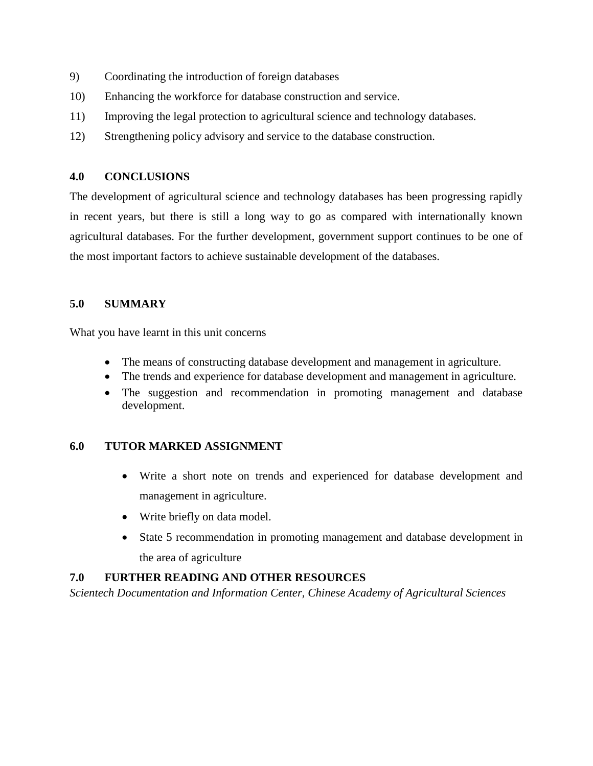- 9) Coordinating the introduction of foreign databases
- 10) Enhancing the workforce for database construction and service.
- 11) Improving the legal protection to agricultural science and technology databases.
- 12) Strengthening policy advisory and service to the database construction.

# **4.0 CONCLUSIONS**

The development of agricultural science and technology databases has been progressing rapidly in recent years, but there is still a long way to go as compared with internationally known agricultural databases. For the further development, government support continues to be one of the most important factors to achieve sustainable development of the databases.

# **5.0 SUMMARY**

What you have learnt in this unit concerns

- The means of constructing database development and management in agriculture.
- The trends and experience for database development and management in agriculture.
- The suggestion and recommendation in promoting management and database development.

# **6.0 TUTOR MARKED ASSIGNMENT**

- Write a short note on trends and experienced for database development and management in agriculture.
- Write briefly on data model.
- State 5 recommendation in promoting management and database development in the area of agriculture

# **7.0 FURTHER READING AND OTHER RESOURCES**

*Scientech Documentation and Information Center, Chinese Academy of Agricultural Sciences*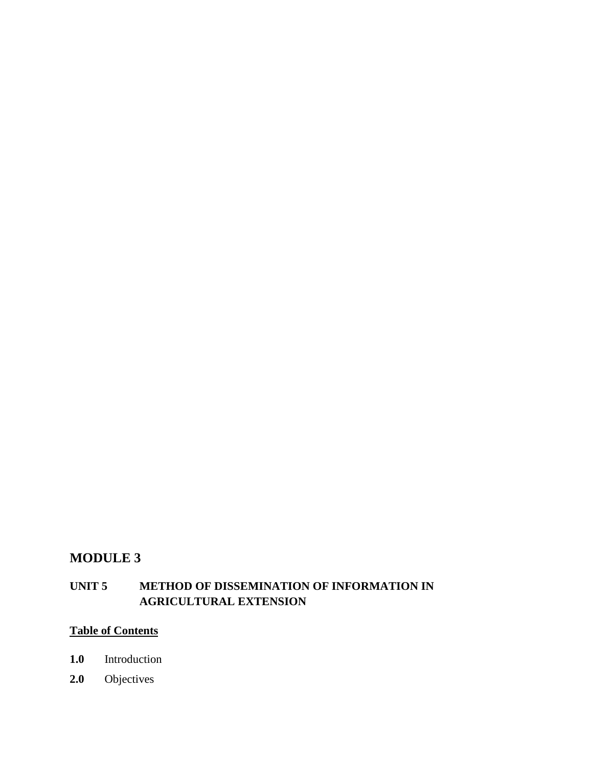# **MODULE 3**

# **UNIT 5 METHOD OF DISSEMINATION OF INFORMATION IN AGRICULTURAL EXTENSION**

# **Table of Contents**

- **1.0** Introduction
- **2.0** Objectives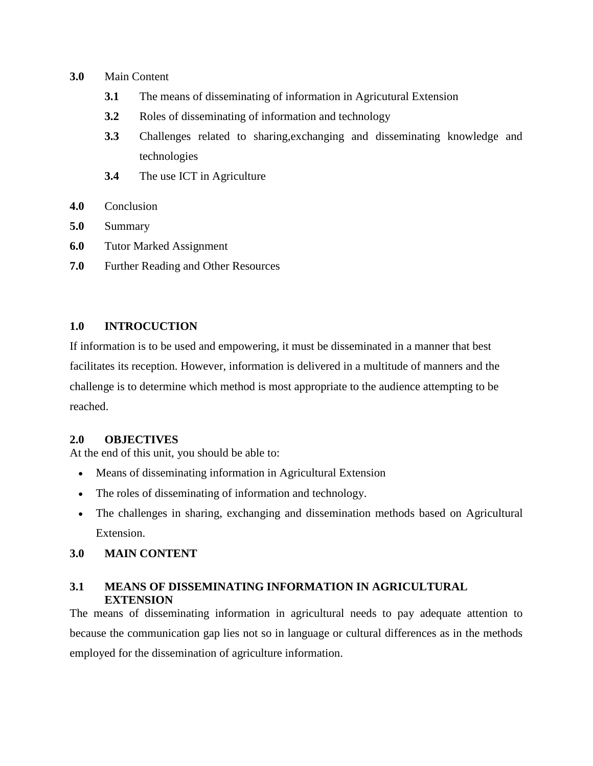# **3.0** Main Content

- **3.1** The means of disseminating of information in Agricutural Extension
- **3.2** Roles of disseminating of information and technology
- **3.3** Challenges related to sharing,exchanging and disseminating knowledge and technologies
- **3.4** The use ICT in Agriculture
- **4.0** Conclusion
- **5.0** Summary
- **6.0** Tutor Marked Assignment
- **7.0** Further Reading and Other Resources

# **1.0 INTROCUCTION**

If information is to be used and empowering, it must be disseminated in a manner that best facilitates its reception. However, information is delivered in a multitude of manners and the challenge is to determine which method is most appropriate to the audience attempting to be reached.

# **2.0 OBJECTIVES**

At the end of this unit, you should be able to:

- Means of disseminating information in Agricultural Extension
- The roles of disseminating of information and technology.
- The challenges in sharing, exchanging and dissemination methods based on Agricultural Extension.

# **3.0 MAIN CONTENT**

# **3.1 MEANS OF DISSEMINATING INFORMATION IN AGRICULTURAL EXTENSION**

The means of disseminating information in agricultural needs to pay adequate attention to because the communication gap lies not so in language or cultural differences as in the methods employed for the dissemination of agriculture information.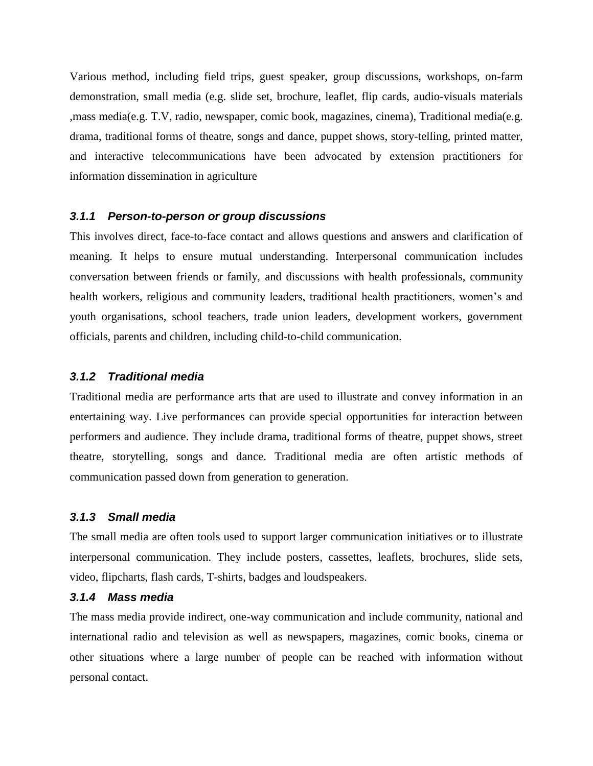Various method, including field trips, guest speaker, group discussions, workshops, on-farm demonstration, small media (e.g. slide set, brochure, leaflet, flip cards, audio-visuals materials ,mass media(e.g. T.V, radio, newspaper, comic book, magazines, cinema), Traditional media(e.g. drama, traditional forms of theatre, songs and dance, puppet shows, story-telling, printed matter, and interactive telecommunications have been advocated by extension practitioners for information dissemination in agriculture

#### *3.1.1 Person-to-person or group discussions*

This involves direct, face-to-face contact and allows questions and answers and clarification of meaning. It helps to ensure mutual understanding. Interpersonal communication includes conversation between friends or family, and discussions with health professionals, community health workers, religious and community leaders, traditional health practitioners, women's and youth organisations, school teachers, trade union leaders, development workers, government officials, parents and children, including child-to-child communication.

#### *3.1.2 Traditional media*

Traditional media are performance arts that are used to illustrate and convey information in an entertaining way. Live performances can provide special opportunities for interaction between performers and audience. They include drama, traditional forms of theatre, puppet shows, street theatre, storytelling, songs and dance. Traditional media are often artistic methods of communication passed down from generation to generation.

# *3.1.3 Small media*

The small media are often tools used to support larger communication initiatives or to illustrate interpersonal communication. They include posters, cassettes, leaflets, brochures, slide sets, video, flipcharts, flash cards, T-shirts, badges and loudspeakers.

#### *3.1.4 Mass media*

The mass media provide indirect, one-way communication and include community, national and international radio and television as well as newspapers, magazines, comic books, cinema or other situations where a large number of people can be reached with information without personal contact.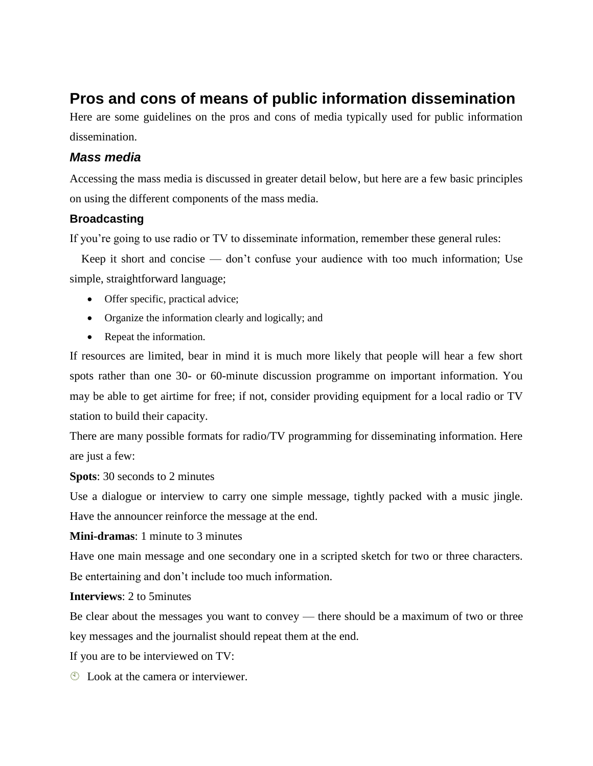# **Pros and cons of means of public information dissemination**

Here are some guidelines on the pros and cons of media typically used for public information dissemination.

# *Mass media*

Accessing the mass media is discussed in greater detail below, but here are a few basic principles on using the different components of the mass media.

# **Broadcasting**

If you're going to use radio or TV to disseminate information, remember these general rules:

Keep it short and concise — don't confuse your audience with too much information; Use simple, straightforward language;

- Offer specific, practical advice;
- Organize the information clearly and logically; and
- Repeat the information.

If resources are limited, bear in mind it is much more likely that people will hear a few short spots rather than one 30- or 60-minute discussion programme on important information. You may be able to get airtime for free; if not, consider providing equipment for a local radio or TV station to build their capacity.

There are many possible formats for radio/TV programming for disseminating information. Here are just a few:

**Spots**: 30 seconds to 2 minutes

Use a dialogue or interview to carry one simple message, tightly packed with a music jingle. Have the announcer reinforce the message at the end.

**Mini-dramas**: 1 minute to 3 minutes

Have one main message and one secondary one in a scripted sketch for two or three characters. Be entertaining and don't include too much information.

**Interviews**: 2 to 5minutes

Be clear about the messages you want to convey — there should be a maximum of two or three key messages and the journalist should repeat them at the end.

If you are to be interviewed on TV:

**EXECUTE:** Look at the camera or interviewer.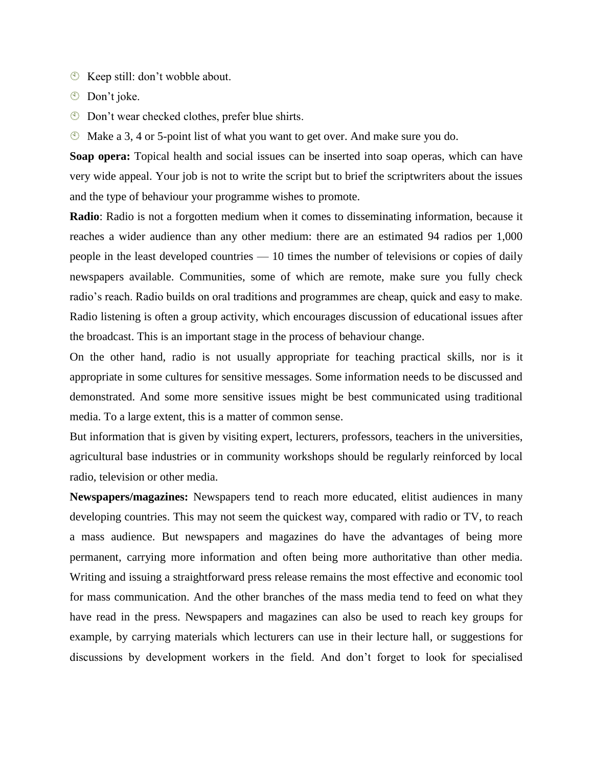Keep still: don't wobble about.

**Don't joke.** 

**Don't wear checked clothes, prefer blue shirts.** 

 $\degree$  Make a 3, 4 or 5-point list of what you want to get over. And make sure you do.

**Soap opera:** Topical health and social issues can be inserted into soap operas, which can have very wide appeal. Your job is not to write the script but to brief the scriptwriters about the issues and the type of behaviour your programme wishes to promote.

**Radio**: Radio is not a forgotten medium when it comes to disseminating information, because it reaches a wider audience than any other medium: there are an estimated 94 radios per 1,000 people in the least developed countries — 10 times the number of televisions or copies of daily newspapers available. Communities, some of which are remote, make sure you fully check radio's reach. Radio builds on oral traditions and programmes are cheap, quick and easy to make. Radio listening is often a group activity, which encourages discussion of educational issues after the broadcast. This is an important stage in the process of behaviour change.

On the other hand, radio is not usually appropriate for teaching practical skills, nor is it appropriate in some cultures for sensitive messages. Some information needs to be discussed and demonstrated. And some more sensitive issues might be best communicated using traditional media. To a large extent, this is a matter of common sense.

But information that is given by visiting expert, lecturers, professors, teachers in the universities, agricultural base industries or in community workshops should be regularly reinforced by local radio, television or other media.

**Newspapers/magazines:** Newspapers tend to reach more educated, elitist audiences in many developing countries. This may not seem the quickest way, compared with radio or TV, to reach a mass audience. But newspapers and magazines do have the advantages of being more permanent, carrying more information and often being more authoritative than other media. Writing and issuing a straightforward press release remains the most effective and economic tool for mass communication. And the other branches of the mass media tend to feed on what they have read in the press. Newspapers and magazines can also be used to reach key groups for example, by carrying materials which lecturers can use in their lecture hall, or suggestions for discussions by development workers in the field. And don't forget to look for specialised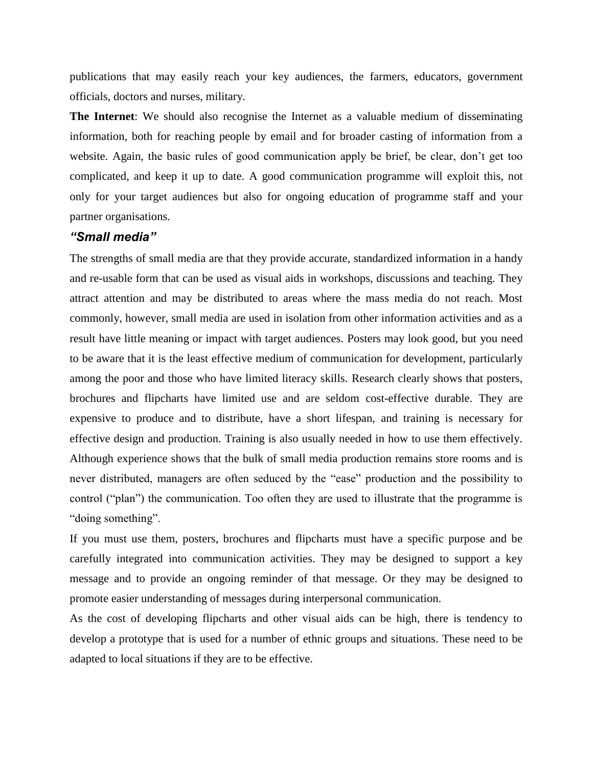publications that may easily reach your key audiences, the farmers, educators, government officials, doctors and nurses, military.

**The Internet**: We should also recognise the Internet as a valuable medium of disseminating information, both for reaching people by email and for broader casting of information from a website. Again, the basic rules of good communication apply be brief, be clear, don't get too complicated, and keep it up to date. A good communication programme will exploit this, not only for your target audiences but also for ongoing education of programme staff and your partner organisations.

# *"Small media"*

The strengths of small media are that they provide accurate, standardized information in a handy and re-usable form that can be used as visual aids in workshops, discussions and teaching. They attract attention and may be distributed to areas where the mass media do not reach. Most commonly, however, small media are used in isolation from other information activities and as a result have little meaning or impact with target audiences. Posters may look good, but you need to be aware that it is the least effective medium of communication for development, particularly among the poor and those who have limited literacy skills. Research clearly shows that posters, brochures and flipcharts have limited use and are seldom cost-effective durable. They are expensive to produce and to distribute, have a short lifespan, and training is necessary for effective design and production. Training is also usually needed in how to use them effectively. Although experience shows that the bulk of small media production remains store rooms and is never distributed, managers are often seduced by the "ease" production and the possibility to control ("plan") the communication. Too often they are used to illustrate that the programme is "doing something".

If you must use them, posters, brochures and flipcharts must have a specific purpose and be carefully integrated into communication activities. They may be designed to support a key message and to provide an ongoing reminder of that message. Or they may be designed to promote easier understanding of messages during interpersonal communication.

As the cost of developing flipcharts and other visual aids can be high, there is tendency to develop a prototype that is used for a number of ethnic groups and situations. These need to be adapted to local situations if they are to be effective.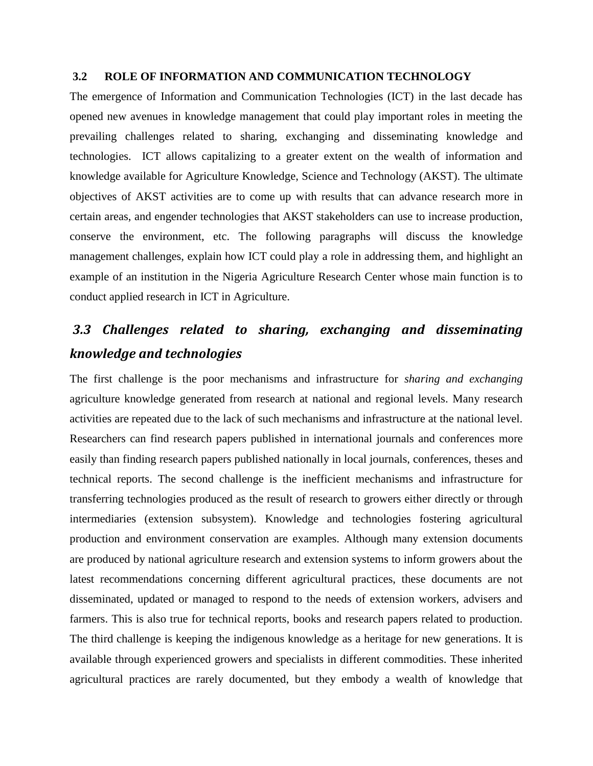#### **3.2 ROLE OF INFORMATION AND COMMUNICATION TECHNOLOGY**

The emergence of Information and Communication Technologies (ICT) in the last decade has opened new avenues in knowledge management that could play important roles in meeting the prevailing challenges related to sharing, exchanging and disseminating knowledge and technologies. ICT allows capitalizing to a greater extent on the wealth of information and knowledge available for Agriculture Knowledge, Science and Technology (AKST). The ultimate objectives of AKST activities are to come up with results that can advance research more in certain areas, and engender technologies that AKST stakeholders can use to increase production, conserve the environment, etc. The following paragraphs will discuss the knowledge management challenges, explain how ICT could play a role in addressing them, and highlight an example of an institution in the Nigeria Agriculture Research Center whose main function is to conduct applied research in ICT in Agriculture.

# *3.3 Challenges related to sharing, exchanging and disseminating knowledge and technologies*

The first challenge is the poor mechanisms and infrastructure for *sharing and exchanging*  agriculture knowledge generated from research at national and regional levels. Many research activities are repeated due to the lack of such mechanisms and infrastructure at the national level. Researchers can find research papers published in international journals and conferences more easily than finding research papers published nationally in local journals, conferences, theses and technical reports. The second challenge is the inefficient mechanisms and infrastructure for transferring technologies produced as the result of research to growers either directly or through intermediaries (extension subsystem). Knowledge and technologies fostering agricultural production and environment conservation are examples. Although many extension documents are produced by national agriculture research and extension systems to inform growers about the latest recommendations concerning different agricultural practices, these documents are not disseminated, updated or managed to respond to the needs of extension workers, advisers and farmers. This is also true for technical reports, books and research papers related to production. The third challenge is keeping the indigenous knowledge as a heritage for new generations. It is available through experienced growers and specialists in different commodities. These inherited agricultural practices are rarely documented, but they embody a wealth of knowledge that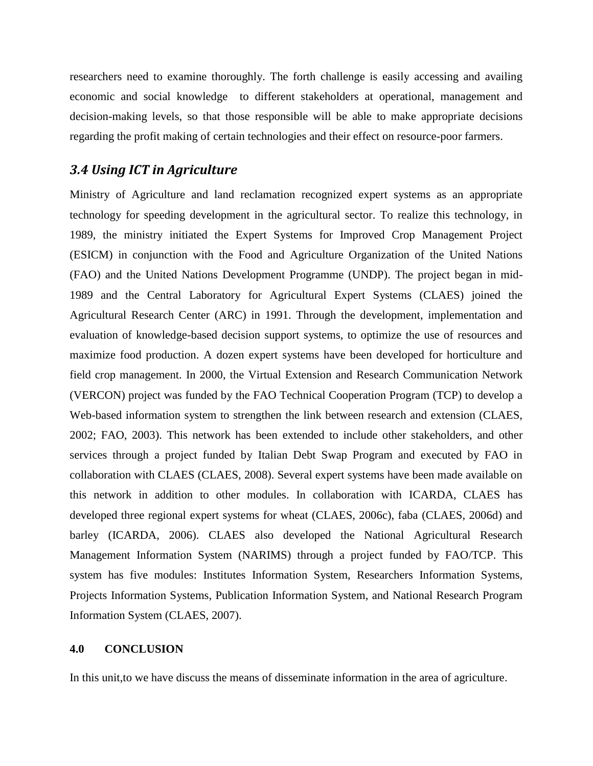researchers need to examine thoroughly. The forth challenge is easily accessing and availing economic and social knowledge to different stakeholders at operational, management and decision-making levels, so that those responsible will be able to make appropriate decisions regarding the profit making of certain technologies and their effect on resource-poor farmers.

# *3.4 Using ICT in Agriculture*

Ministry of Agriculture and land reclamation recognized expert systems as an appropriate technology for speeding development in the agricultural sector. To realize this technology, in 1989, the ministry initiated the Expert Systems for Improved Crop Management Project (ESICM) in conjunction with the Food and Agriculture Organization of the United Nations (FAO) and the United Nations Development Programme (UNDP). The project began in mid-1989 and the Central Laboratory for Agricultural Expert Systems (CLAES) joined the Agricultural Research Center (ARC) in 1991. Through the development, implementation and evaluation of knowledge-based decision support systems, to optimize the use of resources and maximize food production. A dozen expert systems have been developed for horticulture and field crop management. In 2000, the Virtual Extension and Research Communication Network (VERCON) project was funded by the FAO Technical Cooperation Program (TCP) to develop a Web-based information system to strengthen the link between research and extension (CLAES, 2002; FAO, 2003). This network has been extended to include other stakeholders, and other services through a project funded by Italian Debt Swap Program and executed by FAO in collaboration with CLAES (CLAES, 2008). Several expert systems have been made available on this network in addition to other modules. In collaboration with ICARDA, CLAES has developed three regional expert systems for wheat (CLAES, 2006c), faba (CLAES, 2006d) and barley (ICARDA, 2006). CLAES also developed the National Agricultural Research Management Information System (NARIMS) through a project funded by FAO/TCP. This system has five modules: Institutes Information System, Researchers Information Systems, Projects Information Systems, Publication Information System, and National Research Program Information System (CLAES, 2007).

# **4.0 CONCLUSION**

In this unit,to we have discuss the means of disseminate information in the area of agriculture.